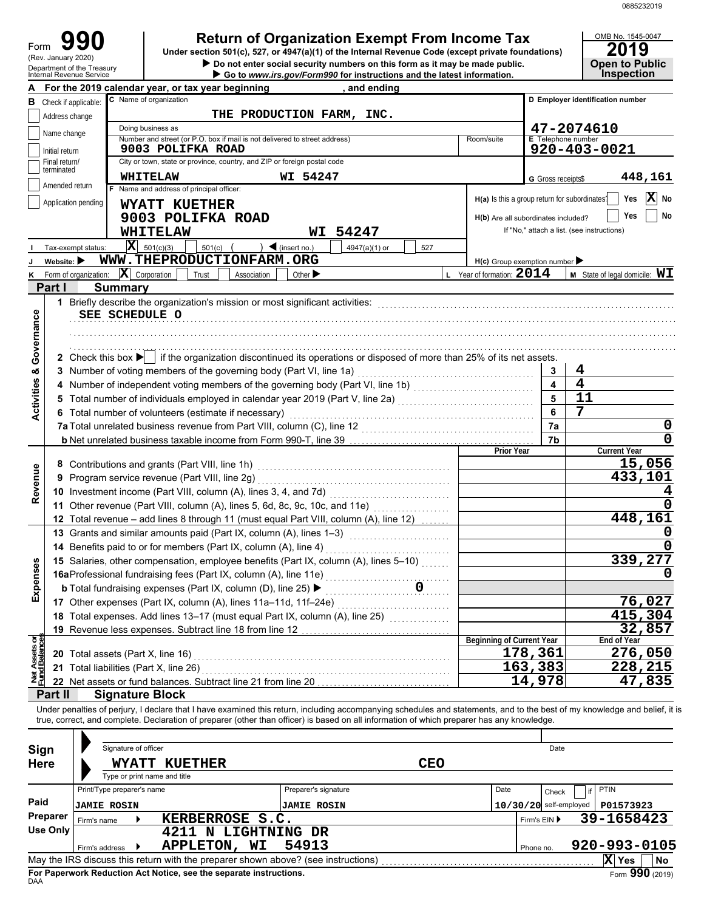| Form                       | 990 |  |
|----------------------------|-----|--|
| (Rev. January 2020)        |     |  |
| Department of the Treasury |     |  |

# **Return of Organization Exempt From Income Tax**

**Under section 501(c), 527, or 4947(a)(1) of the Internal Revenue Code (except private foundations)**

OMB No. 1545-0047<br>2019<br>Open to Public

|                                | $110V.$ January 2020<br>Department of the Treasury<br>Internal Revenue Service |                            |                                                                                                                                                                         | Do not enter social security numbers on this form as it may be made public.<br>Go to www.irs.gov/Form990 for instructions and the latest information. |               |            |                                              |                          | <b>Open to Public</b><br><b>Inspection</b> |  |  |
|--------------------------------|--------------------------------------------------------------------------------|----------------------------|-------------------------------------------------------------------------------------------------------------------------------------------------------------------------|-------------------------------------------------------------------------------------------------------------------------------------------------------|---------------|------------|----------------------------------------------|--------------------------|--------------------------------------------|--|--|
|                                |                                                                                |                            | For the 2019 calendar year, or tax year beginning                                                                                                                       |                                                                                                                                                       | and ending    |            |                                              |                          |                                            |  |  |
|                                | <b>B</b> Check if applicable:                                                  |                            | C Name of organization                                                                                                                                                  |                                                                                                                                                       |               |            |                                              |                          | D Employer identification number           |  |  |
|                                | Address change                                                                 |                            |                                                                                                                                                                         | THE PRODUCTION FARM, INC.                                                                                                                             |               |            |                                              |                          |                                            |  |  |
|                                |                                                                                |                            | Doing business as                                                                                                                                                       |                                                                                                                                                       |               |            |                                              |                          | 47-2074610                                 |  |  |
|                                | Name change                                                                    |                            | Number and street (or P.O. box if mail is not delivered to street address)                                                                                              |                                                                                                                                                       |               |            | Room/suite                                   | E Telephone number       |                                            |  |  |
|                                | Initial return                                                                 |                            | 9003 POLIFKA ROAD                                                                                                                                                       |                                                                                                                                                       |               |            |                                              |                          | 920-403-0021                               |  |  |
|                                | Final return/<br>terminated                                                    |                            | City or town, state or province, country, and ZIP or foreign postal code                                                                                                |                                                                                                                                                       |               |            |                                              |                          |                                            |  |  |
|                                | Amended return                                                                 |                            | WHITELAW                                                                                                                                                                | WI 54247                                                                                                                                              |               |            |                                              | G Gross receipts\$       | 448,161                                    |  |  |
|                                |                                                                                |                            | F Name and address of principal officer:                                                                                                                                |                                                                                                                                                       |               |            | H(a) Is this a group return for subordinates |                          | $ \mathbf{X} $ No<br>Yes                   |  |  |
|                                | Application pending                                                            |                            | WYATT KUETHER                                                                                                                                                           |                                                                                                                                                       |               |            |                                              |                          | No<br>Yes                                  |  |  |
|                                |                                                                                |                            | 9003 POLIFKA ROAD                                                                                                                                                       |                                                                                                                                                       |               |            | H(b) Are all subordinates included?          |                          |                                            |  |  |
|                                |                                                                                |                            | WHITELAW                                                                                                                                                                |                                                                                                                                                       | WI 54247      |            |                                              |                          | If "No," attach a list. (see instructions) |  |  |
|                                | Tax-exempt status:                                                             |                            | $\mathbf{X}$ 501(c)(3)<br>$501(c)$ (                                                                                                                                    | $\big)$ (insert no.)                                                                                                                                  | 4947(a)(1) or | 527        |                                              |                          |                                            |  |  |
|                                | Website: $\blacktriangleright$                                                 |                            | WWW.THEPRODUCTIONFARM.ORG                                                                                                                                               |                                                                                                                                                       |               |            | $H(c)$ Group exemption number                |                          |                                            |  |  |
| ĸ                              | Form of organization:                                                          |                            | $ \mathbf{X} $ Corporation<br>Trust<br>Association                                                                                                                      | Other $\blacktriangleright$                                                                                                                           |               |            | L Year of formation: $2014$                  |                          | <b>M</b> State of legal domicile: $WI$     |  |  |
|                                | Part I                                                                         | <b>Summary</b>             |                                                                                                                                                                         |                                                                                                                                                       |               |            |                                              |                          |                                            |  |  |
|                                |                                                                                |                            | 1 Briefly describe the organization's mission or most significant activities:                                                                                           |                                                                                                                                                       |               |            |                                              |                          |                                            |  |  |
|                                |                                                                                | SEE SCHEDULE O             |                                                                                                                                                                         |                                                                                                                                                       |               |            |                                              |                          |                                            |  |  |
|                                |                                                                                |                            |                                                                                                                                                                         |                                                                                                                                                       |               |            |                                              |                          |                                            |  |  |
| Governance                     |                                                                                |                            |                                                                                                                                                                         |                                                                                                                                                       |               |            |                                              |                          |                                            |  |  |
|                                |                                                                                |                            | 2 Check this box $\blacktriangleright$ if the organization discontinued its operations or disposed of more than 25% of its net assets.                                  |                                                                                                                                                       |               |            |                                              |                          |                                            |  |  |
| ×                              |                                                                                |                            | 3 Number of voting members of the governing body (Part VI, line 1a)                                                                                                     |                                                                                                                                                       |               |            |                                              | 3                        | 4                                          |  |  |
| Activities                     | 4                                                                              |                            | Number of independent voting members of the governing body (Part VI, line 1b) [[[[[[[[[[[[[[[[[[[[[[[[[[[[[[]]                                                          |                                                                                                                                                       |               |            |                                              | $\overline{\mathbf{4}}$  | $\overline{\mathbf{4}}$                    |  |  |
|                                |                                                                                |                            | Total number of individuals employed in calendar year 2019 (Part V, line 2a) [[[[[[[[[[[[[[[[[[[[[[[[[[[[[[[[                                                           |                                                                                                                                                       |               |            |                                              | 5                        | 11                                         |  |  |
|                                |                                                                                |                            | 6 Total number of volunteers (estimate if necessary)                                                                                                                    |                                                                                                                                                       |               |            |                                              | 6                        | 7                                          |  |  |
|                                |                                                                                |                            |                                                                                                                                                                         |                                                                                                                                                       |               |            |                                              | 7a                       | 0                                          |  |  |
|                                |                                                                                |                            | b Net unrelated business taxable income from Form 990-T, line 39 [10] [10] Met unrelated business taxable income from Pont.                                             |                                                                                                                                                       |               |            |                                              | 7b                       | $\mathbf 0$<br><b>Current Year</b>         |  |  |
|                                |                                                                                |                            |                                                                                                                                                                         |                                                                                                                                                       |               |            | <b>Prior Year</b>                            |                          | 15,056                                     |  |  |
| Revenue                        | 9                                                                              |                            | Program service revenue (Part VIII, line 2g)                                                                                                                            |                                                                                                                                                       |               | 433,101    |                                              |                          |                                            |  |  |
|                                |                                                                                |                            |                                                                                                                                                                         |                                                                                                                                                       |               |            |                                              |                          |                                            |  |  |
|                                |                                                                                |                            | 11 Other revenue (Part VIII, column (A), lines 5, 6d, 8c, 9c, 10c, and 11e)                                                                                             |                                                                                                                                                       |               |            |                                              |                          | 0                                          |  |  |
|                                |                                                                                |                            | 12 Total revenue - add lines 8 through 11 (must equal Part VIII, column (A), line 12)                                                                                   |                                                                                                                                                       |               | .          |                                              |                          | 448,161                                    |  |  |
|                                |                                                                                |                            |                                                                                                                                                                         |                                                                                                                                                       |               |            |                                              |                          |                                            |  |  |
|                                |                                                                                |                            | 14 Benefits paid to or for members (Part IX, column (A), line 4)                                                                                                        |                                                                                                                                                       |               |            |                                              |                          | 0                                          |  |  |
|                                |                                                                                |                            | 15 Salaries, other compensation, employee benefits (Part IX, column (A), lines 5-10)                                                                                    |                                                                                                                                                       |               |            |                                              |                          | 339,277                                    |  |  |
| <b>Ses</b>                     |                                                                                |                            |                                                                                                                                                                         |                                                                                                                                                       |               |            |                                              |                          |                                            |  |  |
| Expen                          |                                                                                |                            | <b>b</b> Total fundraising expenses (Part IX, column (D), line 25) $\blacktriangleright$                                                                                |                                                                                                                                                       |               |            |                                              |                          |                                            |  |  |
|                                |                                                                                |                            | 17 Other expenses (Part IX, column (A), lines 11a-11d, 11f-24e)                                                                                                         |                                                                                                                                                       |               |            |                                              |                          | 76,027                                     |  |  |
|                                |                                                                                |                            | 18 Total expenses. Add lines 13-17 (must equal Part IX, column (A), line 25)                                                                                            |                                                                                                                                                       |               | .          |                                              |                          | 415,304                                    |  |  |
|                                |                                                                                |                            | 19 Revenue less expenses. Subtract line 18 from line 12                                                                                                                 |                                                                                                                                                       |               |            |                                              |                          | 32,857                                     |  |  |
| Net Assets or<br>Fund Balances |                                                                                |                            |                                                                                                                                                                         |                                                                                                                                                       |               |            | <b>Beginning of Current Year</b>             |                          | End of Year                                |  |  |
|                                |                                                                                |                            | 20 Total assets (Part X, line 16)                                                                                                                                       |                                                                                                                                                       |               |            |                                              | $\overline{1}$ 78,361    | 276,050                                    |  |  |
|                                |                                                                                |                            | 21 Total liabilities (Part X, line 26)                                                                                                                                  |                                                                                                                                                       |               |            |                                              | 163,383                  | $\overline{2}$ 28, 215                     |  |  |
|                                |                                                                                |                            | 22 Net assets or fund balances. Subtract line 21 from line 20                                                                                                           |                                                                                                                                                       |               |            |                                              | 14,978                   | 47,835                                     |  |  |
|                                | Part II                                                                        | <b>Signature Block</b>     |                                                                                                                                                                         |                                                                                                                                                       |               |            |                                              |                          |                                            |  |  |
|                                |                                                                                |                            | Under penalties of perjury, I declare that I have examined this return, including accompanying schedules and statements, and to the best of my knowledge and belief, it |                                                                                                                                                       |               |            |                                              |                          |                                            |  |  |
|                                |                                                                                |                            | true, correct, and complete. Declaration of preparer (other than officer) is based on all information of which preparer has any knowledge.                              |                                                                                                                                                       |               |            |                                              |                          |                                            |  |  |
|                                |                                                                                |                            |                                                                                                                                                                         |                                                                                                                                                       |               |            |                                              |                          |                                            |  |  |
| Sign                           |                                                                                | Signature of officer       |                                                                                                                                                                         |                                                                                                                                                       |               |            |                                              | Date                     |                                            |  |  |
| <b>Here</b>                    |                                                                                |                            | WYATT KUETHER                                                                                                                                                           |                                                                                                                                                       |               | <b>CEO</b> |                                              |                          |                                            |  |  |
|                                |                                                                                |                            | Type or print name and title                                                                                                                                            |                                                                                                                                                       |               |            |                                              |                          |                                            |  |  |
|                                |                                                                                | Print/Type preparer's name |                                                                                                                                                                         | Preparer's signature                                                                                                                                  |               |            | Date                                         | Check                    | PTIN<br>if                                 |  |  |
| Paid                           |                                                                                | <b>JAMIE ROSIN</b>         |                                                                                                                                                                         | <b>JAMIE ROSIN</b>                                                                                                                                    |               |            |                                              | $10/30/20$ self-employed | P01573923                                  |  |  |
|                                | Preparer                                                                       | Firm's name                | KERBERROSE S.C.                                                                                                                                                         |                                                                                                                                                       |               |            |                                              | Firm's EIN ▶             | 39-1658423                                 |  |  |
|                                | <b>Use Only</b>                                                                |                            | 4211 N LIGHTNING DR                                                                                                                                                     |                                                                                                                                                       |               |            |                                              |                          |                                            |  |  |
|                                |                                                                                | Firm's address             | APPLETON, WI                                                                                                                                                            | 54913                                                                                                                                                 |               |            |                                              | Phone no.                | 920-993-0105                               |  |  |
|                                |                                                                                |                            |                                                                                                                                                                         |                                                                                                                                                       |               |            |                                              |                          | X Yes<br>No                                |  |  |

| <b>Sign</b> |                            | Signature of officer         |                                                                                   |                      | Date                     |      |              |       |              |                 |
|-------------|----------------------------|------------------------------|-----------------------------------------------------------------------------------|----------------------|--------------------------|------|--------------|-------|--------------|-----------------|
| <b>Here</b> |                            |                              | WYATT KUETHER                                                                     | <b>CEO</b>           |                          |      |              |       |              |                 |
|             |                            | Type or print name and title |                                                                                   |                      |                          |      |              |       |              |                 |
|             | Print/Type preparer's name |                              |                                                                                   | Preparer's signature |                          | Date |              | Check | PTIN         |                 |
| Paid        | <b>JAMIE ROSIN</b>         |                              |                                                                                   | <b>JAMIE ROSIN</b>   | $10/30/20$ self-employed |      |              |       |              | P01573923       |
| Preparer    | Firm's name                |                              | KERBERROSE S.C.                                                                   |                      |                          |      | Firm's EIN ▶ |       | 39-1658423   |                 |
| Use Only    |                            |                              | LIGHTNING DR<br>4211<br>N                                                         |                      |                          |      |              |       |              |                 |
|             | Firm's address             |                              | <b>APPLETON,</b><br>WI                                                            | 54913                |                          |      | Phone no.    |       | 920-993-0105 |                 |
|             |                            |                              | May the IRS discuss this return with the preparer shown above? (see instructions) |                      |                          |      |              |       | X Yes        | <b>No</b>       |
|             |                            |                              | For Paperwork Reduction Act Notice, see the separate instructions.                |                      |                          |      |              |       |              | Form 990 (2019) |

DAA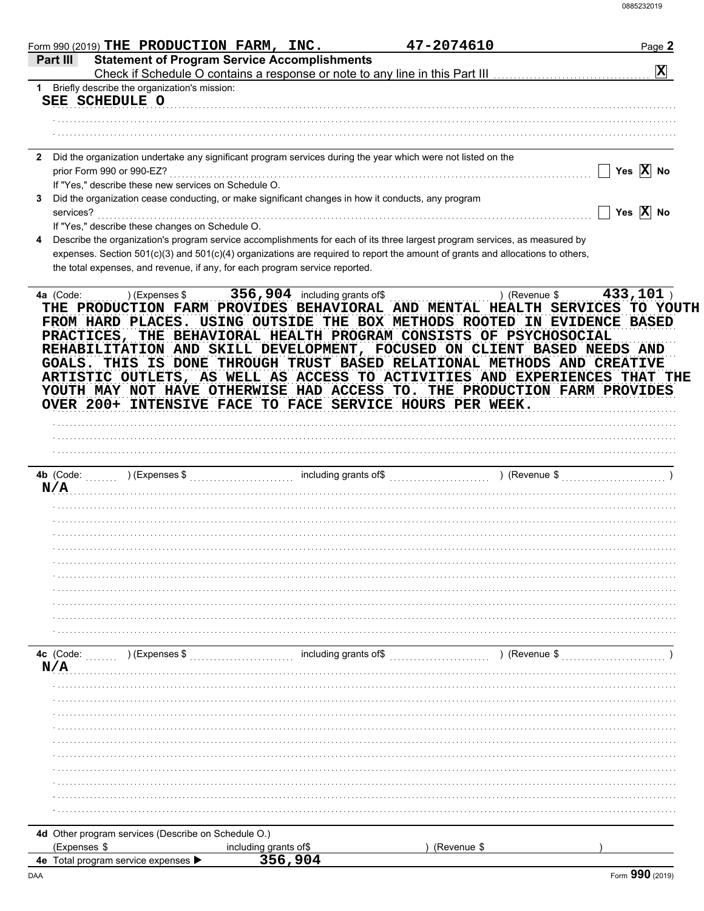|                           | Form 990 (2019) THE PRODUCTION FARM, INC.            |                                                                                                                                                                                                                                                                                               | 47-2074610  |               | Page 2                |
|---------------------------|------------------------------------------------------|-----------------------------------------------------------------------------------------------------------------------------------------------------------------------------------------------------------------------------------------------------------------------------------------------|-------------|---------------|-----------------------|
| Part III                  |                                                      | <b>Statement of Program Service Accomplishments</b><br>Check if Schedule O contains a response or note to any line in this Part III [11] [11] [11] [11] Check if Schedule O contains a response or note to any line in this Part III                                                          |             |               | $ \mathbf{x} $        |
|                           | 1 Briefly describe the organization's mission:       |                                                                                                                                                                                                                                                                                               |             |               |                       |
| SEE SCHEDULE O            |                                                      |                                                                                                                                                                                                                                                                                               |             |               |                       |
|                           |                                                      |                                                                                                                                                                                                                                                                                               |             |               |                       |
|                           |                                                      |                                                                                                                                                                                                                                                                                               |             |               |                       |
|                           |                                                      |                                                                                                                                                                                                                                                                                               |             |               |                       |
|                           |                                                      | 2 Did the organization undertake any significant program services during the year which were not listed on the                                                                                                                                                                                |             |               |                       |
| prior Form 990 or 990-EZ? |                                                      |                                                                                                                                                                                                                                                                                               |             |               | Yes $X$ No            |
|                           | If "Yes," describe these new services on Schedule O. |                                                                                                                                                                                                                                                                                               |             |               |                       |
|                           |                                                      | Did the organization cease conducting, or make significant changes in how it conducts, any program                                                                                                                                                                                            |             |               | Yes $\overline{X}$ No |
| services?                 | If "Yes," describe these changes on Schedule O.      |                                                                                                                                                                                                                                                                                               |             |               |                       |
|                           |                                                      | Describe the organization's program service accomplishments for each of its three largest program services, as measured by                                                                                                                                                                    |             |               |                       |
|                           |                                                      | expenses. Section 501(c)(3) and 501(c)(4) organizations are required to report the amount of grants and allocations to others,                                                                                                                                                                |             |               |                       |
|                           |                                                      | the total expenses, and revenue, if any, for each program service reported.                                                                                                                                                                                                                   |             |               |                       |
|                           |                                                      |                                                                                                                                                                                                                                                                                               |             |               |                       |
|                           |                                                      | GOALS. THIS IS DONE THROUGH TRUST BASED RELATIONAL METHODS AND CREATIVE<br>ARTISTIC OUTLETS, AS WELL AS ACCESS TO ACTIVITIES AND EXPERIENCES THAT THE<br>YOUTH MAY NOT HAVE OTHERWISE HAD ACCESS TO. THE PRODUCTION FARM PROVIDES<br>OVER 200+ INTENSIVE FACE TO FACE SERVICE HOURS PER WEEK. |             |               |                       |
|                           |                                                      |                                                                                                                                                                                                                                                                                               |             |               |                       |
| 4b (Code:                 | ) (Expenses \$                                       | including grants of\$                                                                                                                                                                                                                                                                         |             | ) (Revenue \$ |                       |
| N/A                       |                                                      |                                                                                                                                                                                                                                                                                               |             |               |                       |
|                           |                                                      |                                                                                                                                                                                                                                                                                               |             |               |                       |
|                           |                                                      |                                                                                                                                                                                                                                                                                               |             |               |                       |
|                           |                                                      |                                                                                                                                                                                                                                                                                               |             |               |                       |
|                           |                                                      |                                                                                                                                                                                                                                                                                               |             |               |                       |
|                           |                                                      |                                                                                                                                                                                                                                                                                               |             |               |                       |
|                           |                                                      |                                                                                                                                                                                                                                                                                               |             |               |                       |
|                           |                                                      |                                                                                                                                                                                                                                                                                               |             |               |                       |
|                           |                                                      |                                                                                                                                                                                                                                                                                               |             |               |                       |
|                           |                                                      |                                                                                                                                                                                                                                                                                               |             |               |                       |
|                           |                                                      |                                                                                                                                                                                                                                                                                               |             |               |                       |
| 4c (Code:                 | ) (Expenses \$                                       | including grants of\$                                                                                                                                                                                                                                                                         |             | ) (Revenue \$ |                       |
| N/A                       |                                                      |                                                                                                                                                                                                                                                                                               |             |               |                       |
|                           |                                                      |                                                                                                                                                                                                                                                                                               |             |               |                       |
|                           |                                                      |                                                                                                                                                                                                                                                                                               |             |               |                       |
|                           |                                                      |                                                                                                                                                                                                                                                                                               |             |               |                       |
|                           |                                                      |                                                                                                                                                                                                                                                                                               |             |               |                       |
|                           |                                                      |                                                                                                                                                                                                                                                                                               |             |               |                       |
|                           |                                                      |                                                                                                                                                                                                                                                                                               |             |               |                       |
|                           |                                                      |                                                                                                                                                                                                                                                                                               |             |               |                       |
|                           |                                                      |                                                                                                                                                                                                                                                                                               |             |               |                       |
|                           |                                                      |                                                                                                                                                                                                                                                                                               |             |               |                       |
|                           |                                                      |                                                                                                                                                                                                                                                                                               |             |               |                       |
|                           | 4d Other program services (Describe on Schedule O.)  |                                                                                                                                                                                                                                                                                               |             |               |                       |
|                           |                                                      |                                                                                                                                                                                                                                                                                               |             |               |                       |
| (Expenses \$              |                                                      | including grants of\$                                                                                                                                                                                                                                                                         | (Revenue \$ |               |                       |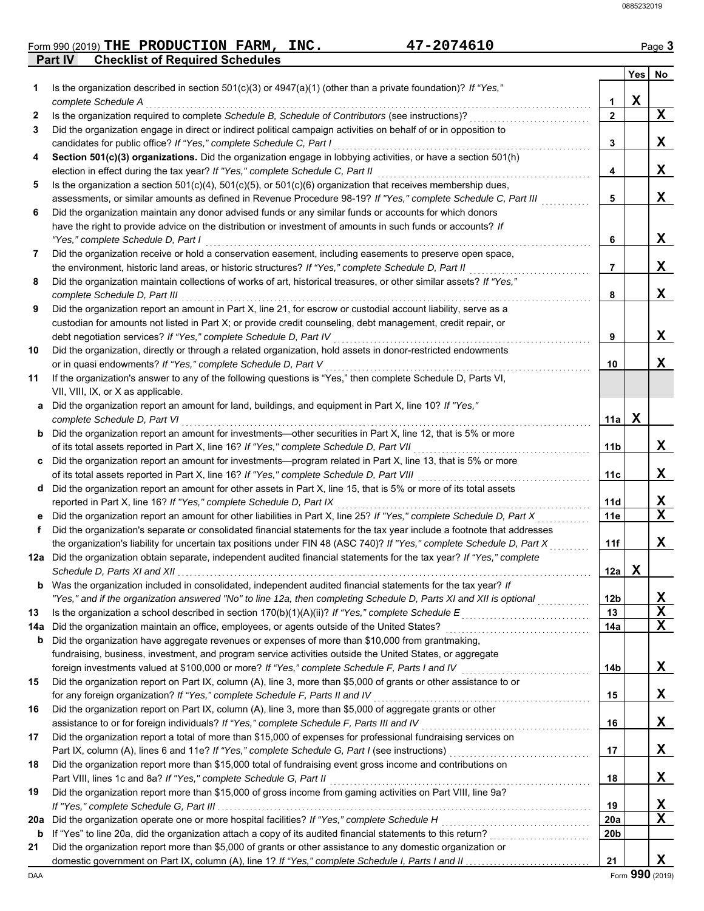|                | Form 990 (2019) THE PRODUCTION FARM,   | <b>INC.</b> | 47-2074610 | Page $3$ |
|----------------|----------------------------------------|-------------|------------|----------|
| <b>Part IV</b> | <b>Checklist of Required Schedules</b> |             |            |          |

|     |                                                                                                                                               |                        | Yes | No          |
|-----|-----------------------------------------------------------------------------------------------------------------------------------------------|------------------------|-----|-------------|
| 1   | Is the organization described in section $501(c)(3)$ or $4947(a)(1)$ (other than a private foundation)? If "Yes,"<br>complete Schedule A      | 1                      | X   |             |
| 2   | Is the organization required to complete Schedule B, Schedule of Contributors (see instructions)?                                             | $\mathbf{2}$           |     | X           |
| 3   | Did the organization engage in direct or indirect political campaign activities on behalf of or in opposition to                              |                        |     |             |
|     | candidates for public office? If "Yes," complete Schedule C, Part I                                                                           | 3                      |     | X           |
| 4   | Section 501(c)(3) organizations. Did the organization engage in lobbying activities, or have a section 501(h)                                 |                        |     |             |
|     | election in effect during the tax year? If "Yes," complete Schedule C, Part II                                                                | 4                      |     | X           |
| 5   | Is the organization a section $501(c)(4)$ , $501(c)(5)$ , or $501(c)(6)$ organization that receives membership dues,                          |                        |     |             |
|     | assessments, or similar amounts as defined in Revenue Procedure 98-19? If "Yes," complete Schedule C, Part III                                | 5                      |     | X           |
| 6   | Did the organization maintain any donor advised funds or any similar funds or accounts for which donors                                       |                        |     |             |
|     | have the right to provide advice on the distribution or investment of amounts in such funds or accounts? If                                   |                        |     |             |
|     | "Yes," complete Schedule D, Part I                                                                                                            | 6                      |     | X           |
| 7   | Did the organization receive or hold a conservation easement, including easements to preserve open space,                                     |                        |     |             |
|     | the environment, historic land areas, or historic structures? If "Yes," complete Schedule D, Part II                                          | 7                      |     | X           |
| 8   | Did the organization maintain collections of works of art, historical treasures, or other similar assets? If "Yes,"                           |                        |     |             |
|     | complete Schedule D, Part III                                                                                                                 | 8                      |     | X           |
| 9   | Did the organization report an amount in Part X, line 21, for escrow or custodial account liability, serve as a                               |                        |     |             |
|     | custodian for amounts not listed in Part X; or provide credit counseling, debt management, credit repair, or                                  |                        |     |             |
|     | debt negotiation services? If "Yes," complete Schedule D, Part IV                                                                             | 9                      |     | X           |
| 10  | Did the organization, directly or through a related organization, hold assets in donor-restricted endowments                                  |                        |     |             |
|     | or in quasi endowments? If "Yes," complete Schedule D, Part V                                                                                 | 10                     |     | X           |
| 11  | If the organization's answer to any of the following questions is "Yes," then complete Schedule D, Parts VI,                                  |                        |     |             |
|     | VII, VIII, IX, or X as applicable.                                                                                                            |                        |     |             |
| а   | Did the organization report an amount for land, buildings, and equipment in Part X, line 10? If "Yes,"                                        |                        |     |             |
|     | complete Schedule D, Part VI<br>Did the organization report an amount for investments—other securities in Part X, line 12, that is 5% or more | 11a                    | x   |             |
| b   | of its total assets reported in Part X, line 16? If "Yes," complete Schedule D, Part VII                                                      | 11b                    |     | x           |
| c   | Did the organization report an amount for investments—program related in Part X, line 13, that is 5% or more                                  |                        |     |             |
|     | of its total assets reported in Part X, line 16? If "Yes," complete Schedule D, Part VIII                                                     | 11c                    |     | x           |
| d   | Did the organization report an amount for other assets in Part X, line 15, that is 5% or more of its total assets                             |                        |     |             |
|     | reported in Part X, line 16? If "Yes," complete Schedule D, Part IX                                                                           | 11d                    |     | X           |
|     | Did the organization report an amount for other liabilities in Part X, line 25? If "Yes," complete Schedule D, Part X                         | 11e                    |     | $\mathbf x$ |
| f   | Did the organization's separate or consolidated financial statements for the tax year include a footnote that addresses                       |                        |     |             |
|     | the organization's liability for uncertain tax positions under FIN 48 (ASC 740)? If "Yes," complete Schedule D, Part X                        | 11f                    |     | X           |
|     | 12a Did the organization obtain separate, independent audited financial statements for the tax year? If "Yes," complete                       |                        |     |             |
|     | Schedule D, Parts XI and XII                                                                                                                  | 12a                    | X   |             |
|     | <b>b</b> Was the organization included in consolidated, independent audited financial statements for the tax year? If                         |                        |     |             |
|     | "Yes," and if the organization answered "No" to line 12a, then completing Schedule D, Parts XI and XII is optional                            | 12 <sub>b</sub>        |     | X           |
| 13  | Is the organization a school described in section 170(b)(1)(A)(ii)? If "Yes," complete Schedule E                                             | 13                     |     | X           |
| 14a | Did the organization maintain an office, employees, or agents outside of the United States?                                                   | 14a                    |     | X           |
| b   | Did the organization have aggregate revenues or expenses of more than \$10,000 from grantmaking,                                              |                        |     |             |
|     | fundraising, business, investment, and program service activities outside the United States, or aggregate                                     |                        |     |             |
|     | foreign investments valued at \$100,000 or more? If "Yes," complete Schedule F, Parts I and IV [[[[[[[[[[[[[[[                                | 14b                    |     | X           |
| 15  | Did the organization report on Part IX, column (A), line 3, more than \$5,000 of grants or other assistance to or                             |                        |     |             |
|     | for any foreign organization? If "Yes," complete Schedule F, Parts II and IV                                                                  | 15                     |     | X           |
| 16  | Did the organization report on Part IX, column (A), line 3, more than \$5,000 of aggregate grants or other                                    |                        |     |             |
|     | assistance to or for foreign individuals? If "Yes," complete Schedule F, Parts III and IV                                                     | 16                     |     | X           |
| 17  | Did the organization report a total of more than \$15,000 of expenses for professional fundraising services on                                |                        |     |             |
|     |                                                                                                                                               | 17                     |     | X           |
| 18  | Did the organization report more than \$15,000 total of fundraising event gross income and contributions on                                   |                        |     |             |
|     | Part VIII, lines 1c and 8a? If "Yes," complete Schedule G, Part II                                                                            | 18                     |     | X.          |
| 19  | Did the organization report more than \$15,000 of gross income from gaming activities on Part VIII, line 9a?                                  |                        |     |             |
|     |                                                                                                                                               | 19                     |     | X<br>X      |
| 20a | Did the organization operate one or more hospital facilities? If "Yes," complete Schedule H                                                   | 20a<br>20 <sub>b</sub> |     |             |
| b   | Did the organization report more than \$5,000 of grants or other assistance to any domestic organization or                                   |                        |     |             |
| 21  |                                                                                                                                               | 21                     |     | X           |
|     |                                                                                                                                               |                        |     |             |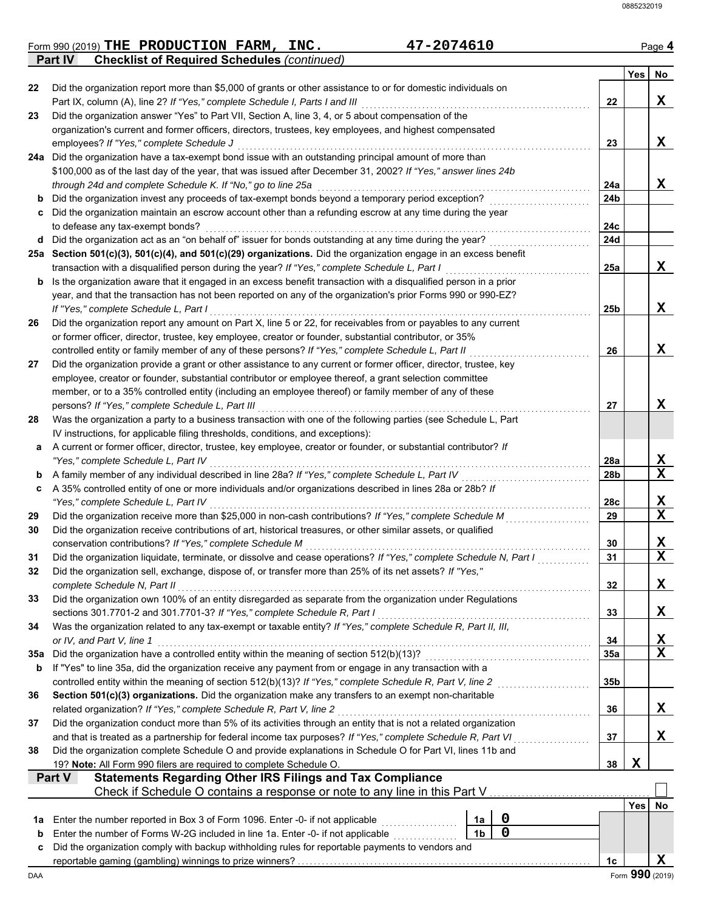| <b>Part IV</b> | <b>Checklist of Required Schedules (continued)</b>                                                                                                                                                  |                |                  |                        |     |                                 |
|----------------|-----------------------------------------------------------------------------------------------------------------------------------------------------------------------------------------------------|----------------|------------------|------------------------|-----|---------------------------------|
|                |                                                                                                                                                                                                     |                |                  |                        |     |                                 |
|                |                                                                                                                                                                                                     |                |                  |                        | Yes | No                              |
| 22             | Did the organization report more than \$5,000 of grants or other assistance to or for domestic individuals on                                                                                       |                |                  |                        |     |                                 |
|                | Part IX, column (A), line 2? If "Yes," complete Schedule I, Parts I and III                                                                                                                         |                |                  | 22                     |     | X                               |
| 23             | Did the organization answer "Yes" to Part VII, Section A, line 3, 4, or 5 about compensation of the                                                                                                 |                |                  |                        |     |                                 |
|                | organization's current and former officers, directors, trustees, key employees, and highest compensated                                                                                             |                |                  |                        |     |                                 |
|                | employees? If "Yes," complete Schedule J                                                                                                                                                            |                |                  | 23                     |     | x                               |
|                | 24a Did the organization have a tax-exempt bond issue with an outstanding principal amount of more than                                                                                             |                |                  |                        |     |                                 |
|                | \$100,000 as of the last day of the year, that was issued after December 31, 2002? If "Yes," answer lines 24b                                                                                       |                |                  |                        |     |                                 |
|                | through 24d and complete Schedule K. If "No," go to line 25a                                                                                                                                        |                |                  | 24a                    |     | X                               |
|                | Did the organization invest any proceeds of tax-exempt bonds beyond a temporary period exception?                                                                                                   |                |                  | 24b                    |     |                                 |
| c              | Did the organization maintain an escrow account other than a refunding escrow at any time during the year                                                                                           |                |                  |                        |     |                                 |
|                | to defease any tax-exempt bonds?                                                                                                                                                                    |                |                  | 24c                    |     |                                 |
| d              | Did the organization act as an "on behalf of" issuer for bonds outstanding at any time during the year?                                                                                             |                |                  | 24d                    |     |                                 |
|                | 25a Section 501(c)(3), 501(c)(4), and 501(c)(29) organizations. Did the organization engage in an excess benefit                                                                                    |                |                  |                        |     |                                 |
|                | transaction with a disqualified person during the year? If "Yes," complete Schedule L, Part I                                                                                                       |                |                  | 25a                    |     | X                               |
| b              | Is the organization aware that it engaged in an excess benefit transaction with a disqualified person in a prior                                                                                    |                |                  |                        |     |                                 |
|                | year, and that the transaction has not been reported on any of the organization's prior Forms 990 or 990-EZ?                                                                                        |                |                  |                        |     |                                 |
|                | If "Yes," complete Schedule L, Part I                                                                                                                                                               |                |                  | 25b                    |     | X                               |
| 26             | Did the organization report any amount on Part X, line 5 or 22, for receivables from or payables to any current                                                                                     |                |                  |                        |     |                                 |
|                | or former officer, director, trustee, key employee, creator or founder, substantial contributor, or 35%                                                                                             |                |                  |                        |     |                                 |
|                | controlled entity or family member of any of these persons? If "Yes," complete Schedule L, Part II                                                                                                  |                |                  | 26                     |     | X                               |
| 27             | Did the organization provide a grant or other assistance to any current or former officer, director, trustee, key                                                                                   |                |                  |                        |     |                                 |
|                | employee, creator or founder, substantial contributor or employee thereof, a grant selection committee                                                                                              |                |                  |                        |     |                                 |
|                | member, or to a 35% controlled entity (including an employee thereof) or family member of any of these                                                                                              |                |                  |                        |     |                                 |
|                | persons? If "Yes," complete Schedule L, Part III                                                                                                                                                    |                |                  | 27                     |     | X                               |
| 28             | Was the organization a party to a business transaction with one of the following parties (see Schedule L, Part                                                                                      |                |                  |                        |     |                                 |
|                | IV instructions, for applicable filing thresholds, conditions, and exceptions):<br>A current or former officer, director, trustee, key employee, creator or founder, or substantial contributor? If |                |                  |                        |     |                                 |
| a              |                                                                                                                                                                                                     |                |                  |                        |     | X                               |
|                | "Yes," complete Schedule L, Part IV<br>A family member of any individual described in line 28a? If "Yes," complete Schedule L, Part IV                                                              |                |                  | 28a<br>28 <sub>b</sub> |     | $\mathbf x$                     |
| b              | A 35% controlled entity of one or more individuals and/or organizations described in lines 28a or 28b? If                                                                                           |                |                  |                        |     |                                 |
| c              | "Yes," complete Schedule L, Part IV                                                                                                                                                                 |                |                  | 28c                    |     | X                               |
| 29             | Did the organization receive more than \$25,000 in non-cash contributions? If "Yes," complete Schedule M                                                                                            |                |                  | 29                     |     | $\mathbf x$                     |
| 30             | Did the organization receive contributions of art, historical treasures, or other similar assets, or qualified                                                                                      |                |                  |                        |     |                                 |
|                | conservation contributions? If "Yes," complete Schedule M                                                                                                                                           |                |                  | 30                     |     | X                               |
| 31             | Did the organization liquidate, terminate, or dissolve and cease operations? If "Yes," complete Schedule N, Part I                                                                                  |                |                  | 31                     |     | $\overline{\textbf{x}}$         |
| 32             | Did the organization sell, exchange, dispose of, or transfer more than 25% of its net assets? If "Yes,"                                                                                             |                |                  |                        |     |                                 |
|                | complete Schedule N, Part II                                                                                                                                                                        |                |                  | 32                     |     | X                               |
| 33             | Did the organization own 100% of an entity disregarded as separate from the organization under Regulations                                                                                          |                |                  |                        |     |                                 |
|                | sections 301.7701-2 and 301.7701-3? If "Yes," complete Schedule R, Part I                                                                                                                           |                |                  | 33                     |     | X                               |
| 34             | Was the organization related to any tax-exempt or taxable entity? If "Yes," complete Schedule R, Part II, III,                                                                                      |                |                  |                        |     |                                 |
|                | or IV, and Part V, line 1                                                                                                                                                                           |                |                  | 34                     |     |                                 |
| 35a            | Did the organization have a controlled entity within the meaning of section 512(b)(13)?                                                                                                             |                |                  | 35a                    |     | $\frac{\mathbf{x}}{\mathbf{x}}$ |
| b              | If "Yes" to line 35a, did the organization receive any payment from or engage in any transaction with a                                                                                             |                |                  |                        |     |                                 |
|                | controlled entity within the meaning of section 512(b)(13)? If "Yes," complete Schedule R, Part V, line 2                                                                                           |                |                  | 35 <sub>b</sub>        |     |                                 |
| 36             | Section 501(c)(3) organizations. Did the organization make any transfers to an exempt non-charitable                                                                                                |                |                  |                        |     |                                 |
|                | related organization? If "Yes," complete Schedule R, Part V, line 2                                                                                                                                 |                |                  | 36                     |     | X                               |
| 37             | Did the organization conduct more than 5% of its activities through an entity that is not a related organization                                                                                    |                |                  |                        |     |                                 |
|                | and that is treated as a partnership for federal income tax purposes? If "Yes," complete Schedule R, Part VI                                                                                        |                |                  | 37                     |     | X                               |
| 38             | Did the organization complete Schedule O and provide explanations in Schedule O for Part VI, lines 11b and                                                                                          |                |                  |                        |     |                                 |
|                | 19? Note: All Form 990 filers are required to complete Schedule O.                                                                                                                                  |                |                  | 38                     | X   |                                 |
| Part V         | <b>Statements Regarding Other IRS Filings and Tax Compliance</b>                                                                                                                                    |                |                  |                        |     |                                 |
|                | Check if Schedule O contains a response or note to any line in this Part V                                                                                                                          |                |                  |                        |     |                                 |
|                |                                                                                                                                                                                                     |                |                  |                        | Yes | No                              |
| 1а             | Enter the number reported in Box 3 of Form 1096. Enter -0- if not applicable                                                                                                                        | 1a             | $\boldsymbol{0}$ |                        |     |                                 |
| b              | Enter the number of Forms W-2G included in line 1a. Enter -0- if not applicable                                                                                                                     | 1 <sub>b</sub> | $\mathbf 0$      |                        |     |                                 |
| c              | Did the organization comply with backup withholding rules for reportable payments to vendors and                                                                                                    |                |                  |                        |     |                                 |
|                |                                                                                                                                                                                                     |                |                  | 1 <sub>c</sub>         |     | X                               |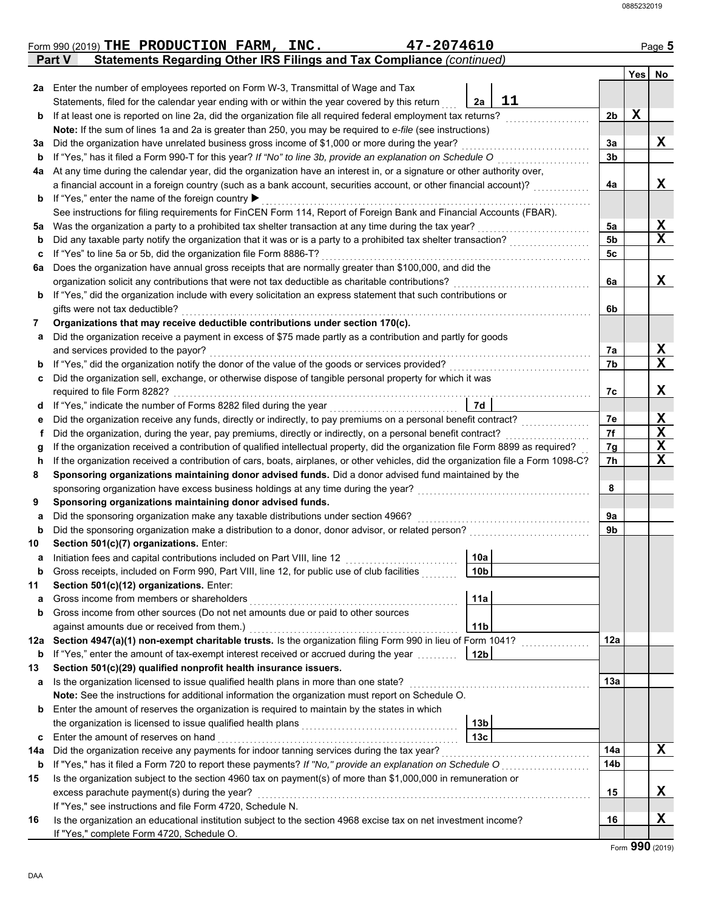|         | 47-2074610<br>Form 990 (2019) THE PRODUCTION FARM, INC.                                                                                                                  |                 |     | Page 5       |
|---------|--------------------------------------------------------------------------------------------------------------------------------------------------------------------------|-----------------|-----|--------------|
|         | Statements Regarding Other IRS Filings and Tax Compliance (continued)<br>Part V                                                                                          |                 |     |              |
|         |                                                                                                                                                                          |                 | Yes | No           |
| 2a      | Enter the number of employees reported on Form W-3, Transmittal of Wage and Tax                                                                                          |                 |     |              |
|         | 11<br>Statements, filed for the calendar year ending with or within the year covered by this return<br>2a                                                                |                 |     |              |
| b       | If at least one is reported on line 2a, did the organization file all required federal employment tax returns?                                                           | 2b              | X   |              |
|         | Note: If the sum of lines 1a and 2a is greater than 250, you may be required to e-file (see instructions)                                                                |                 |     |              |
| За      | Did the organization have unrelated business gross income of \$1,000 or more during the year?                                                                            | За              |     | X            |
| b       | If "Yes," has it filed a Form 990-T for this year? If "No" to line 3b, provide an explanation on Schedule O                                                              | 3b              |     |              |
| 4a      | At any time during the calendar year, did the organization have an interest in, or a signature or other authority over,                                                  |                 |     |              |
|         | a financial account in a foreign country (such as a bank account, securities account, or other financial account)?                                                       | 4a              |     | X            |
| b       | If "Yes," enter the name of the foreign country ▶<br>See instructions for filing requirements for FinCEN Form 114, Report of Foreign Bank and Financial Accounts (FBAR). |                 |     |              |
|         | Was the organization a party to a prohibited tax shelter transaction at any time during the tax year?                                                                    | 5a              |     | X            |
| 5a<br>b | Did any taxable party notify the organization that it was or is a party to a prohibited tax shelter transaction?                                                         | 5b              |     | $\mathbf{x}$ |
| c       | If "Yes" to line 5a or 5b, did the organization file Form 8886-T?                                                                                                        | 5c              |     |              |
| 6a      | Does the organization have annual gross receipts that are normally greater than \$100,000, and did the                                                                   |                 |     |              |
|         | organization solicit any contributions that were not tax deductible as charitable contributions?                                                                         | 6a              |     | x            |
| b       | If "Yes," did the organization include with every solicitation an express statement that such contributions or                                                           |                 |     |              |
|         | gifts were not tax deductible?                                                                                                                                           | 6b              |     |              |
| 7       | Organizations that may receive deductible contributions under section 170(c).                                                                                            |                 |     |              |
| a       | Did the organization receive a payment in excess of \$75 made partly as a contribution and partly for goods                                                              |                 |     |              |
|         | and services provided to the payor?                                                                                                                                      | 7a              |     | X            |
| b       | If "Yes," did the organization notify the donor of the value of the goods or services provided?                                                                          | 7b              |     | $\mathbf x$  |
| c       | Did the organization sell, exchange, or otherwise dispose of tangible personal property for which it was                                                                 |                 |     |              |
|         | required to file Form 8282?                                                                                                                                              | 7c              |     | X            |
| d       | 7d<br>If "Yes," indicate the number of Forms 8282 filed during the year                                                                                                  |                 |     |              |
| е       | Did the organization receive any funds, directly or indirectly, to pay premiums on a personal benefit contract?                                                          | 7e              |     | X            |
| Ť       | Did the organization, during the year, pay premiums, directly or indirectly, on a personal benefit contract?                                                             | 7f              |     | X            |
| g       | If the organization received a contribution of qualified intellectual property, did the organization file Form 8899 as required?                                         | 7g              |     | X            |
| h       | If the organization received a contribution of cars, boats, airplanes, or other vehicles, did the organization file a Form 1098-C?                                       | 7h              |     | $\mathbf x$  |
| 8       | Sponsoring organizations maintaining donor advised funds. Did a donor advised fund maintained by the                                                                     |                 |     |              |
|         | sponsoring organization have excess business holdings at any time during the year?                                                                                       | 8               |     |              |
| 9       | Sponsoring organizations maintaining donor advised funds.                                                                                                                |                 |     |              |
| a       | Did the sponsoring organization make any taxable distributions under section 4966?                                                                                       | 9a              |     |              |
| b       | Did the sponsoring organization make a distribution to a donor, donor advisor, or related person?                                                                        | 9b              |     |              |
| 10      | Section 501(c)(7) organizations. Enter:                                                                                                                                  |                 |     |              |
| а       | Initiation fees and capital contributions included on Part VIII, line 12<br>10a                                                                                          |                 |     |              |
| b       | 10 <sub>b</sub><br>Gross receipts, included on Form 990, Part VIII, line 12, for public use of club facilities                                                           |                 |     |              |
| 11      | Section 501(c)(12) organizations. Enter:                                                                                                                                 |                 |     |              |
| a       | 11a<br>Gross income from members or shareholders                                                                                                                         |                 |     |              |
| b       | Gross income from other sources (Do not net amounts due or paid to other sources                                                                                         |                 |     |              |
|         | 11 <sub>b</sub><br>against amounts due or received from them.)                                                                                                           |                 |     |              |
| 12a     | Section 4947(a)(1) non-exempt charitable trusts. Is the organization filing Form 990 in lieu of Form 1041?                                                               | 12a             |     |              |
| b       | If "Yes," enter the amount of tax-exempt interest received or accrued during the year<br>12 <sub>b</sub>                                                                 |                 |     |              |
| 13      | Section 501(c)(29) qualified nonprofit health insurance issuers.                                                                                                         |                 |     |              |
| а       | Is the organization licensed to issue qualified health plans in more than one state?                                                                                     | 13a             |     |              |
|         | Note: See the instructions for additional information the organization must report on Schedule O.                                                                        |                 |     |              |
| b       | Enter the amount of reserves the organization is required to maintain by the states in which                                                                             |                 |     |              |
|         | 13 <sub>b</sub><br>13 <sub>c</sub>                                                                                                                                       |                 |     |              |
| c       | Enter the amount of reserves on hand<br>Did the organization receive any payments for indoor tanning services during the tax year?                                       | 14a             |     | $\mathbf x$  |
| 14a     | If "Yes," has it filed a Form 720 to report these payments? If "No," provide an explanation on Schedule O                                                                | 14 <sub>b</sub> |     |              |
| b       | Is the organization subject to the section 4960 tax on payment(s) of more than \$1,000,000 in remuneration or                                                            |                 |     |              |
| 15      | excess parachute payment(s) during the year?                                                                                                                             | 15              |     | X            |
|         | If "Yes," see instructions and file Form 4720, Schedule N.                                                                                                               |                 |     |              |
| 16      | Is the organization an educational institution subject to the section 4968 excise tax on net investment income?                                                          | 16              |     | X            |
|         | If "Yes," complete Form 4720, Schedule O.                                                                                                                                |                 |     |              |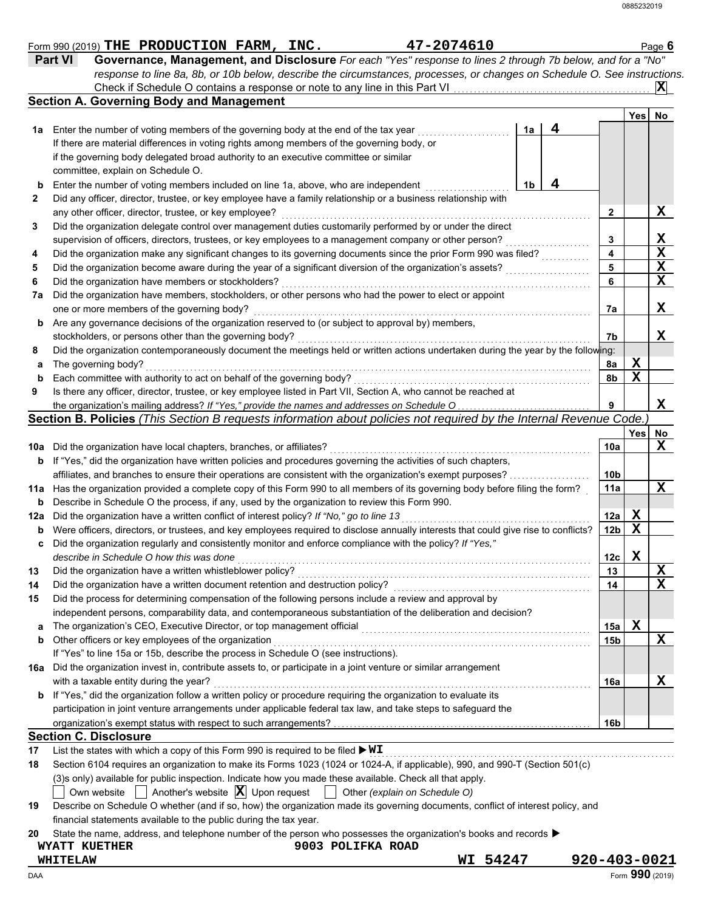|               |                                                                                                                                              |                 |             | $ \mathbf{X} $ |
|---------------|----------------------------------------------------------------------------------------------------------------------------------------------|-----------------|-------------|----------------|
|               | <b>Section A. Governing Body and Management</b>                                                                                              |                 | Yes         | <b>No</b>      |
| 1a            | 4<br>Enter the number of voting members of the governing body at the end of the tax year<br>1a                                               |                 |             |                |
|               | If there are material differences in voting rights among members of the governing body, or                                                   |                 |             |                |
|               | if the governing body delegated broad authority to an executive committee or similar                                                         |                 |             |                |
|               | committee, explain on Schedule O.                                                                                                            |                 |             |                |
| b             | 4<br>Enter the number of voting members included on line 1a, above, who are independent<br>1b                                                |                 |             |                |
|               | Did any officer, director, trustee, or key employee have a family relationship or a business relationship with                               |                 |             |                |
|               | any other officer, director, trustee, or key employee?                                                                                       | $\mathbf{2}$    |             | X              |
|               | Did the organization delegate control over management duties customarily performed by or under the direct                                    |                 |             |                |
|               | supervision of officers, directors, trustees, or key employees to a management company or other person?                                      | 3               |             | X              |
|               | Did the organization make any significant changes to its governing documents since the prior Form 990 was filed?                             | 4               |             | X              |
|               | Did the organization become aware during the year of a significant diversion of the organization's assets?                                   | 5               |             | X              |
|               | Did the organization have members or stockholders?                                                                                           | 6               |             | X              |
| 7a            | Did the organization have members, stockholders, or other persons who had the power to elect or appoint                                      |                 |             |                |
|               | one or more members of the governing body?                                                                                                   | 7а              |             | X              |
| b             | Are any governance decisions of the organization reserved to (or subject to approval by) members,                                            |                 |             |                |
|               | stockholders, or persons other than the governing body?                                                                                      | 7b              |             | X              |
|               | Did the organization contemporaneously document the meetings held or written actions undertaken during the year by the following:            |                 |             |                |
| а             | The governing body?                                                                                                                          | 8a              | Х           |                |
| $\mathbf b$   | Each committee with authority to act on behalf of the governing body?                                                                        | 8b              | $\mathbf X$ |                |
|               | Is there any officer, director, trustee, or key employee listed in Part VII, Section A, who cannot be reached at                             |                 |             |                |
|               |                                                                                                                                              | 9               |             | X              |
|               | Section B. Policies (This Section B requests information about policies not required by the Internal Revenue Code.)                          |                 |             |                |
|               |                                                                                                                                              |                 | Yes         | No             |
| 10a           | Did the organization have local chapters, branches, or affiliates?                                                                           | 10a             |             | X              |
| b             | If "Yes," did the organization have written policies and procedures governing the activities of such chapters,                               |                 |             |                |
|               | affiliates, and branches to ensure their operations are consistent with the organization's exempt purposes?                                  | 10b             |             |                |
| 11a           | Has the organization provided a complete copy of this Form 990 to all members of its governing body before filing the form?                  | 11a             |             | X              |
| b             | Describe in Schedule O the process, if any, used by the organization to review this Form 990.                                                |                 |             |                |
|               | Did the organization have a written conflict of interest policy? If "No," go to line 13                                                      | 12a             | X           |                |
|               | Were officers, directors, or trustees, and key employees required to disclose annually interests that could give rise to conflicts?          | 12 <sub>b</sub> | X           |                |
|               |                                                                                                                                              |                 |             |                |
|               |                                                                                                                                              |                 |             |                |
|               | Did the organization regularly and consistently monitor and enforce compliance with the policy? If "Yes,"                                    |                 |             | X              |
|               | describe in Schedule O how this was done                                                                                                     | 12c             | X           | $\mathbf X$    |
|               | Did the organization have a written whistleblower policy?                                                                                    | 13              |             |                |
|               | Did the organization have a written document retention and destruction policy?                                                               | 14              |             |                |
| 12a<br>b<br>с | Did the process for determining compensation of the following persons include a review and approval by                                       |                 |             |                |
|               | independent persons, comparability data, and contemporaneous substantiation of the deliberation and decision?                                |                 |             |                |
|               | The organization's CEO, Executive Director, or top management official                                                                       | 15a             | X           |                |
|               | Other officers or key employees of the organization                                                                                          | 15b             |             |                |
|               | If "Yes" to line 15a or 15b, describe the process in Schedule O (see instructions).                                                          |                 |             |                |
|               | Did the organization invest in, contribute assets to, or participate in a joint venture or similar arrangement                               |                 |             |                |
| a<br>b<br>16а | with a taxable entity during the year?                                                                                                       | 16a             |             |                |
|               | If "Yes," did the organization follow a written policy or procedure requiring the organization to evaluate its                               |                 |             |                |
|               | participation in joint venture arrangements under applicable federal tax law, and take steps to safeguard the                                |                 |             |                |
|               |                                                                                                                                              | 16b             |             |                |
| b             | <b>Section C. Disclosure</b><br>List the states with which a copy of this Form 990 is required to be filed $\blacktriangleright \texttt{WI}$ |                 |             | X<br>X         |

| 19 Describe on Schedule O whether (and if so, how) the organization made its governing documents, conflict of interest policy, and |
|------------------------------------------------------------------------------------------------------------------------------------|
| financial statements available to the public during the tax year.                                                                  |

**20** State the name, address, and telephone number of the person who possesses the organization's books and records ▶

**WYATT KUETHER 9003 POLIFKA ROAD**

**WHITELAW WI 54247 920-403-0021**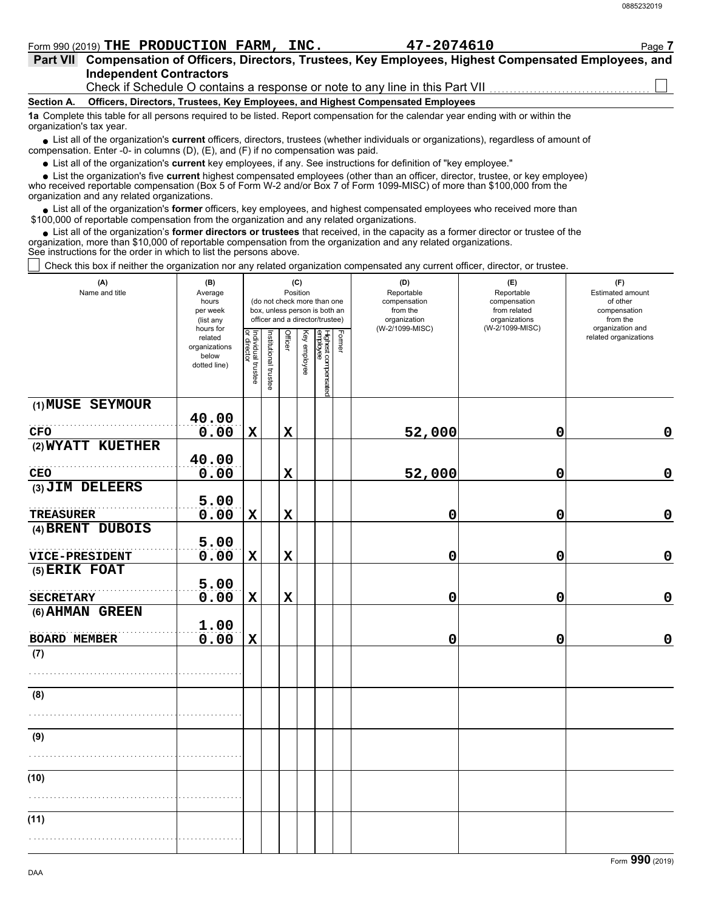$\Box$  Check this box if neither the organization nor any related organization compensated any current officer, director, or trustee.

| Crieck this box if neither the organization nor any related organization compensated any current onicer, director, or trustee. |                                                                                                    |                                   |                       |                                   |              |                                                                                                 |        |                                                                                  |                                                                                       |                                                                                                              |
|--------------------------------------------------------------------------------------------------------------------------------|----------------------------------------------------------------------------------------------------|-----------------------------------|-----------------------|-----------------------------------|--------------|-------------------------------------------------------------------------------------------------|--------|----------------------------------------------------------------------------------|---------------------------------------------------------------------------------------|--------------------------------------------------------------------------------------------------------------|
| (A)<br>Name and title                                                                                                          | (B)<br>Average<br>hours<br>per week<br>(list any<br>hours for<br>related<br>organizations<br>below |                                   |                       | (C)<br>Position<br><b>Officer</b> | Key employee | (do not check more than one<br>box, unless person is both an<br>officer and a director/trustee) | Former | (D)<br>Reportable<br>compensation<br>from the<br>organization<br>(W-2/1099-MISC) | (E)<br>Reportable<br>compensation<br>from related<br>organizations<br>(W-2/1099-MISC) | (F)<br>Estimated amount<br>of other<br>compensation<br>from the<br>organization and<br>related organizations |
|                                                                                                                                | dotted line)                                                                                       | Individual trustee<br>or director | Institutional trustee |                                   |              | Highest compensated<br>employee                                                                 |        |                                                                                  |                                                                                       |                                                                                                              |
| (1) MUSE SEYMOUR                                                                                                               | 40.00                                                                                              |                                   |                       |                                   |              |                                                                                                 |        |                                                                                  |                                                                                       |                                                                                                              |
| <b>CFO</b>                                                                                                                     | 0.00                                                                                               | $\mathbf X$                       |                       | $\mathbf x$                       |              |                                                                                                 |        | 52,000                                                                           | 0                                                                                     | $\mathbf 0$                                                                                                  |
| (2) WYATT KUETHER                                                                                                              | 40.00                                                                                              |                                   |                       |                                   |              |                                                                                                 |        |                                                                                  |                                                                                       |                                                                                                              |
| <b>CEO</b>                                                                                                                     | 0.00                                                                                               |                                   |                       | $\mathbf x$                       |              |                                                                                                 |        | 52,000                                                                           | 0                                                                                     | $\mathbf 0$                                                                                                  |
| (3) JIM DELEERS                                                                                                                |                                                                                                    |                                   |                       |                                   |              |                                                                                                 |        |                                                                                  |                                                                                       |                                                                                                              |
| <b>TREASURER</b>                                                                                                               | 5.00<br>0.00                                                                                       | $\mathbf X$                       |                       | $\mathbf x$                       |              |                                                                                                 |        | 0                                                                                | 0                                                                                     | $\mathbf 0$                                                                                                  |
| (4) BRENT DUBOIS                                                                                                               |                                                                                                    |                                   |                       |                                   |              |                                                                                                 |        |                                                                                  |                                                                                       |                                                                                                              |
| VICE-PRESIDENT                                                                                                                 | 5.00<br>0.00                                                                                       | $\mathbf X$                       |                       | $\mathbf x$                       |              |                                                                                                 |        | 0                                                                                | 0                                                                                     | $\mathbf 0$                                                                                                  |
| (5) ERIK FOAT                                                                                                                  |                                                                                                    |                                   |                       |                                   |              |                                                                                                 |        |                                                                                  |                                                                                       |                                                                                                              |
|                                                                                                                                | 5.00                                                                                               |                                   |                       |                                   |              |                                                                                                 |        |                                                                                  |                                                                                       |                                                                                                              |
| <b>SECRETARY</b>                                                                                                               | 0.00                                                                                               | $\mathbf X$                       |                       | $\mathbf x$                       |              |                                                                                                 |        | 0                                                                                | 0                                                                                     | $\mathbf 0$                                                                                                  |
| (6) AHMAN GREEN                                                                                                                | 1.00                                                                                               |                                   |                       |                                   |              |                                                                                                 |        |                                                                                  |                                                                                       |                                                                                                              |
| <b>BOARD MEMBER</b>                                                                                                            | 0.00                                                                                               | $\mathbf X$                       |                       |                                   |              |                                                                                                 |        | 0                                                                                | 0                                                                                     | $\mathbf 0$                                                                                                  |
| (7)                                                                                                                            |                                                                                                    |                                   |                       |                                   |              |                                                                                                 |        |                                                                                  |                                                                                       |                                                                                                              |
|                                                                                                                                |                                                                                                    |                                   |                       |                                   |              |                                                                                                 |        |                                                                                  |                                                                                       |                                                                                                              |
| (8)                                                                                                                            |                                                                                                    |                                   |                       |                                   |              |                                                                                                 |        |                                                                                  |                                                                                       |                                                                                                              |
|                                                                                                                                |                                                                                                    |                                   |                       |                                   |              |                                                                                                 |        |                                                                                  |                                                                                       |                                                                                                              |
| (9)                                                                                                                            |                                                                                                    |                                   |                       |                                   |              |                                                                                                 |        |                                                                                  |                                                                                       |                                                                                                              |
|                                                                                                                                |                                                                                                    |                                   |                       |                                   |              |                                                                                                 |        |                                                                                  |                                                                                       |                                                                                                              |
| (10)                                                                                                                           |                                                                                                    |                                   |                       |                                   |              |                                                                                                 |        |                                                                                  |                                                                                       |                                                                                                              |
|                                                                                                                                |                                                                                                    |                                   |                       |                                   |              |                                                                                                 |        |                                                                                  |                                                                                       |                                                                                                              |
| (11)                                                                                                                           |                                                                                                    |                                   |                       |                                   |              |                                                                                                 |        |                                                                                  |                                                                                       |                                                                                                              |
|                                                                                                                                |                                                                                                    |                                   |                       |                                   |              |                                                                                                 |        |                                                                                  |                                                                                       |                                                                                                              |
|                                                                                                                                |                                                                                                    |                                   |                       |                                   |              |                                                                                                 |        |                                                                                  |                                                                                       |                                                                                                              |

### ■ List all of the organization's **current** officers, directors, trustees (whether individuals or organizations), regardless of amount of compensation. Enter -0- in columns (D), (E), and (F) if no compensation was paid. organization's tax year.

List all of the organization's **current** key employees, if any. See instructions for definition of "key employee."

**Officers, Directors, Trustees, Key Employees, and Highest Compensated Employees 1a** Complete this table for all persons required to be listed. Report compensation for the calendar year ending with or within the

Check if Schedule O contains a response or note to any line in this Part VII

who received reportable compensation (Box 5 of Form W-2 and/or Box 7 of Form 1099-MISC) of more than \$100,000 from the organization and any related organizations.

• List all of the organization's **former** officers, key employees, and highest compensated employees who received more than<br>00,000 of reportable compensation from the organization and any related erganizations. \$100,000 of reportable compensation from the organization and any related organizations.

■ List all of the organization's **current** key employees, if any. See instructions for definition of "key employee."<br>■ List the organization's five **current** highest compensated employees (other than an officer, director,

• List all of the organization's **former directors or trustees** that received, in the capacity as a former director or trustee of the anization more than \$10,000 of reportable compensation from the organization and any rel organization, more than \$10,000 of reportable compensation from the organization and any related organizations.

See instructions for the order in which to list the persons above.

## **Part VII Compensation of Officers, Directors, Trustees, Key Employees, Highest Compensated Employees, and** Form 990 (2019) Page **7 THE PRODUCTION FARM, INC. 47-2074610**

**Independent Contractors**

**Section A.**

0885232019

Form **990** (2019)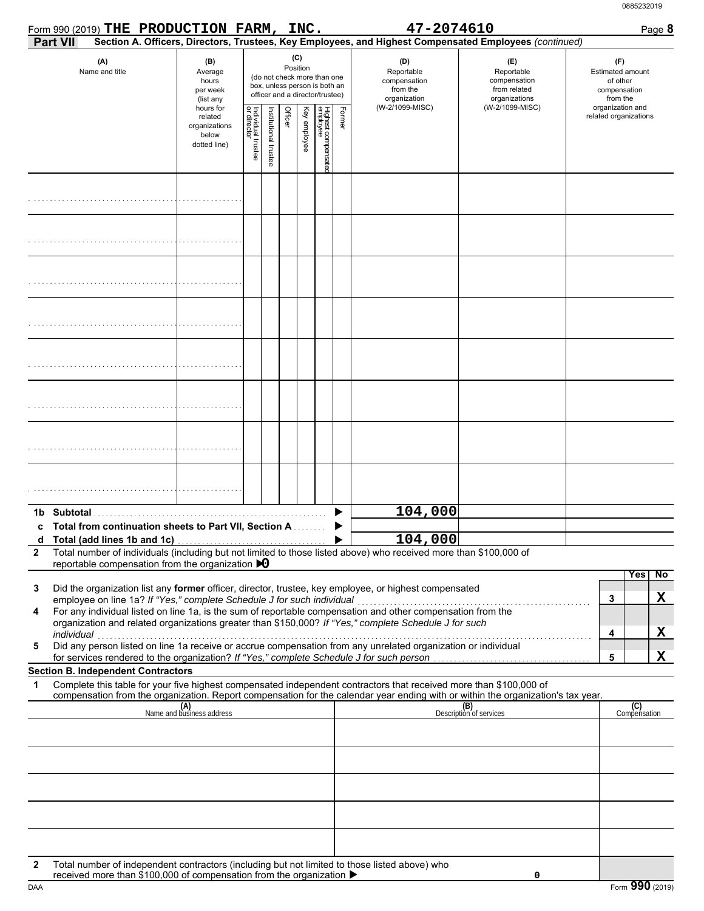|                       |            | Form 990 (2019) THE PRODUCTION FARM, INC.                                                |                                                                |                                   |                       |                 |              |                                                                                                 |        | 47-2074610                                                                                                                                                                                                           |                                                                                                                                                                    | Page 8                                                          |
|-----------------------|------------|------------------------------------------------------------------------------------------|----------------------------------------------------------------|-----------------------------------|-----------------------|-----------------|--------------|-------------------------------------------------------------------------------------------------|--------|----------------------------------------------------------------------------------------------------------------------------------------------------------------------------------------------------------------------|--------------------------------------------------------------------------------------------------------------------------------------------------------------------|-----------------------------------------------------------------|
|                       | Part VII   |                                                                                          |                                                                |                                   |                       |                 |              |                                                                                                 |        |                                                                                                                                                                                                                      | Section A. Officers, Directors, Trustees, Key Employees, and Highest Compensated Employees (continued)                                                             |                                                                 |
| (A)<br>Name and title |            |                                                                                          | (B)<br>Average<br>hours<br>per week<br>(list any               |                                   |                       | (C)<br>Position |              | (do not check more than one<br>box, unless person is both an<br>officer and a director/trustee) |        | (D)<br>Reportable<br>compensation<br>from the<br>organization                                                                                                                                                        | (E)<br>Reportable<br>compensation<br>from related<br>organizations                                                                                                 | (F)<br>Estimated amount<br>of other<br>compensation<br>from the |
|                       |            |                                                                                          | hours for<br>related<br>organizations<br>below<br>dotted line) | Individual trustee<br>or director | Institutional trustee | Officer         | Key employee | Highest compensate<br>employee                                                                  | Former | (W-2/1099-MISC)                                                                                                                                                                                                      | (W-2/1099-MISC)                                                                                                                                                    | organization and<br>related organizations                       |
|                       |            |                                                                                          |                                                                |                                   |                       |                 |              |                                                                                                 |        |                                                                                                                                                                                                                      |                                                                                                                                                                    |                                                                 |
|                       |            |                                                                                          |                                                                |                                   |                       |                 |              |                                                                                                 |        |                                                                                                                                                                                                                      |                                                                                                                                                                    |                                                                 |
|                       |            |                                                                                          |                                                                |                                   |                       |                 |              |                                                                                                 |        |                                                                                                                                                                                                                      |                                                                                                                                                                    |                                                                 |
|                       |            |                                                                                          |                                                                |                                   |                       |                 |              |                                                                                                 |        |                                                                                                                                                                                                                      |                                                                                                                                                                    |                                                                 |
|                       |            |                                                                                          |                                                                |                                   |                       |                 |              |                                                                                                 |        |                                                                                                                                                                                                                      |                                                                                                                                                                    |                                                                 |
|                       |            |                                                                                          |                                                                |                                   |                       |                 |              |                                                                                                 |        |                                                                                                                                                                                                                      |                                                                                                                                                                    |                                                                 |
|                       |            |                                                                                          |                                                                |                                   |                       |                 |              |                                                                                                 |        |                                                                                                                                                                                                                      |                                                                                                                                                                    |                                                                 |
|                       |            |                                                                                          |                                                                |                                   |                       |                 |              |                                                                                                 |        |                                                                                                                                                                                                                      |                                                                                                                                                                    |                                                                 |
|                       |            |                                                                                          |                                                                |                                   |                       |                 |              |                                                                                                 |        | 104,000                                                                                                                                                                                                              |                                                                                                                                                                    |                                                                 |
|                       |            | Total from continuation sheets to Part VII, Section A                                    |                                                                |                                   |                       |                 |              |                                                                                                 |        |                                                                                                                                                                                                                      |                                                                                                                                                                    |                                                                 |
| $\mathbf{2}$          |            |                                                                                          |                                                                |                                   |                       |                 |              |                                                                                                 |        | 104,000<br>Total number of individuals (including but not limited to those listed above) who received more than \$100,000 of                                                                                         |                                                                                                                                                                    |                                                                 |
|                       |            | reportable compensation from the organization $\bigtriangledown$                         |                                                                |                                   |                       |                 |              |                                                                                                 |        |                                                                                                                                                                                                                      |                                                                                                                                                                    |                                                                 |
| 3                     |            | employee on line 1a? If "Yes," complete Schedule J for such individual                   |                                                                |                                   |                       |                 |              |                                                                                                 |        | Did the organization list any former officer, director, trustee, key employee, or highest compensated                                                                                                                |                                                                                                                                                                    | No<br><b>Yes</b><br>X<br>3                                      |
| 4                     | individual |                                                                                          |                                                                |                                   |                       |                 |              |                                                                                                 |        | For any individual listed on line 1a, is the sum of reportable compensation and other compensation from the<br>organization and related organizations greater than \$150,000? If "Yes," complete Schedule J for such |                                                                                                                                                                    | X<br>4                                                          |
| 5                     |            | for services rendered to the organization? If "Yes," complete Schedule J for such person |                                                                |                                   |                       |                 |              |                                                                                                 |        | marviauar<br>Did any person listed on line 1a receive or accrue compensation from any unrelated organization or individual                                                                                           |                                                                                                                                                                    | X<br>5                                                          |
|                       |            | <b>Section B. Independent Contractors</b>                                                |                                                                |                                   |                       |                 |              |                                                                                                 |        |                                                                                                                                                                                                                      |                                                                                                                                                                    |                                                                 |
| 1                     |            |                                                                                          |                                                                |                                   |                       |                 |              |                                                                                                 |        | Complete this table for your five highest compensated independent contractors that received more than \$100,000 of                                                                                                   |                                                                                                                                                                    |                                                                 |
|                       |            |                                                                                          | (A)<br>Name and business address                               |                                   |                       |                 |              |                                                                                                 |        |                                                                                                                                                                                                                      | compensation from the organization. Report compensation for the calendar year ending with or within the organization's tax year.<br>(B)<br>Description of services | (C)<br>Compensation                                             |
|                       |            |                                                                                          |                                                                |                                   |                       |                 |              |                                                                                                 |        |                                                                                                                                                                                                                      |                                                                                                                                                                    |                                                                 |
|                       |            |                                                                                          |                                                                |                                   |                       |                 |              |                                                                                                 |        |                                                                                                                                                                                                                      |                                                                                                                                                                    |                                                                 |
|                       |            |                                                                                          |                                                                |                                   |                       |                 |              |                                                                                                 |        |                                                                                                                                                                                                                      |                                                                                                                                                                    |                                                                 |
|                       |            |                                                                                          |                                                                |                                   |                       |                 |              |                                                                                                 |        |                                                                                                                                                                                                                      |                                                                                                                                                                    |                                                                 |
| 2                     |            |                                                                                          |                                                                |                                   |                       |                 |              |                                                                                                 |        | Total number of independent contractors (including but not limited to those listed above) who                                                                                                                        |                                                                                                                                                                    |                                                                 |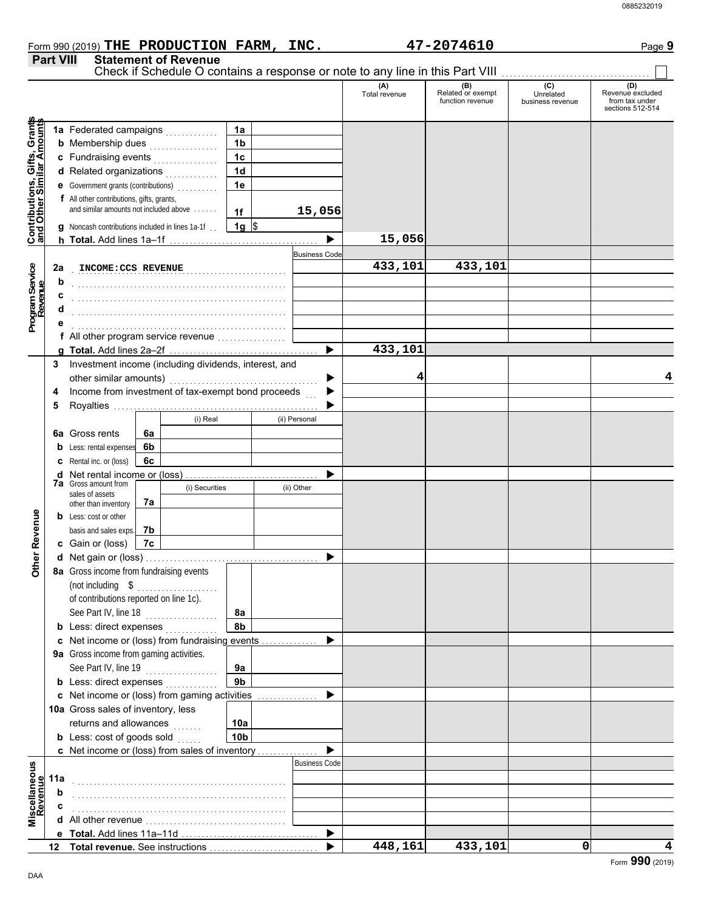| Form 990 (2019) THE PRODUCTION FARM,  | INC. | 47-2074610 | Paqe 9 |
|---------------------------------------|------|------------|--------|
| <b>Part VIII Statement of Revenue</b> |      |            |        |

| (C)<br>(A)<br>(D)<br>(B)<br>Related or exempt<br>Revenue excluded<br>Unrelated<br>Total revenue<br>function revenue<br>from tax under<br>business revenue<br>sections 512-514<br>Contributions, Gifts, Grants<br>and Other Similar Amounts<br>1a<br>1 <sub>b</sub><br>1 <sub>c</sub><br>c Fundraising events<br>d Related organizations<br>1 <sub>d</sub><br>e Government grants (contributions)<br>1e<br>f All other contributions, gifts, grants,<br>and similar amounts not included above<br>15,056<br>1f<br>$1g \sqrt{3}$<br>g Noncash contributions included in lines 1a-1f.<br>15,056<br>▶<br><b>Business Code</b><br>433,101<br>433,101<br>Program Service<br>Revenue<br>2a<br>INCOME: CCS REVENUE<br>b<br>c<br>d<br>f All other program service revenue<br>433,101<br>▶<br>Investment income (including dividends, interest, and<br>3<br>other similar amounts)<br>4<br>▶<br>Income from investment of tax-exempt bond proceeds<br>▶<br>4<br>5<br>(i) Real<br>(ii) Personal<br>6a Gross rents<br>6a<br>6b<br><b>b</b> Less: rental expenses<br><b>c</b> Rental inc. or (loss)<br>6с<br><b>d</b> Net rental income or (loss)<br>▶<br><b>7a</b> Gross amount from<br>(i) Securities<br>(ii) Other<br>sales of assets<br>7a<br>other than inventory<br><b>Other Revenue</b><br><b>b</b> Less: cost or other<br>basis and sales exps.<br>7b<br>c Gain or (loss)<br>7c<br>▶<br>8a Gross income from fundraising events<br>(not including \$<br>of contributions reported on line 1c).<br>See Part IV, line 18<br>8a<br>8b<br>c Net income or (loss) from fundraising events<br>▶<br>9a Gross income from gaming activities.<br>See Part IV, line 19<br>9a<br>9 <sub>b</sub><br><b>b</b> Less: direct expenses<br>c Net income or (loss) from gaming activities<br>▶<br>10a Gross sales of inventory, less<br>returns and allowances<br>10a<br><b>b</b> Less: cost of goods sold<br>10 <sub>b</sub><br>c Net income or (loss) from sales of inventory<br><b>Business Code</b><br>Miscellaneous<br>Revenue<br>11a<br>b<br>c<br>▶<br>0 |    |  |  |  |  |  | Check if Schedule O contains a response or note to any line in this Part VIII |         |  |
|-----------------------------------------------------------------------------------------------------------------------------------------------------------------------------------------------------------------------------------------------------------------------------------------------------------------------------------------------------------------------------------------------------------------------------------------------------------------------------------------------------------------------------------------------------------------------------------------------------------------------------------------------------------------------------------------------------------------------------------------------------------------------------------------------------------------------------------------------------------------------------------------------------------------------------------------------------------------------------------------------------------------------------------------------------------------------------------------------------------------------------------------------------------------------------------------------------------------------------------------------------------------------------------------------------------------------------------------------------------------------------------------------------------------------------------------------------------------------------------------------------------------------------------------------------------------------------------------------------------------------------------------------------------------------------------------------------------------------------------------------------------------------------------------------------------------------------------------------------------------------------------------------------------------------------------------------------------------------------------------------------------------------------------------|----|--|--|--|--|--|-------------------------------------------------------------------------------|---------|--|
|                                                                                                                                                                                                                                                                                                                                                                                                                                                                                                                                                                                                                                                                                                                                                                                                                                                                                                                                                                                                                                                                                                                                                                                                                                                                                                                                                                                                                                                                                                                                                                                                                                                                                                                                                                                                                                                                                                                                                                                                                                         |    |  |  |  |  |  |                                                                               |         |  |
|                                                                                                                                                                                                                                                                                                                                                                                                                                                                                                                                                                                                                                                                                                                                                                                                                                                                                                                                                                                                                                                                                                                                                                                                                                                                                                                                                                                                                                                                                                                                                                                                                                                                                                                                                                                                                                                                                                                                                                                                                                         |    |  |  |  |  |  |                                                                               |         |  |
|                                                                                                                                                                                                                                                                                                                                                                                                                                                                                                                                                                                                                                                                                                                                                                                                                                                                                                                                                                                                                                                                                                                                                                                                                                                                                                                                                                                                                                                                                                                                                                                                                                                                                                                                                                                                                                                                                                                                                                                                                                         |    |  |  |  |  |  |                                                                               |         |  |
|                                                                                                                                                                                                                                                                                                                                                                                                                                                                                                                                                                                                                                                                                                                                                                                                                                                                                                                                                                                                                                                                                                                                                                                                                                                                                                                                                                                                                                                                                                                                                                                                                                                                                                                                                                                                                                                                                                                                                                                                                                         |    |  |  |  |  |  |                                                                               |         |  |
|                                                                                                                                                                                                                                                                                                                                                                                                                                                                                                                                                                                                                                                                                                                                                                                                                                                                                                                                                                                                                                                                                                                                                                                                                                                                                                                                                                                                                                                                                                                                                                                                                                                                                                                                                                                                                                                                                                                                                                                                                                         |    |  |  |  |  |  |                                                                               |         |  |
|                                                                                                                                                                                                                                                                                                                                                                                                                                                                                                                                                                                                                                                                                                                                                                                                                                                                                                                                                                                                                                                                                                                                                                                                                                                                                                                                                                                                                                                                                                                                                                                                                                                                                                                                                                                                                                                                                                                                                                                                                                         |    |  |  |  |  |  |                                                                               |         |  |
|                                                                                                                                                                                                                                                                                                                                                                                                                                                                                                                                                                                                                                                                                                                                                                                                                                                                                                                                                                                                                                                                                                                                                                                                                                                                                                                                                                                                                                                                                                                                                                                                                                                                                                                                                                                                                                                                                                                                                                                                                                         |    |  |  |  |  |  |                                                                               |         |  |
|                                                                                                                                                                                                                                                                                                                                                                                                                                                                                                                                                                                                                                                                                                                                                                                                                                                                                                                                                                                                                                                                                                                                                                                                                                                                                                                                                                                                                                                                                                                                                                                                                                                                                                                                                                                                                                                                                                                                                                                                                                         |    |  |  |  |  |  |                                                                               |         |  |
|                                                                                                                                                                                                                                                                                                                                                                                                                                                                                                                                                                                                                                                                                                                                                                                                                                                                                                                                                                                                                                                                                                                                                                                                                                                                                                                                                                                                                                                                                                                                                                                                                                                                                                                                                                                                                                                                                                                                                                                                                                         |    |  |  |  |  |  |                                                                               |         |  |
|                                                                                                                                                                                                                                                                                                                                                                                                                                                                                                                                                                                                                                                                                                                                                                                                                                                                                                                                                                                                                                                                                                                                                                                                                                                                                                                                                                                                                                                                                                                                                                                                                                                                                                                                                                                                                                                                                                                                                                                                                                         |    |  |  |  |  |  |                                                                               |         |  |
|                                                                                                                                                                                                                                                                                                                                                                                                                                                                                                                                                                                                                                                                                                                                                                                                                                                                                                                                                                                                                                                                                                                                                                                                                                                                                                                                                                                                                                                                                                                                                                                                                                                                                                                                                                                                                                                                                                                                                                                                                                         |    |  |  |  |  |  |                                                                               |         |  |
|                                                                                                                                                                                                                                                                                                                                                                                                                                                                                                                                                                                                                                                                                                                                                                                                                                                                                                                                                                                                                                                                                                                                                                                                                                                                                                                                                                                                                                                                                                                                                                                                                                                                                                                                                                                                                                                                                                                                                                                                                                         |    |  |  |  |  |  |                                                                               |         |  |
|                                                                                                                                                                                                                                                                                                                                                                                                                                                                                                                                                                                                                                                                                                                                                                                                                                                                                                                                                                                                                                                                                                                                                                                                                                                                                                                                                                                                                                                                                                                                                                                                                                                                                                                                                                                                                                                                                                                                                                                                                                         |    |  |  |  |  |  |                                                                               |         |  |
|                                                                                                                                                                                                                                                                                                                                                                                                                                                                                                                                                                                                                                                                                                                                                                                                                                                                                                                                                                                                                                                                                                                                                                                                                                                                                                                                                                                                                                                                                                                                                                                                                                                                                                                                                                                                                                                                                                                                                                                                                                         |    |  |  |  |  |  |                                                                               |         |  |
|                                                                                                                                                                                                                                                                                                                                                                                                                                                                                                                                                                                                                                                                                                                                                                                                                                                                                                                                                                                                                                                                                                                                                                                                                                                                                                                                                                                                                                                                                                                                                                                                                                                                                                                                                                                                                                                                                                                                                                                                                                         |    |  |  |  |  |  |                                                                               |         |  |
|                                                                                                                                                                                                                                                                                                                                                                                                                                                                                                                                                                                                                                                                                                                                                                                                                                                                                                                                                                                                                                                                                                                                                                                                                                                                                                                                                                                                                                                                                                                                                                                                                                                                                                                                                                                                                                                                                                                                                                                                                                         |    |  |  |  |  |  |                                                                               |         |  |
|                                                                                                                                                                                                                                                                                                                                                                                                                                                                                                                                                                                                                                                                                                                                                                                                                                                                                                                                                                                                                                                                                                                                                                                                                                                                                                                                                                                                                                                                                                                                                                                                                                                                                                                                                                                                                                                                                                                                                                                                                                         |    |  |  |  |  |  |                                                                               |         |  |
|                                                                                                                                                                                                                                                                                                                                                                                                                                                                                                                                                                                                                                                                                                                                                                                                                                                                                                                                                                                                                                                                                                                                                                                                                                                                                                                                                                                                                                                                                                                                                                                                                                                                                                                                                                                                                                                                                                                                                                                                                                         |    |  |  |  |  |  |                                                                               |         |  |
|                                                                                                                                                                                                                                                                                                                                                                                                                                                                                                                                                                                                                                                                                                                                                                                                                                                                                                                                                                                                                                                                                                                                                                                                                                                                                                                                                                                                                                                                                                                                                                                                                                                                                                                                                                                                                                                                                                                                                                                                                                         |    |  |  |  |  |  |                                                                               |         |  |
|                                                                                                                                                                                                                                                                                                                                                                                                                                                                                                                                                                                                                                                                                                                                                                                                                                                                                                                                                                                                                                                                                                                                                                                                                                                                                                                                                                                                                                                                                                                                                                                                                                                                                                                                                                                                                                                                                                                                                                                                                                         |    |  |  |  |  |  |                                                                               |         |  |
|                                                                                                                                                                                                                                                                                                                                                                                                                                                                                                                                                                                                                                                                                                                                                                                                                                                                                                                                                                                                                                                                                                                                                                                                                                                                                                                                                                                                                                                                                                                                                                                                                                                                                                                                                                                                                                                                                                                                                                                                                                         |    |  |  |  |  |  |                                                                               |         |  |
|                                                                                                                                                                                                                                                                                                                                                                                                                                                                                                                                                                                                                                                                                                                                                                                                                                                                                                                                                                                                                                                                                                                                                                                                                                                                                                                                                                                                                                                                                                                                                                                                                                                                                                                                                                                                                                                                                                                                                                                                                                         |    |  |  |  |  |  |                                                                               |         |  |
|                                                                                                                                                                                                                                                                                                                                                                                                                                                                                                                                                                                                                                                                                                                                                                                                                                                                                                                                                                                                                                                                                                                                                                                                                                                                                                                                                                                                                                                                                                                                                                                                                                                                                                                                                                                                                                                                                                                                                                                                                                         |    |  |  |  |  |  |                                                                               |         |  |
|                                                                                                                                                                                                                                                                                                                                                                                                                                                                                                                                                                                                                                                                                                                                                                                                                                                                                                                                                                                                                                                                                                                                                                                                                                                                                                                                                                                                                                                                                                                                                                                                                                                                                                                                                                                                                                                                                                                                                                                                                                         |    |  |  |  |  |  |                                                                               |         |  |
|                                                                                                                                                                                                                                                                                                                                                                                                                                                                                                                                                                                                                                                                                                                                                                                                                                                                                                                                                                                                                                                                                                                                                                                                                                                                                                                                                                                                                                                                                                                                                                                                                                                                                                                                                                                                                                                                                                                                                                                                                                         |    |  |  |  |  |  |                                                                               |         |  |
|                                                                                                                                                                                                                                                                                                                                                                                                                                                                                                                                                                                                                                                                                                                                                                                                                                                                                                                                                                                                                                                                                                                                                                                                                                                                                                                                                                                                                                                                                                                                                                                                                                                                                                                                                                                                                                                                                                                                                                                                                                         |    |  |  |  |  |  |                                                                               |         |  |
|                                                                                                                                                                                                                                                                                                                                                                                                                                                                                                                                                                                                                                                                                                                                                                                                                                                                                                                                                                                                                                                                                                                                                                                                                                                                                                                                                                                                                                                                                                                                                                                                                                                                                                                                                                                                                                                                                                                                                                                                                                         |    |  |  |  |  |  |                                                                               |         |  |
|                                                                                                                                                                                                                                                                                                                                                                                                                                                                                                                                                                                                                                                                                                                                                                                                                                                                                                                                                                                                                                                                                                                                                                                                                                                                                                                                                                                                                                                                                                                                                                                                                                                                                                                                                                                                                                                                                                                                                                                                                                         |    |  |  |  |  |  |                                                                               |         |  |
|                                                                                                                                                                                                                                                                                                                                                                                                                                                                                                                                                                                                                                                                                                                                                                                                                                                                                                                                                                                                                                                                                                                                                                                                                                                                                                                                                                                                                                                                                                                                                                                                                                                                                                                                                                                                                                                                                                                                                                                                                                         |    |  |  |  |  |  |                                                                               |         |  |
|                                                                                                                                                                                                                                                                                                                                                                                                                                                                                                                                                                                                                                                                                                                                                                                                                                                                                                                                                                                                                                                                                                                                                                                                                                                                                                                                                                                                                                                                                                                                                                                                                                                                                                                                                                                                                                                                                                                                                                                                                                         |    |  |  |  |  |  |                                                                               |         |  |
|                                                                                                                                                                                                                                                                                                                                                                                                                                                                                                                                                                                                                                                                                                                                                                                                                                                                                                                                                                                                                                                                                                                                                                                                                                                                                                                                                                                                                                                                                                                                                                                                                                                                                                                                                                                                                                                                                                                                                                                                                                         |    |  |  |  |  |  |                                                                               |         |  |
|                                                                                                                                                                                                                                                                                                                                                                                                                                                                                                                                                                                                                                                                                                                                                                                                                                                                                                                                                                                                                                                                                                                                                                                                                                                                                                                                                                                                                                                                                                                                                                                                                                                                                                                                                                                                                                                                                                                                                                                                                                         |    |  |  |  |  |  |                                                                               |         |  |
|                                                                                                                                                                                                                                                                                                                                                                                                                                                                                                                                                                                                                                                                                                                                                                                                                                                                                                                                                                                                                                                                                                                                                                                                                                                                                                                                                                                                                                                                                                                                                                                                                                                                                                                                                                                                                                                                                                                                                                                                                                         |    |  |  |  |  |  |                                                                               |         |  |
|                                                                                                                                                                                                                                                                                                                                                                                                                                                                                                                                                                                                                                                                                                                                                                                                                                                                                                                                                                                                                                                                                                                                                                                                                                                                                                                                                                                                                                                                                                                                                                                                                                                                                                                                                                                                                                                                                                                                                                                                                                         |    |  |  |  |  |  |                                                                               |         |  |
|                                                                                                                                                                                                                                                                                                                                                                                                                                                                                                                                                                                                                                                                                                                                                                                                                                                                                                                                                                                                                                                                                                                                                                                                                                                                                                                                                                                                                                                                                                                                                                                                                                                                                                                                                                                                                                                                                                                                                                                                                                         |    |  |  |  |  |  |                                                                               |         |  |
|                                                                                                                                                                                                                                                                                                                                                                                                                                                                                                                                                                                                                                                                                                                                                                                                                                                                                                                                                                                                                                                                                                                                                                                                                                                                                                                                                                                                                                                                                                                                                                                                                                                                                                                                                                                                                                                                                                                                                                                                                                         |    |  |  |  |  |  |                                                                               |         |  |
|                                                                                                                                                                                                                                                                                                                                                                                                                                                                                                                                                                                                                                                                                                                                                                                                                                                                                                                                                                                                                                                                                                                                                                                                                                                                                                                                                                                                                                                                                                                                                                                                                                                                                                                                                                                                                                                                                                                                                                                                                                         |    |  |  |  |  |  |                                                                               |         |  |
|                                                                                                                                                                                                                                                                                                                                                                                                                                                                                                                                                                                                                                                                                                                                                                                                                                                                                                                                                                                                                                                                                                                                                                                                                                                                                                                                                                                                                                                                                                                                                                                                                                                                                                                                                                                                                                                                                                                                                                                                                                         |    |  |  |  |  |  |                                                                               |         |  |
|                                                                                                                                                                                                                                                                                                                                                                                                                                                                                                                                                                                                                                                                                                                                                                                                                                                                                                                                                                                                                                                                                                                                                                                                                                                                                                                                                                                                                                                                                                                                                                                                                                                                                                                                                                                                                                                                                                                                                                                                                                         |    |  |  |  |  |  |                                                                               |         |  |
| 4                                                                                                                                                                                                                                                                                                                                                                                                                                                                                                                                                                                                                                                                                                                                                                                                                                                                                                                                                                                                                                                                                                                                                                                                                                                                                                                                                                                                                                                                                                                                                                                                                                                                                                                                                                                                                                                                                                                                                                                                                                       |    |  |  |  |  |  |                                                                               |         |  |
|                                                                                                                                                                                                                                                                                                                                                                                                                                                                                                                                                                                                                                                                                                                                                                                                                                                                                                                                                                                                                                                                                                                                                                                                                                                                                                                                                                                                                                                                                                                                                                                                                                                                                                                                                                                                                                                                                                                                                                                                                                         |    |  |  |  |  |  |                                                                               |         |  |
|                                                                                                                                                                                                                                                                                                                                                                                                                                                                                                                                                                                                                                                                                                                                                                                                                                                                                                                                                                                                                                                                                                                                                                                                                                                                                                                                                                                                                                                                                                                                                                                                                                                                                                                                                                                                                                                                                                                                                                                                                                         |    |  |  |  |  |  |                                                                               |         |  |
|                                                                                                                                                                                                                                                                                                                                                                                                                                                                                                                                                                                                                                                                                                                                                                                                                                                                                                                                                                                                                                                                                                                                                                                                                                                                                                                                                                                                                                                                                                                                                                                                                                                                                                                                                                                                                                                                                                                                                                                                                                         |    |  |  |  |  |  |                                                                               |         |  |
|                                                                                                                                                                                                                                                                                                                                                                                                                                                                                                                                                                                                                                                                                                                                                                                                                                                                                                                                                                                                                                                                                                                                                                                                                                                                                                                                                                                                                                                                                                                                                                                                                                                                                                                                                                                                                                                                                                                                                                                                                                         |    |  |  |  |  |  |                                                                               |         |  |
|                                                                                                                                                                                                                                                                                                                                                                                                                                                                                                                                                                                                                                                                                                                                                                                                                                                                                                                                                                                                                                                                                                                                                                                                                                                                                                                                                                                                                                                                                                                                                                                                                                                                                                                                                                                                                                                                                                                                                                                                                                         |    |  |  |  |  |  |                                                                               |         |  |
|                                                                                                                                                                                                                                                                                                                                                                                                                                                                                                                                                                                                                                                                                                                                                                                                                                                                                                                                                                                                                                                                                                                                                                                                                                                                                                                                                                                                                                                                                                                                                                                                                                                                                                                                                                                                                                                                                                                                                                                                                                         |    |  |  |  |  |  |                                                                               |         |  |
|                                                                                                                                                                                                                                                                                                                                                                                                                                                                                                                                                                                                                                                                                                                                                                                                                                                                                                                                                                                                                                                                                                                                                                                                                                                                                                                                                                                                                                                                                                                                                                                                                                                                                                                                                                                                                                                                                                                                                                                                                                         |    |  |  |  |  |  |                                                                               |         |  |
|                                                                                                                                                                                                                                                                                                                                                                                                                                                                                                                                                                                                                                                                                                                                                                                                                                                                                                                                                                                                                                                                                                                                                                                                                                                                                                                                                                                                                                                                                                                                                                                                                                                                                                                                                                                                                                                                                                                                                                                                                                         |    |  |  |  |  |  |                                                                               |         |  |
|                                                                                                                                                                                                                                                                                                                                                                                                                                                                                                                                                                                                                                                                                                                                                                                                                                                                                                                                                                                                                                                                                                                                                                                                                                                                                                                                                                                                                                                                                                                                                                                                                                                                                                                                                                                                                                                                                                                                                                                                                                         |    |  |  |  |  |  |                                                                               |         |  |
|                                                                                                                                                                                                                                                                                                                                                                                                                                                                                                                                                                                                                                                                                                                                                                                                                                                                                                                                                                                                                                                                                                                                                                                                                                                                                                                                                                                                                                                                                                                                                                                                                                                                                                                                                                                                                                                                                                                                                                                                                                         |    |  |  |  |  |  |                                                                               |         |  |
|                                                                                                                                                                                                                                                                                                                                                                                                                                                                                                                                                                                                                                                                                                                                                                                                                                                                                                                                                                                                                                                                                                                                                                                                                                                                                                                                                                                                                                                                                                                                                                                                                                                                                                                                                                                                                                                                                                                                                                                                                                         |    |  |  |  |  |  |                                                                               |         |  |
|                                                                                                                                                                                                                                                                                                                                                                                                                                                                                                                                                                                                                                                                                                                                                                                                                                                                                                                                                                                                                                                                                                                                                                                                                                                                                                                                                                                                                                                                                                                                                                                                                                                                                                                                                                                                                                                                                                                                                                                                                                         |    |  |  |  |  |  |                                                                               |         |  |
|                                                                                                                                                                                                                                                                                                                                                                                                                                                                                                                                                                                                                                                                                                                                                                                                                                                                                                                                                                                                                                                                                                                                                                                                                                                                                                                                                                                                                                                                                                                                                                                                                                                                                                                                                                                                                                                                                                                                                                                                                                         |    |  |  |  |  |  |                                                                               |         |  |
|                                                                                                                                                                                                                                                                                                                                                                                                                                                                                                                                                                                                                                                                                                                                                                                                                                                                                                                                                                                                                                                                                                                                                                                                                                                                                                                                                                                                                                                                                                                                                                                                                                                                                                                                                                                                                                                                                                                                                                                                                                         | 12 |  |  |  |  |  | 448,161                                                                       | 433,101 |  |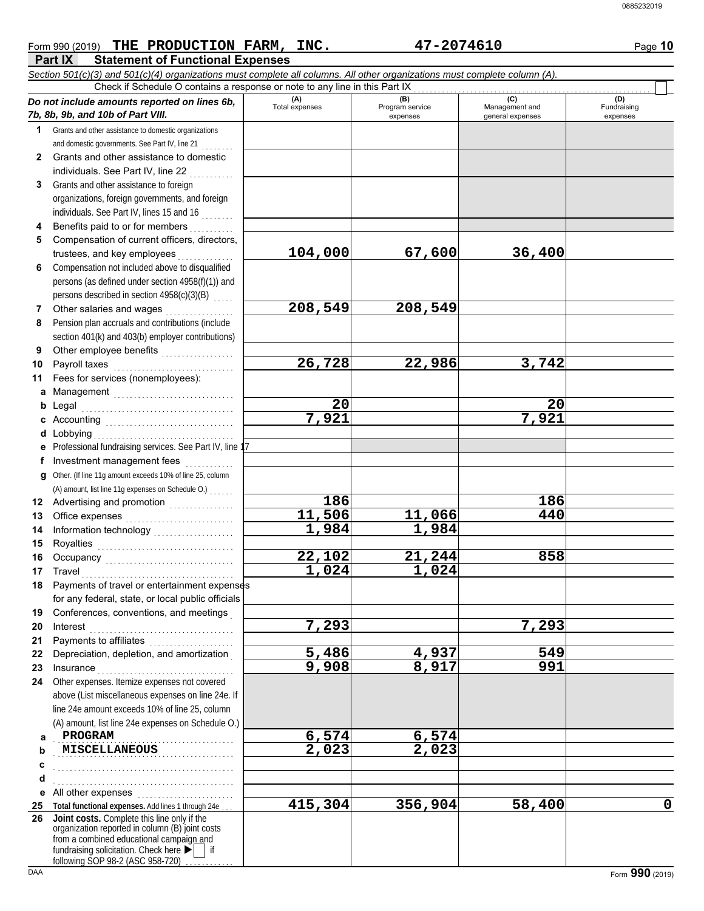#### **Part IX Statement of Functional Expenses** Form 990 (2019) Page **10 THE PRODUCTION FARM, INC. 47-2074610** *Section 501(c)(3) and 501(c)(4) organizations must complete all columns. All other organizations must complete column (A). Do not include amounts reported on lines 6b, 7b, 8b, 9b, and 10b of Part VIII.* **1 2 3 4 5 6 7 8 9 10 11 a** Management .............................. **b** Legal **c** Accounting . . . . . . . . . . . . . . . . . . . . . . . . . . . . . . . . **d** Lobbying . . . . . . . . . . . . . . . . . . . . . . . . . . . . . . . . . . . **e f g** Other. (If line 11g amount exceeds 10% of line 25, column **12** Advertising and promotion **. . . . . . . . . . . .** . . **13 14 15 16 17 18 19 20 21 22 23 24 a b c d e** All other expenses . . . . . . . . . . . . . . . . . . . . . . . . **25 Total functional expenses.** Add lines 1 through 24e . . . **26** Grants and other assistance to domestic organizations and domestic governments. See Part IV, line 21 . . . . . . . . Grants and other assistance to domestic individuals. See Part IV, line 22 Grants and other assistance to foreign organizations, foreign governments, and foreign individuals. See Part IV, lines 15 and 16 . . . . . . . . Benefits paid to or for members . . . . . . . . . . Compensation of current officers, directors, trustees, and key employees . . . . . . . Compensation not included above to disqualified persons (as defined under section 4958(f)(1)) and persons described in section 4958(c)(3)(B) Other salaries and wages .................. Pension plan accruals and contributions (include section 401(k) and 403(b) employer contributions) Other employee benefits ................... Payroll taxes Fees for services (nonemployees): Legal . . . . . . . . . . . . . . . . . . . . . . . . . . . . . . . . . . . . . . Professional fundraising services. See Part IV, line 1 Investment management fees ............. Office expenses . . . . . . . . . . . . . . . . . . . . . . . . . . . Information technology . . . . . . . . . . . . . . . . . . . . Royalties . . . . . . . . . . . . . . . . . . . . . . . . . . . . . . . . . . Occupancy . . . . . . . . . . . . . . . . . . . . . . . . . . . . . . . . Travel . . . . . . . . . . . . . . . . . . . . . . . . . . . . . . . . . . . . . . Payments of travel or entertainment expenses for any federal, state, or local public officials Conferences, conventions, and meetings . Interest . . . . . . . . . . . . . . . . . . . . . . . . . . . . . . . . . . . . Payments to affiliates . . . . . . . . . . . . . . . . . . . . . Depreciation, depletion, and amortization . Insurance . . . . . . . . . . . . . . . . . . . . . . . . . . . . . . . . . . Other expenses. Itemize expenses not covered above (List miscellaneous expenses on line 24e. If line 24e amount exceeds 10% of line 25, column (A) amount, list line 24e expenses on Schedule O.) fundraising solicitation. Check here  $\blacktriangleright$  | if organization reported in column (B) joint costs from a combined educational campaign and **(A) (B)** (B) (B) (C) (C) (A) (D)<br>Total expenses Program service Management and Fundrai expenses and general expenses (D)<br>Fundraising expenses PROGRAM . . . . . . . . . . . . . . . . . . . . . . . . . . . . . . . . . . . . . . . . . . . . . **MISCELLANEOUS 2,023 2,023** . . . . . . . . . . . . . . . . . . . . . . . . . . . . . . . . . . . . . . . . . . . . . . . . . . . . . . . . . . . . . . . . . . . . . . . . . . . . . . . . . . . . . . . . . . Check if Schedule O contains a response or note to any line in this Part IX **Joint costs.** Complete this line only if the (A) amount, list line 11g expenses on Schedule O.) . . . . . . **104,000 67,600 36,400 208,549 208,549 26,728 22,986 3,742 20 20 7,921 7,921 186 186 11,506 11,066 440 1,984 1,984 22,102 21,244 858 1,024 1,024 7,293 7,293 5,486 4,937 549 9,908 8,917 991 PROGRAM 6,574 6,574 6,574 415,304 356,904 58,400 0**

following SOP 98-2 (ASC 958-720)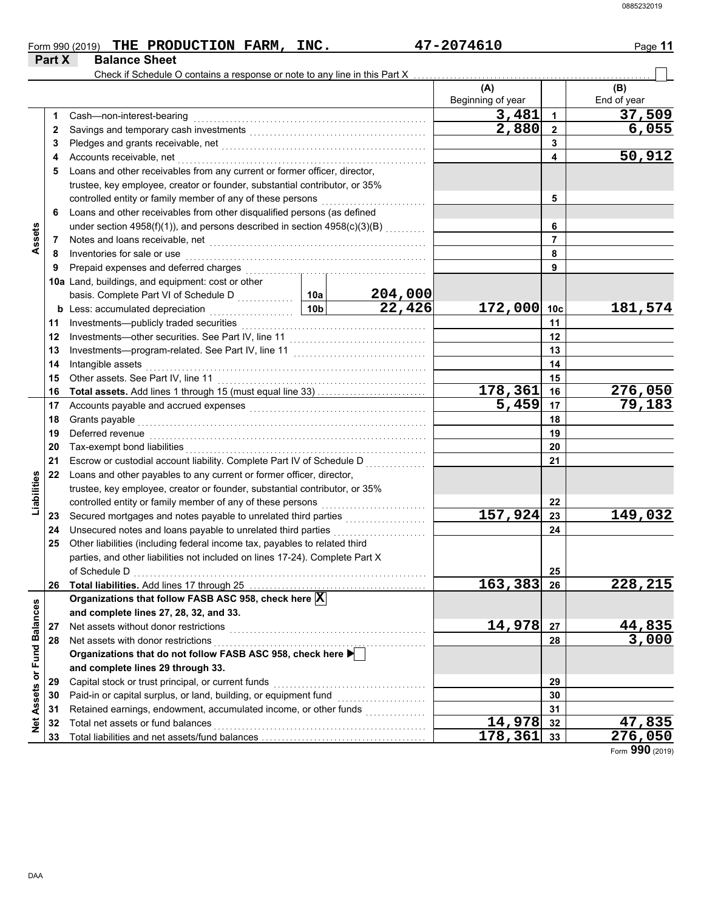| Form 990 (2019) |                      | THE PRODUCTION FARM, | INC. | 47-2074610 | Page 11 |
|-----------------|----------------------|----------------------|------|------------|---------|
| Part X          | <b>Balance Sheet</b> |                      |      |            |         |

|                             |    | Check if Schedule O contains a response or note to any line in this Part X                                                                                                                                                         |        |             |                         |                |                     |
|-----------------------------|----|------------------------------------------------------------------------------------------------------------------------------------------------------------------------------------------------------------------------------------|--------|-------------|-------------------------|----------------|---------------------|
|                             |    |                                                                                                                                                                                                                                    |        |             | (A)                     |                | (B)                 |
|                             |    |                                                                                                                                                                                                                                    |        |             | Beginning of year       |                | End of year         |
|                             | 1  | Cash-non-interest-bearing                                                                                                                                                                                                          |        |             | 3,481                   | 1              | 37,509              |
|                             | 2  |                                                                                                                                                                                                                                    |        |             | $\overline{2,880}$      | $\mathbf{2}$   | 6,055               |
|                             | 3  |                                                                                                                                                                                                                                    |        |             |                         | 3              |                     |
|                             | 4  | Accounts receivable, net                                                                                                                                                                                                           |        |             |                         | 4              | 50,912              |
|                             | 5  | Loans and other receivables from any current or former officer, director,                                                                                                                                                          |        |             |                         |                |                     |
|                             |    | trustee, key employee, creator or founder, substantial contributor, or 35%                                                                                                                                                         |        |             |                         |                |                     |
|                             |    |                                                                                                                                                                                                                                    |        |             |                         | 5              |                     |
|                             | 6  | Loans and other receivables from other disqualified persons (as defined                                                                                                                                                            |        |             |                         |                |                     |
|                             |    | under section 4958(f)(1)), and persons described in section 4958(c)(3)(B)                                                                                                                                                          |        |             |                         | 6              |                     |
| Assets                      | 7  |                                                                                                                                                                                                                                    |        |             |                         | $\overline{7}$ |                     |
|                             | 8  | Inventories for sale or use <b>constant of the constant of the selection</b> of the state of the state of the state of the state of the state of the state of the state of the state of the state of the state of the state of the |        |             | 8                       |                |                     |
|                             | 9  |                                                                                                                                                                                                                                    |        |             |                         | 9              |                     |
|                             |    | 10a Land, buildings, and equipment: cost or other                                                                                                                                                                                  |        |             |                         |                |                     |
|                             |    |                                                                                                                                                                                                                                    |        | 204,000     |                         |                |                     |
|                             |    |                                                                                                                                                                                                                                    | 22,426 | 172,000 10c |                         | 181,574        |                     |
|                             | 11 |                                                                                                                                                                                                                                    |        |             |                         | 11             |                     |
|                             | 12 |                                                                                                                                                                                                                                    |        |             | 12                      |                |                     |
|                             | 13 |                                                                                                                                                                                                                                    |        |             |                         | 13             |                     |
|                             | 14 | Intangible assets with a state of the state of the state of the state of the state of the state of the state of the state of the state of the state of the state of the state of the state of the state of the state of the st     |        |             | 14                      |                |                     |
|                             | 15 |                                                                                                                                                                                                                                    |        |             | 15                      |                |                     |
|                             | 16 | Total assets. Add lines 1 through 15 (must equal line 33)                                                                                                                                                                          |        |             | 178,361                 | 16             | 276,050             |
|                             | 17 |                                                                                                                                                                                                                                    |        |             | 5,459                   | 17             | $\overline{79,183}$ |
|                             | 18 | Grants payable                                                                                                                                                                                                                     |        |             |                         | 18             |                     |
|                             | 19 | Deferred revenue information and contact the contract of the contract of the contract of the contract of the contract of the contract of the contract of the contract of the contract of the contract of the contract of the c     |        |             | 19                      |                |                     |
|                             | 20 |                                                                                                                                                                                                                                    |        |             |                         | 20             |                     |
|                             | 21 |                                                                                                                                                                                                                                    |        |             |                         | 21             |                     |
|                             | 22 | Loans and other payables to any current or former officer, director,                                                                                                                                                               |        |             |                         |                |                     |
| Liabilities                 |    | trustee, key employee, creator or founder, substantial contributor, or 35%                                                                                                                                                         |        |             |                         |                |                     |
|                             |    | controlled entity or family member of any of these persons                                                                                                                                                                         |        |             |                         | 22             |                     |
|                             | 23 |                                                                                                                                                                                                                                    |        |             | 157,924                 | 23             | 149,032             |
|                             | 24 |                                                                                                                                                                                                                                    |        |             |                         | 24             |                     |
|                             | 25 | Other liabilities (including federal income tax, payables to related third                                                                                                                                                         |        |             |                         |                |                     |
|                             |    | parties, and other liabilities not included on lines 17-24). Complete Part X                                                                                                                                                       |        |             |                         |                |                     |
|                             |    | of Schedule D<br>$\begin{array}{ccc}\n0 & 0 & 0 \\ 0 & 0 & 0 \\ 0 & 0 & 0\n\end{array}$                                                                                                                                            |        |             |                         | 25             |                     |
|                             | 26 | Total liabilities. Add lines 17 through 25                                                                                                                                                                                         |        |             | $\overline{163,383}$ 26 |                | 228,215             |
|                             |    | Organizations that follow FASB ASC 958, check here $\vert \overline{\mathrm{X}} \vert$                                                                                                                                             |        |             |                         |                |                     |
|                             |    | and complete lines 27, 28, 32, and 33.                                                                                                                                                                                             |        |             |                         |                |                     |
|                             | 27 | Net assets without donor restrictions                                                                                                                                                                                              |        |             | 14,978                  | 27             | 44,835              |
|                             | 28 | Net assets with donor restrictions                                                                                                                                                                                                 |        |             |                         | 28             | 3,000               |
|                             |    | Net assets with donor restrictions<br>Organizations that do not follow FASB ASC 958, check here $\blacktriangleright$                                                                                                              |        |             |                         |                |                     |
|                             |    | and complete lines 29 through 33.                                                                                                                                                                                                  |        |             |                         |                |                     |
|                             | 29 | Capital stock or trust principal, or current funds                                                                                                                                                                                 |        |             |                         | 29             |                     |
|                             | 30 | Paid-in or capital surplus, or land, building, or equipment fund                                                                                                                                                                   |        |             |                         | 30             |                     |
|                             | 31 | Retained earnings, endowment, accumulated income, or other funds                                                                                                                                                                   |        |             |                         | 31             |                     |
| Net Assets or Fund Balances | 32 | Total net assets or fund balances                                                                                                                                                                                                  |        |             | 14,978                  | 32             | 47,835              |
|                             | 33 |                                                                                                                                                                                                                                    |        |             | 178,361                 | 33             | 276,050             |

Form **990** (2019)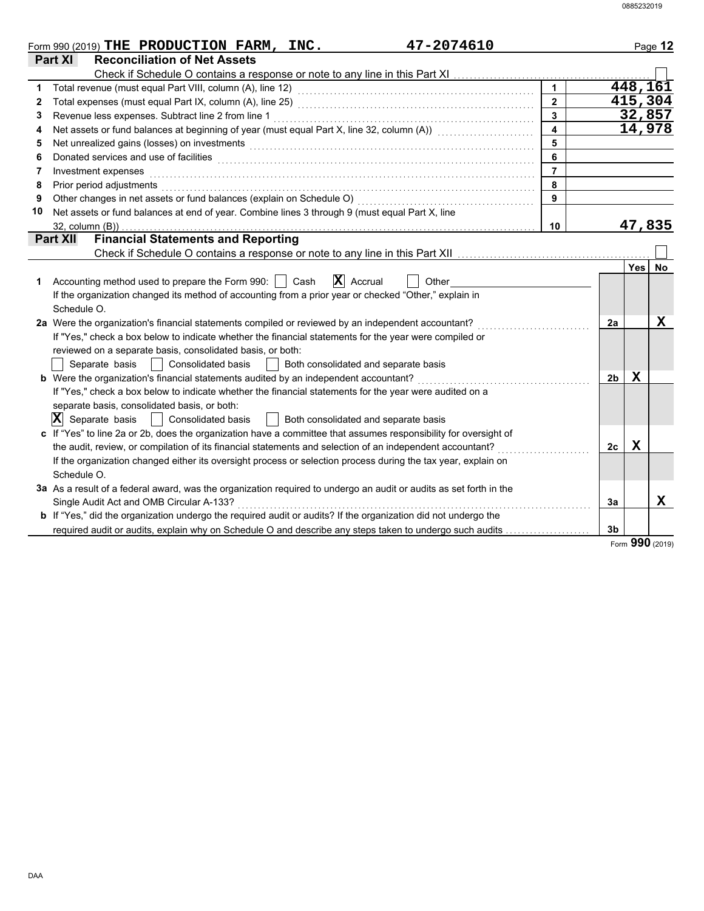|    | 47-2074610<br>Form 990 (2019) THE PRODUCTION FARM, INC.                                                                                                                                                                        |                         |                |             | Page 12              |
|----|--------------------------------------------------------------------------------------------------------------------------------------------------------------------------------------------------------------------------------|-------------------------|----------------|-------------|----------------------|
|    | <b>Reconciliation of Net Assets</b><br><b>Part XI</b>                                                                                                                                                                          |                         |                |             |                      |
|    |                                                                                                                                                                                                                                |                         |                |             |                      |
| 1  |                                                                                                                                                                                                                                | $\mathbf{1}$            |                |             | 448, 161             |
| 2  |                                                                                                                                                                                                                                | $\overline{2}$          |                |             | 415,304              |
| 3  | Revenue less expenses. Subtract line 2 from line 1                                                                                                                                                                             | $\overline{\mathbf{3}}$ |                |             | 32,857               |
| 4  | Net assets or fund balances at beginning of year (must equal Part X, line 32, column (A)) [[[[[[[[[[[[[[[[[[[                                                                                                                  | $\overline{\mathbf{A}}$ |                |             | $\overline{1}$ 4,978 |
| 5  | Net unrealized gains (losses) on investments [11] with the content of the content of the content of the content of the content of the content of the content of the content of the content of the content of the content of th | 5                       |                |             |                      |
| 6  |                                                                                                                                                                                                                                | 6                       |                |             |                      |
| 7  | Investment expenses                                                                                                                                                                                                            | $\overline{7}$          |                |             |                      |
| 8  | Prior period adjustments entertainment and the control of the control of the control of the control of the control of the control of the control of the control of the control of the control of the control of the control of | 8                       |                |             |                      |
| 9  | Other changes in net assets or fund balances (explain on Schedule O)                                                                                                                                                           | 9                       |                |             |                      |
| 10 | Net assets or fund balances at end of year. Combine lines 3 through 9 (must equal Part X, line                                                                                                                                 |                         |                |             |                      |
|    | $32$ , column $(B)$ )                                                                                                                                                                                                          | 10                      |                |             | 47,835               |
|    | <b>Financial Statements and Reporting</b><br><b>Part XII</b>                                                                                                                                                                   |                         |                |             |                      |
|    |                                                                                                                                                                                                                                |                         |                |             |                      |
|    |                                                                                                                                                                                                                                |                         |                | <b>Yes</b>  | No                   |
| 1  | $\mathbf{X}$ Accrual<br>Accounting method used to prepare the Form 990:     Cash<br>Other                                                                                                                                      |                         |                |             |                      |
|    | If the organization changed its method of accounting from a prior year or checked "Other," explain in                                                                                                                          |                         |                |             |                      |
|    | Schedule O.                                                                                                                                                                                                                    |                         |                |             |                      |
|    | 2a Were the organization's financial statements compiled or reviewed by an independent accountant?                                                                                                                             |                         | 2a             |             | $\mathbf X$          |
|    | If "Yes," check a box below to indicate whether the financial statements for the year were compiled or                                                                                                                         |                         |                |             |                      |
|    | reviewed on a separate basis, consolidated basis, or both:                                                                                                                                                                     |                         |                |             |                      |
|    | Separate basis     Consolidated basis<br>Both consolidated and separate basis<br>$\mathbf{1}$                                                                                                                                  |                         |                |             |                      |
|    | <b>b</b> Were the organization's financial statements audited by an independent accountant?                                                                                                                                    |                         | 2b             | х           |                      |
|    | If "Yes," check a box below to indicate whether the financial statements for the year were audited on a                                                                                                                        |                         |                |             |                      |
|    | separate basis, consolidated basis, or both:                                                                                                                                                                                   |                         |                |             |                      |
|    | $ \mathbf{X} $ Separate basis $  $<br>Consolidated basis<br>Both consolidated and separate basis                                                                                                                               |                         |                |             |                      |
|    | c If "Yes" to line 2a or 2b, does the organization have a committee that assumes responsibility for oversight of                                                                                                               |                         |                |             |                      |
|    | the audit, review, or compilation of its financial statements and selection of an independent accountant?                                                                                                                      |                         | 2 <sub>c</sub> | $\mathbf x$ |                      |
|    | If the organization changed either its oversight process or selection process during the tax year, explain on                                                                                                                  |                         |                |             |                      |
|    | Schedule O.                                                                                                                                                                                                                    |                         |                |             |                      |
|    | 3a As a result of a federal award, was the organization required to undergo an audit or audits as set forth in the                                                                                                             |                         |                |             |                      |
|    | Single Audit Act and OMB Circular A-133?                                                                                                                                                                                       |                         | 3a             |             | x                    |
|    | <b>b</b> If "Yes," did the organization undergo the required audit or audits? If the organization did not undergo the                                                                                                          |                         |                |             |                      |
|    | required audit or audits, explain why on Schedule O and describe any steps taken to undergo such audits                                                                                                                        |                         | 3 <sub>b</sub> |             |                      |

Form **990** (2019)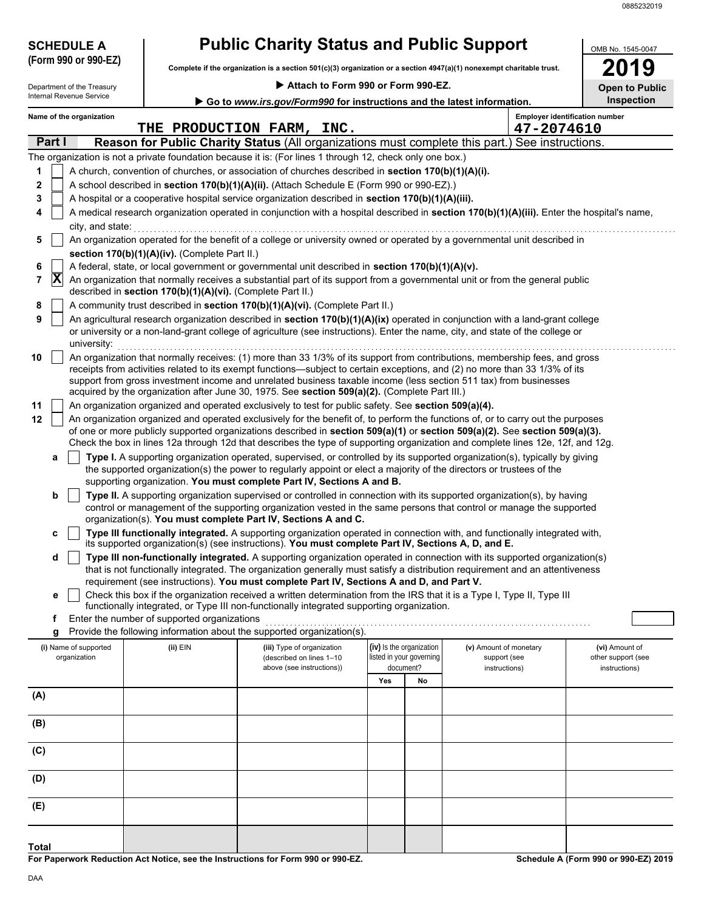| <b>SCHEDULE A</b>                     |                                                                                                                                                                                                                                                                                                                                                                                 | <b>Public Charity Status and Public Support</b>                                                                                                                                                                                                                                                                              |                          |    |                                        |                                       |  |  |  |  |
|---------------------------------------|---------------------------------------------------------------------------------------------------------------------------------------------------------------------------------------------------------------------------------------------------------------------------------------------------------------------------------------------------------------------------------|------------------------------------------------------------------------------------------------------------------------------------------------------------------------------------------------------------------------------------------------------------------------------------------------------------------------------|--------------------------|----|----------------------------------------|---------------------------------------|--|--|--|--|
| (Form 990 or 990-EZ)                  |                                                                                                                                                                                                                                                                                                                                                                                 | Complete if the organization is a section $501(c)(3)$ organization or a section $4947(a)(1)$ nonexempt charitable trust.                                                                                                                                                                                                     |                          |    |                                        | 19                                    |  |  |  |  |
| Department of the Treasury            |                                                                                                                                                                                                                                                                                                                                                                                 | Attach to Form 990 or Form 990-EZ.                                                                                                                                                                                                                                                                                           |                          |    |                                        | <b>Open to Public</b>                 |  |  |  |  |
| Internal Revenue Service              |                                                                                                                                                                                                                                                                                                                                                                                 | Go to www.irs.gov/Form990 for instructions and the latest information.                                                                                                                                                                                                                                                       |                          |    |                                        | <b>Inspection</b>                     |  |  |  |  |
| Name of the organization              |                                                                                                                                                                                                                                                                                                                                                                                 | THE PRODUCTION FARM, INC.                                                                                                                                                                                                                                                                                                    |                          |    | 47-2074610                             | <b>Employer identification number</b> |  |  |  |  |
| Part I                                |                                                                                                                                                                                                                                                                                                                                                                                 | Reason for Public Charity Status (All organizations must complete this part.) See instructions.                                                                                                                                                                                                                              |                          |    |                                        |                                       |  |  |  |  |
|                                       |                                                                                                                                                                                                                                                                                                                                                                                 | The organization is not a private foundation because it is: (For lines 1 through 12, check only one box.)                                                                                                                                                                                                                    |                          |    |                                        |                                       |  |  |  |  |
| 1                                     |                                                                                                                                                                                                                                                                                                                                                                                 | A church, convention of churches, or association of churches described in section 170(b)(1)(A)(i).                                                                                                                                                                                                                           |                          |    |                                        |                                       |  |  |  |  |
| 2                                     |                                                                                                                                                                                                                                                                                                                                                                                 | A school described in section 170(b)(1)(A)(ii). (Attach Schedule E (Form 990 or 990-EZ).)                                                                                                                                                                                                                                    |                          |    |                                        |                                       |  |  |  |  |
| 3<br>4                                |                                                                                                                                                                                                                                                                                                                                                                                 | A hospital or a cooperative hospital service organization described in section 170(b)(1)(A)(iii).<br>A medical research organization operated in conjunction with a hospital described in section 170(b)(1)(A)(iii). Enter the hospital's name,                                                                              |                          |    |                                        |                                       |  |  |  |  |
| city, and state:                      |                                                                                                                                                                                                                                                                                                                                                                                 |                                                                                                                                                                                                                                                                                                                              |                          |    |                                        |                                       |  |  |  |  |
| 5                                     |                                                                                                                                                                                                                                                                                                                                                                                 | An organization operated for the benefit of a college or university owned or operated by a governmental unit described in                                                                                                                                                                                                    |                          |    |                                        |                                       |  |  |  |  |
|                                       | section 170(b)(1)(A)(iv). (Complete Part II.)<br>A federal, state, or local government or governmental unit described in section 170(b)(1)(A)(v).                                                                                                                                                                                                                               |                                                                                                                                                                                                                                                                                                                              |                          |    |                                        |                                       |  |  |  |  |
| 6<br>$ \mathbf{X} $<br>7              |                                                                                                                                                                                                                                                                                                                                                                                 | An organization that normally receives a substantial part of its support from a governmental unit or from the general public                                                                                                                                                                                                 |                          |    |                                        |                                       |  |  |  |  |
|                                       | described in section 170(b)(1)(A)(vi). (Complete Part II.)                                                                                                                                                                                                                                                                                                                      |                                                                                                                                                                                                                                                                                                                              |                          |    |                                        |                                       |  |  |  |  |
| 8                                     |                                                                                                                                                                                                                                                                                                                                                                                 | A community trust described in section 170(b)(1)(A)(vi). (Complete Part II.)                                                                                                                                                                                                                                                 |                          |    |                                        |                                       |  |  |  |  |
| 9<br>university:                      |                                                                                                                                                                                                                                                                                                                                                                                 | An agricultural research organization described in section 170(b)(1)(A)(ix) operated in conjunction with a land-grant college<br>or university or a non-land-grant college of agriculture (see instructions). Enter the name, city, and state of the college or                                                              |                          |    |                                        |                                       |  |  |  |  |
| 10                                    | An organization that normally receives: (1) more than 33 1/3% of its support from contributions, membership fees, and gross<br>receipts from activities related to its exempt functions—subject to certain exceptions, and (2) no more than 33 1/3% of its<br>support from gross investment income and unrelated business taxable income (less section 511 tax) from businesses |                                                                                                                                                                                                                                                                                                                              |                          |    |                                        |                                       |  |  |  |  |
| 11                                    |                                                                                                                                                                                                                                                                                                                                                                                 | acquired by the organization after June 30, 1975. See section 509(a)(2). (Complete Part III.)<br>An organization organized and operated exclusively to test for public safety. See section 509(a)(4).                                                                                                                        |                          |    |                                        |                                       |  |  |  |  |
| 12                                    |                                                                                                                                                                                                                                                                                                                                                                                 | An organization organized and operated exclusively for the benefit of, to perform the functions of, or to carry out the purposes                                                                                                                                                                                             |                          |    |                                        |                                       |  |  |  |  |
|                                       |                                                                                                                                                                                                                                                                                                                                                                                 | of one or more publicly supported organizations described in section 509(a)(1) or section 509(a)(2). See section 509(a)(3).<br>Check the box in lines 12a through 12d that describes the type of supporting organization and complete lines 12e, 12f, and 12g.                                                               |                          |    |                                        |                                       |  |  |  |  |
| a                                     |                                                                                                                                                                                                                                                                                                                                                                                 | Type I. A supporting organization operated, supervised, or controlled by its supported organization(s), typically by giving<br>the supported organization(s) the power to regularly appoint or elect a majority of the directors or trustees of the<br>supporting organization. You must complete Part IV, Sections A and B. |                          |    |                                        |                                       |  |  |  |  |
| b                                     |                                                                                                                                                                                                                                                                                                                                                                                 | Type II. A supporting organization supervised or controlled in connection with its supported organization(s), by having<br>control or management of the supporting organization vested in the same persons that control or manage the supported                                                                              |                          |    |                                        |                                       |  |  |  |  |
| c                                     |                                                                                                                                                                                                                                                                                                                                                                                 | organization(s). You must complete Part IV, Sections A and C.<br>Type III functionally integrated. A supporting organization operated in connection with, and functionally integrated with,<br>its supported organization(s) (see instructions). You must complete Part IV, Sections A, D, and E.                            |                          |    |                                        |                                       |  |  |  |  |
| d                                     |                                                                                                                                                                                                                                                                                                                                                                                 | Type III non-functionally integrated. A supporting organization operated in connection with its supported organization(s)<br>that is not functionally integrated. The organization generally must satisfy a distribution requirement and an attentiveness                                                                    |                          |    |                                        |                                       |  |  |  |  |
|                                       |                                                                                                                                                                                                                                                                                                                                                                                 | requirement (see instructions). You must complete Part IV, Sections A and D, and Part V.                                                                                                                                                                                                                                     |                          |    |                                        |                                       |  |  |  |  |
| е                                     |                                                                                                                                                                                                                                                                                                                                                                                 | Check this box if the organization received a written determination from the IRS that it is a Type I, Type II, Type III<br>functionally integrated, or Type III non-functionally integrated supporting organization.                                                                                                         |                          |    |                                        |                                       |  |  |  |  |
| f                                     | Enter the number of supported organizations                                                                                                                                                                                                                                                                                                                                     |                                                                                                                                                                                                                                                                                                                              |                          |    |                                        |                                       |  |  |  |  |
| g                                     |                                                                                                                                                                                                                                                                                                                                                                                 | Provide the following information about the supported organization(s).                                                                                                                                                                                                                                                       | (iv) Is the organization |    |                                        | (vi) Amount of                        |  |  |  |  |
| (i) Name of supported<br>organization | (ii) EIN                                                                                                                                                                                                                                                                                                                                                                        | (iii) Type of organization<br>(described on lines 1-10                                                                                                                                                                                                                                                                       | listed in your governing |    | (v) Amount of monetary<br>support (see | other support (see                    |  |  |  |  |
|                                       |                                                                                                                                                                                                                                                                                                                                                                                 | above (see instructions))                                                                                                                                                                                                                                                                                                    | document?<br>Yes         | No | instructions)                          | instructions)                         |  |  |  |  |
| (A)                                   |                                                                                                                                                                                                                                                                                                                                                                                 |                                                                                                                                                                                                                                                                                                                              |                          |    |                                        |                                       |  |  |  |  |
| (B)                                   |                                                                                                                                                                                                                                                                                                                                                                                 |                                                                                                                                                                                                                                                                                                                              |                          |    |                                        |                                       |  |  |  |  |
| (C)                                   |                                                                                                                                                                                                                                                                                                                                                                                 |                                                                                                                                                                                                                                                                                                                              |                          |    |                                        |                                       |  |  |  |  |
| (D)                                   |                                                                                                                                                                                                                                                                                                                                                                                 |                                                                                                                                                                                                                                                                                                                              |                          |    |                                        |                                       |  |  |  |  |
| (E)                                   |                                                                                                                                                                                                                                                                                                                                                                                 |                                                                                                                                                                                                                                                                                                                              |                          |    |                                        |                                       |  |  |  |  |
| <b>Total</b>                          |                                                                                                                                                                                                                                                                                                                                                                                 |                                                                                                                                                                                                                                                                                                                              |                          |    |                                        |                                       |  |  |  |  |

**For Paperwork Reduction Act Notice, see the Instructions for Form 990 or 990-EZ.**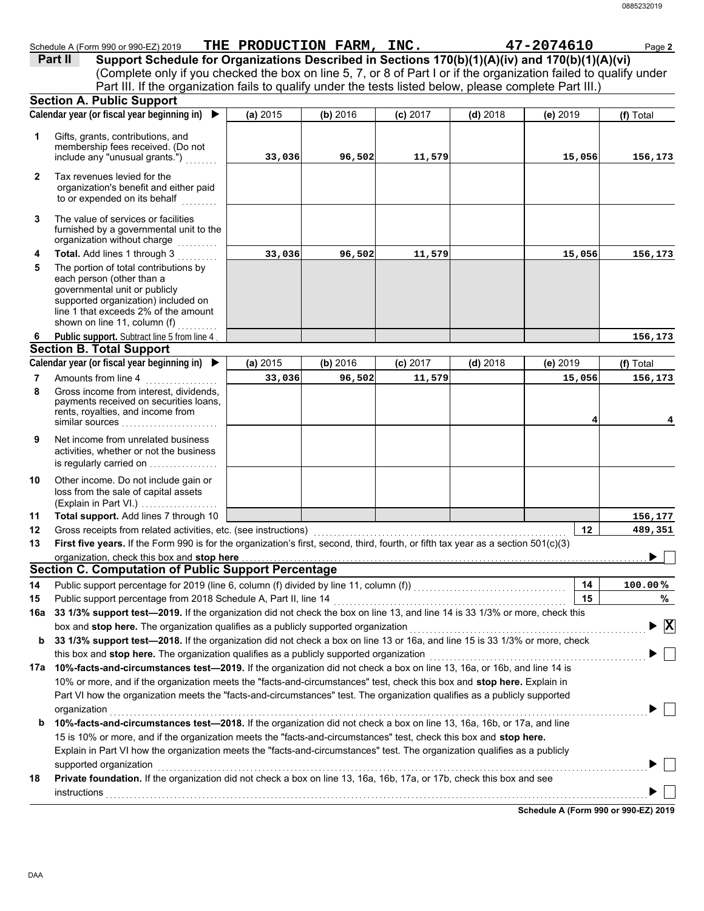|              | Schedule A (Form 990 or 990-EZ) 2019                                                                                               | THE PRODUCTION FARM, INC. |          |            |            | 47-2074610 | Page 2       |
|--------------|------------------------------------------------------------------------------------------------------------------------------------|---------------------------|----------|------------|------------|------------|--------------|
|              | Support Schedule for Organizations Described in Sections 170(b)(1)(A)(iv) and 170(b)(1)(A)(vi)<br>Part II                          |                           |          |            |            |            |              |
|              | (Complete only if you checked the box on line 5, 7, or 8 of Part I or if the organization failed to qualify under                  |                           |          |            |            |            |              |
|              | Part III. If the organization fails to qualify under the tests listed below, please complete Part III.)                            |                           |          |            |            |            |              |
|              | <b>Section A. Public Support</b>                                                                                                   |                           |          |            |            |            |              |
|              | Calendar year (or fiscal year beginning in) $\blacktriangleright$                                                                  | (a) 2015                  | (b) 2016 | $(c)$ 2017 | $(d)$ 2018 | (e) 2019   | (f) Total    |
|              |                                                                                                                                    |                           |          |            |            |            |              |
| 1            | Gifts, grants, contributions, and<br>membership fees received. (Do not                                                             |                           |          |            |            |            |              |
|              | include any "unusual grants.")                                                                                                     | 33,036                    | 96,502   | 11,579     |            | 15,056     | 156,173      |
|              |                                                                                                                                    |                           |          |            |            |            |              |
| $\mathbf{2}$ | Tax revenues levied for the<br>organization's benefit and either paid                                                              |                           |          |            |            |            |              |
|              | to or expended on its behalf                                                                                                       |                           |          |            |            |            |              |
|              |                                                                                                                                    |                           |          |            |            |            |              |
| 3            | The value of services or facilities                                                                                                |                           |          |            |            |            |              |
|              | furnished by a governmental unit to the<br>organization without charge                                                             |                           |          |            |            |            |              |
| 4            | Total. Add lines 1 through 3                                                                                                       | 33,036                    | 96,502   | 11,579     |            | 15,056     | 156,173      |
| 5            | The portion of total contributions by                                                                                              |                           |          |            |            |            |              |
|              | each person (other than a                                                                                                          |                           |          |            |            |            |              |
|              | governmental unit or publicly                                                                                                      |                           |          |            |            |            |              |
|              | supported organization) included on                                                                                                |                           |          |            |            |            |              |
|              | line 1 that exceeds 2% of the amount                                                                                               |                           |          |            |            |            |              |
|              | shown on line 11, column (f)                                                                                                       |                           |          |            |            |            |              |
| 6            | Public support. Subtract line 5 from line 4<br><b>Section B. Total Support</b>                                                     |                           |          |            |            |            | 156,173      |
|              | Calendar year (or fiscal year beginning in)                                                                                        |                           |          |            |            |            |              |
|              |                                                                                                                                    | (a) 2015                  | (b) 2016 | $(c)$ 2017 | $(d)$ 2018 | (e) 2019   | (f) Total    |
| 7            | Amounts from line 4                                                                                                                | 33,036                    | 96,502   | 11,579     |            | 15,056     | 156,173      |
| 8            | Gross income from interest, dividends,<br>payments received on securities loans,                                                   |                           |          |            |            |            |              |
|              | rents, royalties, and income from                                                                                                  |                           |          |            |            |            |              |
|              | similar sources                                                                                                                    |                           |          |            |            |            |              |
| 9            | Net income from unrelated business                                                                                                 |                           |          |            |            |            |              |
|              | activities, whether or not the business                                                                                            |                           |          |            |            |            |              |
|              | is regularly carried on                                                                                                            |                           |          |            |            |            |              |
| 10           | Other income. Do not include gain or                                                                                               |                           |          |            |            |            |              |
|              | loss from the sale of capital assets                                                                                               |                           |          |            |            |            |              |
|              | (Explain in Part VI.)                                                                                                              |                           |          |            |            |            |              |
| 11           | Total support. Add lines 7 through 10                                                                                              |                           |          |            |            |            | 156,177      |
| 12           | Gross receipts from related activities, etc. (see instructions)                                                                    |                           |          |            |            | 12         | 489,351      |
| 13           | First five years. If the Form 990 is for the organization's first, second, third, fourth, or fifth tax year as a section 501(c)(3) |                           |          |            |            |            |              |
|              | organization, ch <u>eck this box and <b>stop here</b>,………………………………………………………………………………………</u>                                        |                           |          |            |            |            |              |
|              | <b>Section C. Computation of Public Support Percentage</b>                                                                         |                           |          |            |            |            |              |
| 14           | Public support percentage for 2019 (line 6, column (f) divided by line 11, column (f)) [[[[[[[[[[[[[[[[[[[[[[                      |                           |          |            |            | 14         | 100.00%      |
| 15           | Public support percentage from 2018 Schedule A, Part II, line 14                                                                   |                           |          |            |            | 15         | %            |
| 16a          | 33 1/3% support test-2019. If the organization did not check the box on line 13, and line 14 is 33 1/3% or more, check this        |                           |          |            |            |            |              |
|              | box and stop here. The organization qualifies as a publicly supported organization                                                 |                           |          |            |            |            | $\mathbf{x}$ |
| b            | 33 1/3% support test-2018. If the organization did not check a box on line 13 or 16a, and line 15 is 33 1/3% or more, check        |                           |          |            |            |            |              |
|              | this box and stop here. The organization qualifies as a publicly supported organization                                            |                           |          |            |            |            |              |
|              | 17a 10%-facts-and-circumstances test-2019. If the organization did not check a box on line 13, 16a, or 16b, and line 14 is         |                           |          |            |            |            |              |
|              | 10% or more, and if the organization meets the "facts-and-circumstances" test, check this box and stop here. Explain in            |                           |          |            |            |            |              |
|              | Part VI how the organization meets the "facts-and-circumstances" test. The organization qualifies as a publicly supported          |                           |          |            |            |            |              |
|              | organization                                                                                                                       |                           |          |            |            |            |              |
| b            | 10%-facts-and-circumstances test-2018. If the organization did not check a box on line 13, 16a, 16b, or 17a, and line              |                           |          |            |            |            |              |
|              | 15 is 10% or more, and if the organization meets the "facts-and-circumstances" test, check this box and stop here.                 |                           |          |            |            |            |              |
|              | Explain in Part VI how the organization meets the "facts-and-circumstances" test. The organization qualifies as a publicly         |                           |          |            |            |            |              |
|              | supported organization                                                                                                             |                           |          |            |            |            |              |
| 18           | Private foundation. If the organization did not check a box on line 13, 16a, 16b, 17a, or 17b, check this box and see              |                           |          |            |            |            |              |
|              | instructions                                                                                                                       |                           |          |            |            |            |              |
|              |                                                                                                                                    |                           |          |            |            |            |              |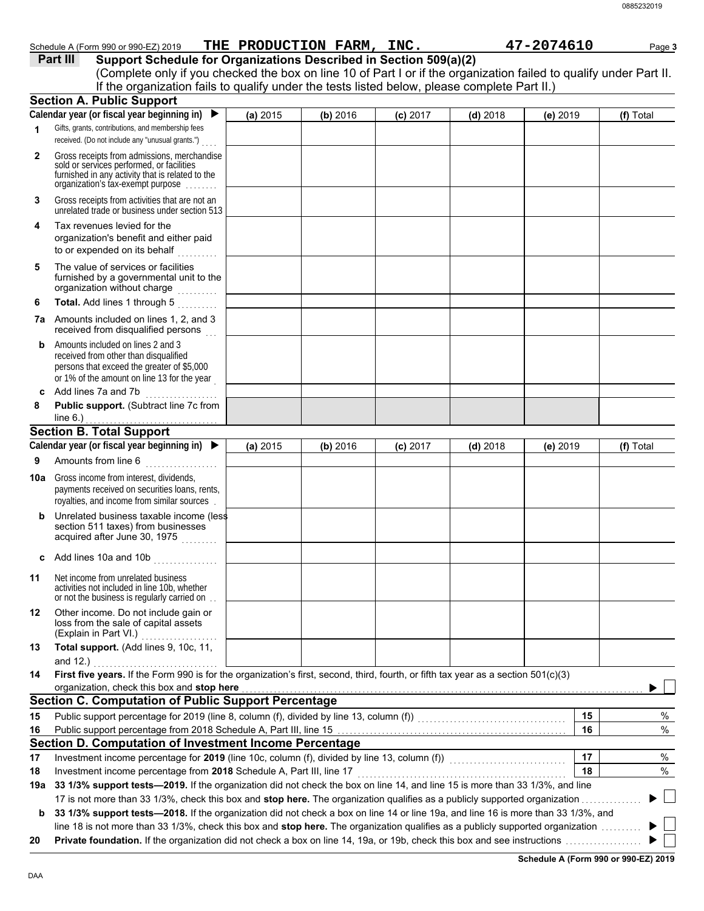|              | (Complete only if you checked the box on line 10 of Part I or if the organization failed to qualify under Part II.<br>If the organization fails to qualify under the tests listed below, please complete Part II.) |          |          |            |            |          |           |
|--------------|--------------------------------------------------------------------------------------------------------------------------------------------------------------------------------------------------------------------|----------|----------|------------|------------|----------|-----------|
|              | <b>Section A. Public Support</b>                                                                                                                                                                                   |          |          |            |            |          |           |
|              | Calendar year (or fiscal year beginning in) $\blacktriangleright$                                                                                                                                                  | (a) 2015 | (b) 2016 | $(c)$ 2017 | $(d)$ 2018 | (e) 2019 | (f) Total |
| 1            | Gifts, grants, contributions, and membership fees                                                                                                                                                                  |          |          |            |            |          |           |
|              | received. (Do not include any "unusual grants.")                                                                                                                                                                   |          |          |            |            |          |           |
| $\mathbf{2}$ | Gross receipts from admissions, merchandise<br>sold or services performed, or facilities<br>furnished in any activity that is related to the<br>organization's fax-exempt purpose                                  |          |          |            |            |          |           |
| 3            | Gross receipts from activities that are not an<br>unrelated trade or business under section 513                                                                                                                    |          |          |            |            |          |           |
| 4            | Tax revenues levied for the<br>organization's benefit and either paid<br>to or expended on its behalf                                                                                                              |          |          |            |            |          |           |
| 5            | The value of services or facilities<br>furnished by a governmental unit to the<br>organization without charge                                                                                                      |          |          |            |            |          |           |
| 6            | Total. Add lines 1 through 5                                                                                                                                                                                       |          |          |            |            |          |           |
| 7a           | Amounts included on lines 1, 2, and 3<br>received from disqualified persons                                                                                                                                        |          |          |            |            |          |           |
| b            | Amounts included on lines 2 and 3<br>received from other than disqualified<br>persons that exceed the greater of \$5,000<br>or 1% of the amount on line 13 for the year                                            |          |          |            |            |          |           |
| c            | Add lines 7a and 7b<br>.                                                                                                                                                                                           |          |          |            |            |          |           |
| 8            | Public support. (Subtract line 7c from<br>line $6.$ )                                                                                                                                                              |          |          |            |            |          |           |
|              | <b>Section B. Total Support</b>                                                                                                                                                                                    |          |          |            |            |          |           |
|              | Calendar year (or fiscal year beginning in) $\blacktriangleright$                                                                                                                                                  | (a) 2015 | (b) 2016 | $(c)$ 2017 | $(d)$ 2018 | (e) 2019 | (f) Total |
| 9            | Amounts from line 6                                                                                                                                                                                                |          |          |            |            |          |           |
|              | <b>10a</b> Gross income from interest, dividends,<br>payments received on securities loans, rents,                                                                                                                 |          |          |            |            |          |           |
|              | royalties, and income from similar sources                                                                                                                                                                         |          |          |            |            |          |           |
| b            | Unrelated business taxable income (less<br>section 511 taxes) from businesses<br>acquired after June 30, 1975                                                                                                      |          |          |            |            |          |           |
|              | Add lines 10a and 10b                                                                                                                                                                                              |          |          |            |            |          |           |
| 11           | Net income from unrelated business<br>activities not included in line 10b, whether<br>or not the business is regularly carried on.                                                                                 |          |          |            |            |          |           |
| 12           | Other income. Do not include gain or<br>loss from the sale of capital assets                                                                                                                                       |          |          |            |            |          |           |
| 13           | (Explain in Part VI.)<br>Total support. (Add lines 9, 10c, 11,                                                                                                                                                     |          |          |            |            |          |           |
| 14           | and 12.) $\qquad \qquad$<br>First five years. If the Form 990 is for the organization's first, second, third, fourth, or fifth tax year as a section 501(c)(3)                                                     |          |          |            |            |          |           |
|              | organization, check this box and stop here                                                                                                                                                                         |          |          |            |            |          |           |
| 15           | <b>Section C. Computation of Public Support Percentage</b>                                                                                                                                                         |          |          |            |            | 15       | %         |
| 16           |                                                                                                                                                                                                                    |          |          |            |            | 16       |           |
|              |                                                                                                                                                                                                                    |          |          |            |            |          | %         |
| 17           | Section D. Computation of Investment Income Percentage                                                                                                                                                             |          |          |            |            | 17       | %         |
| 18           | Investment income percentage for 2019 (line 10c, column (f), divided by line 13, column (f)) [[[[[[[[[[[[[[[[                                                                                                      |          |          |            |            | 18       | %         |

Schedule A (Form 990 or 990-EZ) 2019 **THE PRODUCTION FARM, INC.** 47-2074610 Page 3

**Part III Support Schedule for Organizations Described in Section 509(a)(2)**

17 is not more than 33 1/3%, check this box and **stop here.** The organization qualifies as a publicly supported organization . . . . . . . . . . . . . . . **b** 33 1/3% support tests-2018. If the organization did not check a box on line 14 or line 19a, and line 16 is more than 33 1/3%, and

line 18 is not more than 33 1/3%, check this box and stop here. The organization qualifies as a publicly supported organization ......... **20 Private foundation.** If the organization did not check a box on line 14, 19a, or 19b, check this box and see instructions . . . . . . . . . . . . . . . . . . .

**Schedule A (Form 990 or 990-EZ) 2019**

▶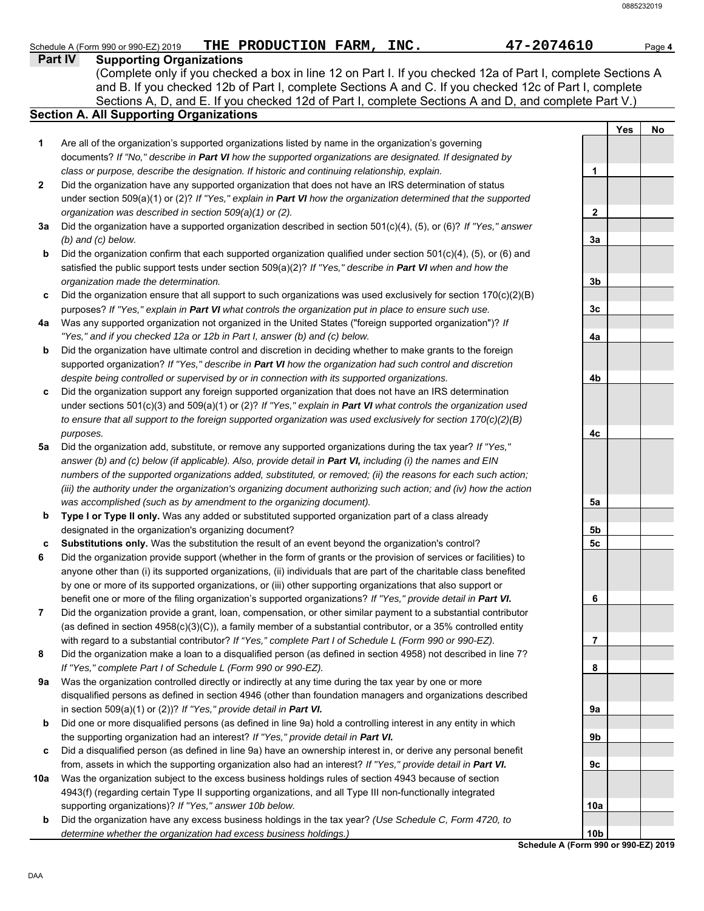### **Part IV Supporting Organizations** Sections A, D, and E. If you checked 12d of Part I, complete Sections A and D, and complete Part V.) Schedule A (Form 990 or 990-EZ) 2019 **THE PRODUCTION FARM, INC.** 47-2074610 Page 4 **Section A. All Supporting Organizations** (Complete only if you checked a box in line 12 on Part I. If you checked 12a of Part I, complete Sections A and B. If you checked 12b of Part I, complete Sections A and C. If you checked 12c of Part I, complete Are all of the organization's supported organizations listed by name in the organization's governing documents? *If "No," describe in Part VI how the supported organizations are designated. If designated by class or purpose, describe the designation. If historic and continuing relationship, explain.* Did the organization have any supported organization that does not have an IRS determination of status under section 509(a)(1) or (2)? *If "Yes," explain in Part VI how the organization determined that the supported organization was described in section 509(a)(1) or (2).* **1 2 3a** Did the organization have a supported organization described in section 501(c)(4), (5), or (6)? *If "Yes," answer* **b c** Did the organization ensure that all support to such organizations was used exclusively for section 170(c)(2)(B) **4a** Was any supported organization not organized in the United States ("foreign supported organization")? *If* **b c** Did the organization support any foreign supported organization that does not have an IRS determination **5a** Did the organization add, substitute, or remove any supported organizations during the tax year? *If "Yes,"* **b c 6 7 8 9a b c** Did a disqualified person (as defined in line 9a) have an ownership interest in, or derive any personal benefit **10a b** *(b) and (c) below.* Did the organization confirm that each supported organization qualified under section 501(c)(4), (5), or (6) and satisfied the public support tests under section 509(a)(2)? *If "Yes," describe in Part VI when and how the organization made the determination.* purposes? *If "Yes," explain in Part VI what controls the organization put in place to ensure such use. "Yes," and if you checked 12a or 12b in Part I, answer (b) and (c) below.* Did the organization have ultimate control and discretion in deciding whether to make grants to the foreign supported organization? *If "Yes," describe in Part VI how the organization had such control and discretion despite being controlled or supervised by or in connection with its supported organizations.* under sections 501(c)(3) and 509(a)(1) or (2)? *If "Yes," explain in Part VI what controls the organization used to ensure that all support to the foreign supported organization was used exclusively for section 170(c)(2)(B) purposes.* answer (b) and (c) below (if applicable). Also, provide detail in **Part VI**, *including (i)* the names and EIN *numbers of the supported organizations added, substituted, or removed; (ii) the reasons for each such action; (iii) the authority under the organization's organizing document authorizing such action; and (iv) how the action was accomplished (such as by amendment to the organizing document).* **Type I or Type II only.** Was any added or substituted supported organization part of a class already designated in the organization's organizing document? **Substitutions only.** Was the substitution the result of an event beyond the organization's control? Did the organization provide support (whether in the form of grants or the provision of services or facilities) to anyone other than (i) its supported organizations, (ii) individuals that are part of the charitable class benefited by one or more of its supported organizations, or (iii) other supporting organizations that also support or benefit one or more of the filing organization's supported organizations? *If "Yes," provide detail in Part VI.* Did the organization provide a grant, loan, compensation, or other similar payment to a substantial contributor (as defined in section 4958(c)(3)(C)), a family member of a substantial contributor, or a 35% controlled entity with regard to a substantial contributor? *If "Yes," complete Part I of Schedule L (Form 990 or 990-EZ).* Did the organization make a loan to a disqualified person (as defined in section 4958) not described in line 7? *If "Yes," complete Part I of Schedule L (Form 990 or 990-EZ).* Was the organization controlled directly or indirectly at any time during the tax year by one or more disqualified persons as defined in section 4946 (other than foundation managers and organizations described in section 509(a)(1) or (2))? *If "Yes," provide detail in Part VI.* Did one or more disqualified persons (as defined in line 9a) hold a controlling interest in any entity in which the supporting organization had an interest? *If "Yes," provide detail in Part VI.* from, assets in which the supporting organization also had an interest? *If "Yes," provide detail in Part VI.* Was the organization subject to the excess business holdings rules of section 4943 because of section 4943(f) (regarding certain Type II supporting organizations, and all Type III non-functionally integrated supporting organizations)? *If "Yes," answer 10b below.* Did the organization have any excess business holdings in the tax year? *(Use Schedule C, Form 4720, to determine whether the organization had excess business holdings.)* **Yes No 1 2 3a 3b 3c 4a 4b 4c 5a 5b 5c 6 7 8 9a 9b 9c 10a 10b**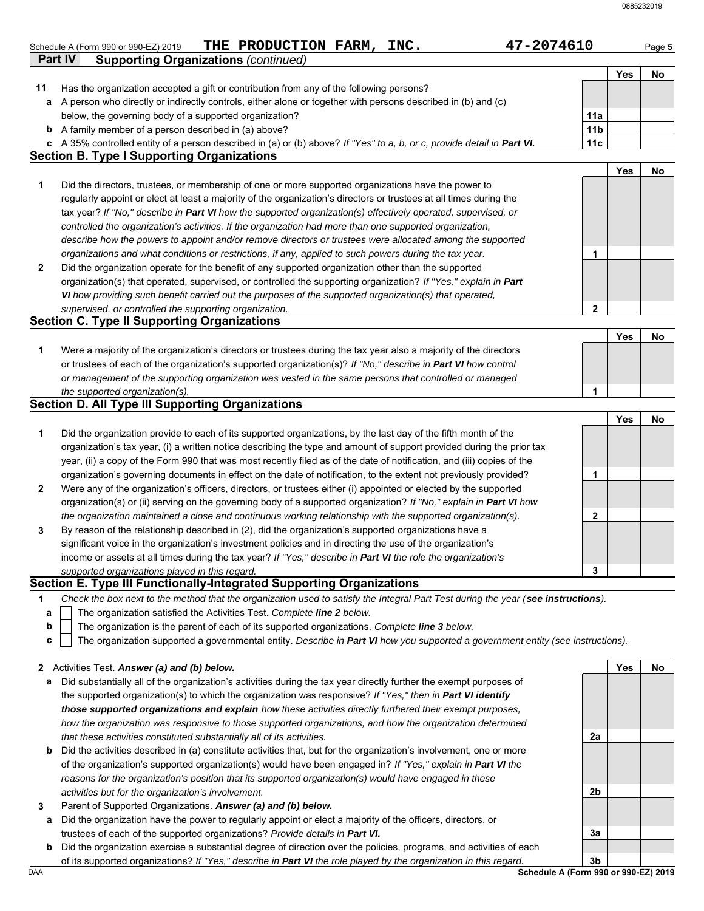|              | <b>Supporting Organizations (continued)</b><br><b>Part IV</b>                                                                                                  |                 |     |    |
|--------------|----------------------------------------------------------------------------------------------------------------------------------------------------------------|-----------------|-----|----|
|              |                                                                                                                                                                |                 | Yes | No |
| 11           | Has the organization accepted a gift or contribution from any of the following persons?                                                                        |                 |     |    |
| a            | A person who directly or indirectly controls, either alone or together with persons described in (b) and (c)                                                   |                 |     |    |
|              | below, the governing body of a supported organization?                                                                                                         | 11a             |     |    |
|              | <b>b</b> A family member of a person described in (a) above?                                                                                                   | 11 <sub>b</sub> |     |    |
| C            | A 35% controlled entity of a person described in (a) or (b) above? If "Yes" to a, b, or c, provide detail in Part VI.                                          | 11c             |     |    |
|              | <b>Section B. Type I Supporting Organizations</b>                                                                                                              |                 |     |    |
|              |                                                                                                                                                                |                 | Yes | No |
| 1            | Did the directors, trustees, or membership of one or more supported organizations have the power to                                                            |                 |     |    |
|              | regularly appoint or elect at least a majority of the organization's directors or trustees at all times during the                                             |                 |     |    |
|              | tax year? If "No," describe in Part VI how the supported organization(s) effectively operated, supervised, or                                                  |                 |     |    |
|              | controlled the organization's activities. If the organization had more than one supported organization,                                                        |                 |     |    |
|              | describe how the powers to appoint and/or remove directors or trustees were allocated among the supported                                                      |                 |     |    |
|              | organizations and what conditions or restrictions, if any, applied to such powers during the tax year.                                                         | 1               |     |    |
| $\mathbf{2}$ | Did the organization operate for the benefit of any supported organization other than the supported                                                            |                 |     |    |
|              | organization(s) that operated, supervised, or controlled the supporting organization? If "Yes," explain in Part                                                |                 |     |    |
|              | VI how providing such benefit carried out the purposes of the supported organization(s) that operated,                                                         |                 |     |    |
|              | supervised, or controlled the supporting organization.                                                                                                         | $\overline{2}$  |     |    |
|              | <b>Section C. Type II Supporting Organizations</b>                                                                                                             |                 |     |    |
|              |                                                                                                                                                                |                 | Yes | No |
| 1            | Were a majority of the organization's directors or trustees during the tax year also a majority of the directors                                               |                 |     |    |
|              | or trustees of each of the organization's supported organization(s)? If "No," describe in Part VI how control                                                  |                 |     |    |
|              | or management of the supporting organization was vested in the same persons that controlled or managed                                                         |                 |     |    |
|              | the supported organization(s).                                                                                                                                 | 1               |     |    |
|              | <b>Section D. All Type III Supporting Organizations</b>                                                                                                        |                 |     |    |
|              |                                                                                                                                                                |                 | Yes | No |
| 1            | Did the organization provide to each of its supported organizations, by the last day of the fifth month of the                                                 |                 |     |    |
|              | organization's tax year, (i) a written notice describing the type and amount of support provided during the prior tax                                          |                 |     |    |
|              | year, (ii) a copy of the Form 990 that was most recently filed as of the date of notification, and (iii) copies of the                                         |                 |     |    |
|              | organization's governing documents in effect on the date of notification, to the extent not previously provided?                                               | 1               |     |    |
| 2            | Were any of the organization's officers, directors, or trustees either (i) appointed or elected by the supported                                               |                 |     |    |
|              | organization(s) or (ii) serving on the governing body of a supported organization? If "No," explain in Part VI how                                             |                 |     |    |
|              | the organization maintained a close and continuous working relationship with the supported organization(s).                                                    | $\mathbf{2}$    |     |    |
|              | By reason of the relationship described in (2), did the organization's supported organizations have a                                                          |                 |     |    |
|              | significant voice in the organization's investment policies and in directing the use of the organization's                                                     |                 |     |    |
|              |                                                                                                                                                                |                 |     |    |
|              |                                                                                                                                                                |                 |     |    |
| 3            | income or assets at all times during the tax year? If "Yes," describe in Part VI the role the organization's<br>supported organizations played in this regard. | 3               |     |    |

- The organization satisfied the Activities Test. *Complete line 2 below.* **a**
- The organization is the parent of each of its supported organizations. *Complete line 3 below.* **b**
- The organization supported a governmental entity. *Describe in Part VI how you supported a government entity (see instructions).* **c**

- **a** Did substantially all of the organization's activities during the tax year directly further the exempt purposes of the supported organization(s) to which the organization was responsive? *If "Yes," then in Part VI identify those supported organizations and explain how these activities directly furthered their exempt purposes, how the organization was responsive to those supported organizations, and how the organization determined that these activities constituted substantially all of its activities.*
- **b** Did the activities described in (a) constitute activities that, but for the organization's involvement, one or more of the organization's supported organization(s) would have been engaged in? *If "Yes," explain in Part VI the reasons for the organization's position that its supported organization(s) would have engaged in these activities but for the organization's involvement.*
- **3** Parent of Supported Organizations. *Answer (a) and (b) below.*
- **a** Did the organization have the power to regularly appoint or elect a majority of the officers, directors, or trustees of each of the supported organizations? *Provide details in Part VI.*
- DAA **Schedule A (Form 990 or 990-EZ) 2019 b** Did the organization exercise a substantial degree of direction over the policies, programs, and activities of each of its supported organizations? *If "Yes," describe in Part VI the role played by the organization in this regard.*

**3b**

**2a**

**2b**

**3a**

**Yes No**

**<sup>2</sup>** Activities Test. *Answer (a) and (b) below.*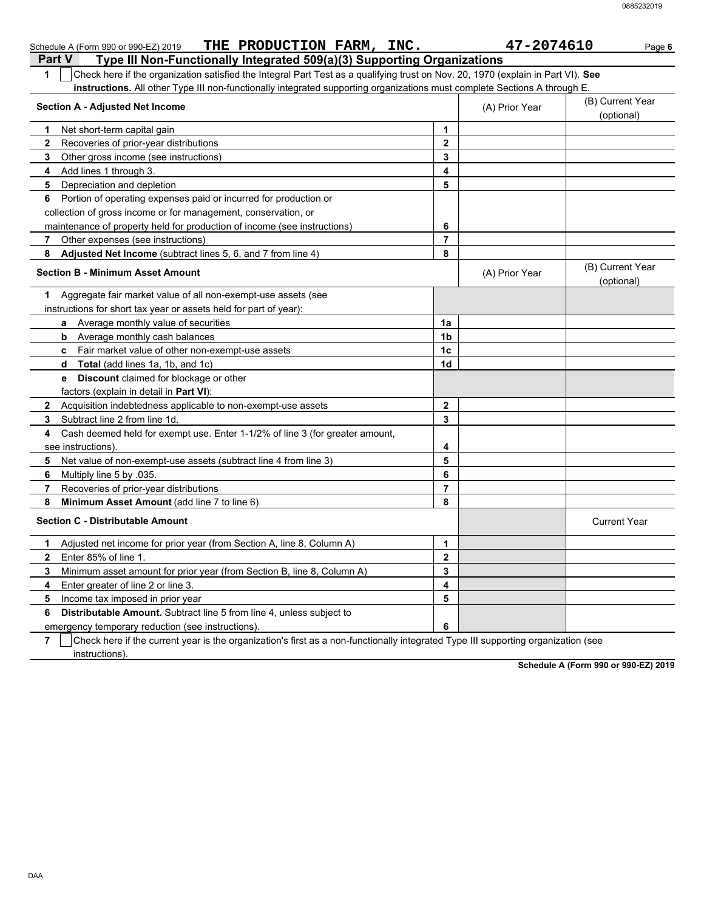| THE PRODUCTION FARM, INC.<br>Schedule A (Form 990 or 990-EZ) 2019                                                                                                                                                                                                  |                  | 47-2074610     | Page 6                         |
|--------------------------------------------------------------------------------------------------------------------------------------------------------------------------------------------------------------------------------------------------------------------|------------------|----------------|--------------------------------|
| Type III Non-Functionally Integrated 509(a)(3) Supporting Organizations<br><b>Part V</b>                                                                                                                                                                           |                  |                |                                |
| Check here if the organization satisfied the Integral Part Test as a qualifying trust on Nov. 20, 1970 (explain in Part VI). See<br>1<br>instructions. All other Type III non-functionally integrated supporting organizations must complete Sections A through E. |                  |                |                                |
| <b>Section A - Adjusted Net Income</b>                                                                                                                                                                                                                             |                  | (A) Prior Year | (B) Current Year<br>(optional) |
| Net short-term capital gain<br>1                                                                                                                                                                                                                                   | 1                |                |                                |
| Recoveries of prior-year distributions<br>$\mathbf{2}$                                                                                                                                                                                                             | $\mathbf{2}$     |                |                                |
| 3<br>Other gross income (see instructions)                                                                                                                                                                                                                         | 3                |                |                                |
| Add lines 1 through 3.<br>4                                                                                                                                                                                                                                        | 4                |                |                                |
| 5<br>Depreciation and depletion                                                                                                                                                                                                                                    | 5                |                |                                |
| Portion of operating expenses paid or incurred for production or<br>6                                                                                                                                                                                              |                  |                |                                |
| collection of gross income or for management, conservation, or                                                                                                                                                                                                     |                  |                |                                |
| maintenance of property held for production of income (see instructions)                                                                                                                                                                                           | 6                |                |                                |
| Other expenses (see instructions)<br>7                                                                                                                                                                                                                             | $\overline{7}$   |                |                                |
| Adjusted Net Income (subtract lines 5, 6, and 7 from line 4)<br>8                                                                                                                                                                                                  | 8                |                |                                |
| <b>Section B - Minimum Asset Amount</b>                                                                                                                                                                                                                            |                  | (A) Prior Year | (B) Current Year<br>(optional) |
| Aggregate fair market value of all non-exempt-use assets (see<br>1                                                                                                                                                                                                 |                  |                |                                |
| instructions for short tax year or assets held for part of year):                                                                                                                                                                                                  |                  |                |                                |
| Average monthly value of securities<br>a                                                                                                                                                                                                                           | 1a               |                |                                |
| Average monthly cash balances<br>b                                                                                                                                                                                                                                 | 1b               |                |                                |
| Fair market value of other non-exempt-use assets<br>c.                                                                                                                                                                                                             | 1 <sub>c</sub>   |                |                                |
| <b>Total</b> (add lines 1a, 1b, and 1c)<br>d                                                                                                                                                                                                                       | 1d               |                |                                |
| <b>Discount</b> claimed for blockage or other<br>е                                                                                                                                                                                                                 |                  |                |                                |
| factors (explain in detail in Part VI):                                                                                                                                                                                                                            |                  |                |                                |
| Acquisition indebtedness applicable to non-exempt-use assets<br>$\mathbf{2}$                                                                                                                                                                                       | $\mathbf{2}$     |                |                                |
| Subtract line 2 from line 1d.<br>3                                                                                                                                                                                                                                 | 3                |                |                                |
| Cash deemed held for exempt use. Enter 1-1/2% of line 3 (for greater amount,<br>4                                                                                                                                                                                  |                  |                |                                |
| see instructions)                                                                                                                                                                                                                                                  | 4                |                |                                |
| 5<br>Net value of non-exempt-use assets (subtract line 4 from line 3)                                                                                                                                                                                              | 5                |                |                                |
| 6<br>Multiply line 5 by .035.                                                                                                                                                                                                                                      | 6                |                |                                |
| 7<br>Recoveries of prior-year distributions                                                                                                                                                                                                                        | $\overline{7}$   |                |                                |
| 8<br>Minimum Asset Amount (add line 7 to line 6)                                                                                                                                                                                                                   | 8                |                |                                |
| <b>Section C - Distributable Amount</b>                                                                                                                                                                                                                            |                  |                | <b>Current Year</b>            |
| Adjusted net income for prior year (from Section A, line 8, Column A)<br>1                                                                                                                                                                                         | 1                |                |                                |
| Enter 85% of line 1.<br>$\mathbf{2}$                                                                                                                                                                                                                               | $\boldsymbol{2}$ |                |                                |
| Minimum asset amount for prior year (from Section B, line 8, Column A)<br>3                                                                                                                                                                                        | 3                |                |                                |
| 4<br>Enter greater of line 2 or line 3.                                                                                                                                                                                                                            | 4                |                |                                |
| 5<br>Income tax imposed in prior year                                                                                                                                                                                                                              | 5                |                |                                |
| 6<br>Distributable Amount. Subtract line 5 from line 4, unless subject to                                                                                                                                                                                          |                  |                |                                |
| emergency temporary reduction (see instructions).                                                                                                                                                                                                                  | 6                |                |                                |

**7**  $\mid$  Check here if the current year is the organization's first as a non-functionally integrated Type III supporting organization (see instructions).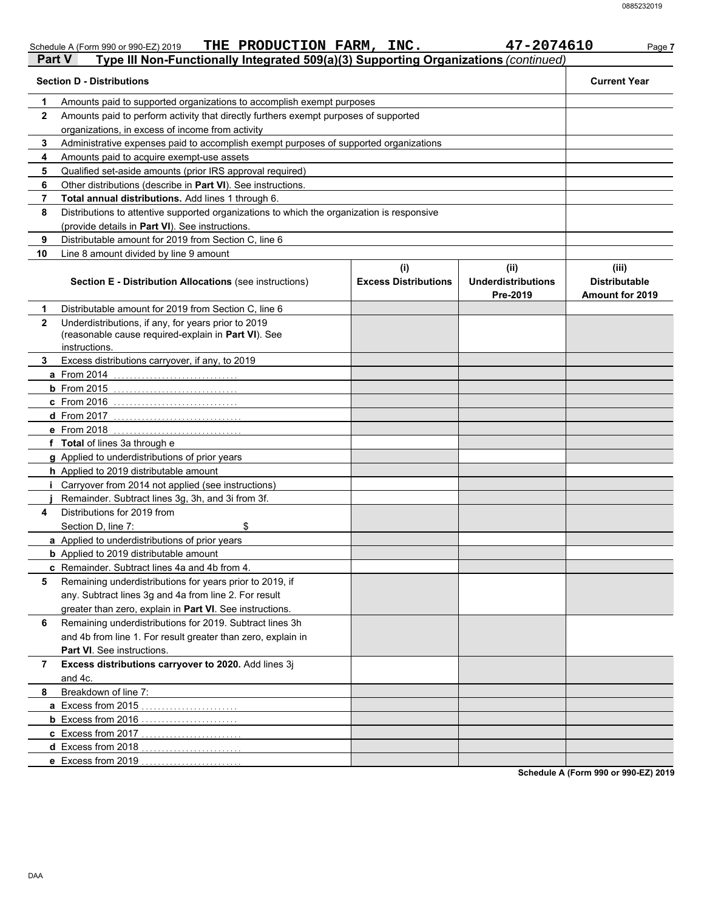|              | Schedule A (Form 990 or 990-EZ) 2019                                                                                        | THE PRODUCTION FARM, INC. |                                    | 47-2074610                                    | Page 7                                                  |
|--------------|-----------------------------------------------------------------------------------------------------------------------------|---------------------------|------------------------------------|-----------------------------------------------|---------------------------------------------------------|
| Part V       | Type III Non-Functionally Integrated 509(a)(3) Supporting Organizations (continued)                                         |                           |                                    |                                               |                                                         |
|              | <b>Section D - Distributions</b>                                                                                            |                           |                                    |                                               | <b>Current Year</b>                                     |
| 1            | Amounts paid to supported organizations to accomplish exempt purposes                                                       |                           |                                    |                                               |                                                         |
| $\mathbf{2}$ | Amounts paid to perform activity that directly furthers exempt purposes of supported                                        |                           |                                    |                                               |                                                         |
|              | organizations, in excess of income from activity                                                                            |                           |                                    |                                               |                                                         |
| 3            | Administrative expenses paid to accomplish exempt purposes of supported organizations                                       |                           |                                    |                                               |                                                         |
| 4            | Amounts paid to acquire exempt-use assets                                                                                   |                           |                                    |                                               |                                                         |
| 5            | Qualified set-aside amounts (prior IRS approval required)                                                                   |                           |                                    |                                               |                                                         |
| 6            | Other distributions (describe in Part VI). See instructions.                                                                |                           |                                    |                                               |                                                         |
| 7            | Total annual distributions. Add lines 1 through 6.                                                                          |                           |                                    |                                               |                                                         |
| 8            | Distributions to attentive supported organizations to which the organization is responsive                                  |                           |                                    |                                               |                                                         |
|              | (provide details in Part VI). See instructions.                                                                             |                           |                                    |                                               |                                                         |
| 9            | Distributable amount for 2019 from Section C, line 6                                                                        |                           |                                    |                                               |                                                         |
| 10           | Line 8 amount divided by line 9 amount                                                                                      |                           |                                    |                                               |                                                         |
|              | Section E - Distribution Allocations (see instructions)                                                                     |                           | (i)<br><b>Excess Distributions</b> | (ii)<br><b>Underdistributions</b><br>Pre-2019 | (iii)<br><b>Distributable</b><br><b>Amount for 2019</b> |
| 1            | Distributable amount for 2019 from Section C, line 6                                                                        |                           |                                    |                                               |                                                         |
| $\mathbf{2}$ | Underdistributions, if any, for years prior to 2019<br>(reasonable cause required-explain in Part VI). See<br>instructions. |                           |                                    |                                               |                                                         |
| 3.           | Excess distributions carryover, if any, to 2019                                                                             |                           |                                    |                                               |                                                         |
|              | a From 2014                                                                                                                 |                           |                                    |                                               |                                                         |
|              | $b$ From 2015                                                                                                               |                           |                                    |                                               |                                                         |
|              | c From 2016                                                                                                                 |                           |                                    |                                               |                                                         |
|              | $d$ From 2017                                                                                                               |                           |                                    |                                               |                                                         |
|              | e From 2018                                                                                                                 |                           |                                    |                                               |                                                         |
|              | f Total of lines 3a through e                                                                                               |                           |                                    |                                               |                                                         |
|              | g Applied to underdistributions of prior years                                                                              |                           |                                    |                                               |                                                         |
|              | h Applied to 2019 distributable amount                                                                                      |                           |                                    |                                               |                                                         |
|              | <i>i</i> Carryover from 2014 not applied (see instructions)                                                                 |                           |                                    |                                               |                                                         |
|              | Remainder. Subtract lines 3g, 3h, and 3i from 3f.                                                                           |                           |                                    |                                               |                                                         |
| 4            | Distributions for 2019 from                                                                                                 |                           |                                    |                                               |                                                         |
|              | \$<br>Section D, line 7:                                                                                                    |                           |                                    |                                               |                                                         |
|              | a Applied to underdistributions of prior years                                                                              |                           |                                    |                                               |                                                         |
|              | <b>b</b> Applied to 2019 distributable amount                                                                               |                           |                                    |                                               |                                                         |
|              | c Remainder. Subtract lines 4a and 4b from 4.                                                                               |                           |                                    |                                               |                                                         |
| 5            | Remaining underdistributions for years prior to 2019, if                                                                    |                           |                                    |                                               |                                                         |
|              | any. Subtract lines 3g and 4a from line 2. For result                                                                       |                           |                                    |                                               |                                                         |
|              | greater than zero, explain in Part VI. See instructions.                                                                    |                           |                                    |                                               |                                                         |
| 6            | Remaining underdistributions for 2019. Subtract lines 3h                                                                    |                           |                                    |                                               |                                                         |
|              | and 4b from line 1. For result greater than zero, explain in                                                                |                           |                                    |                                               |                                                         |
|              | Part VI. See instructions.                                                                                                  |                           |                                    |                                               |                                                         |
| 7            | Excess distributions carryover to 2020. Add lines 3j                                                                        |                           |                                    |                                               |                                                         |
|              | and 4c.                                                                                                                     |                           |                                    |                                               |                                                         |
| 8            | Breakdown of line 7:                                                                                                        |                           |                                    |                                               |                                                         |
|              | a Excess from 2015                                                                                                          |                           |                                    |                                               |                                                         |
|              | <b>b</b> Excess from 2016                                                                                                   |                           |                                    |                                               |                                                         |
|              | c Excess from 2017                                                                                                          |                           |                                    |                                               |                                                         |
|              | d Excess from 2018                                                                                                          |                           |                                    |                                               |                                                         |
|              | e Excess from 2019                                                                                                          |                           |                                    |                                               |                                                         |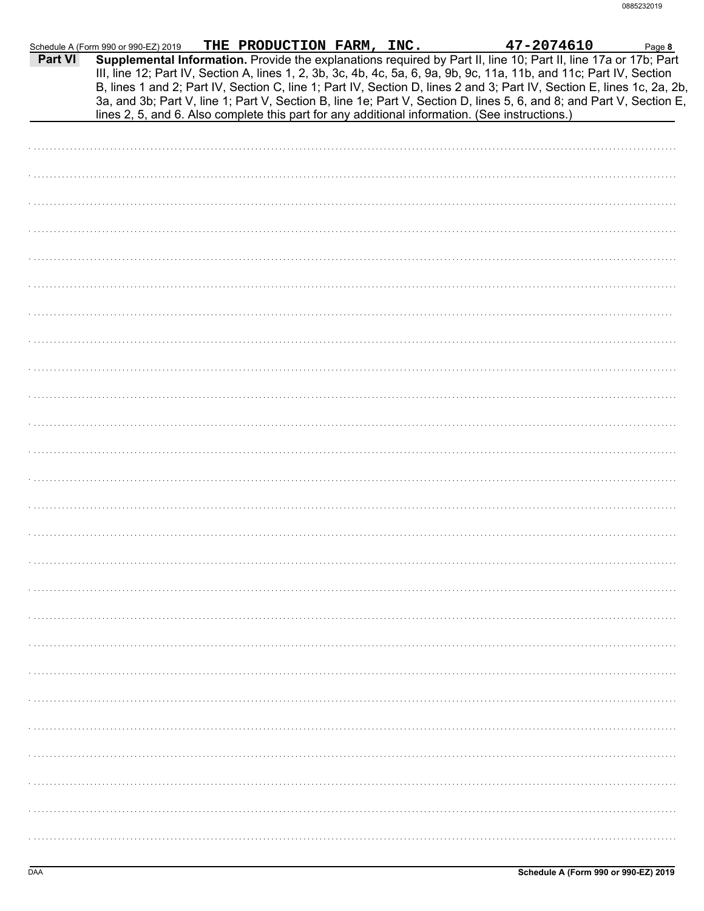| Supplemental Information. Provide the explanations required by Part II, line 10; Part II, line 17a or 17b; Part<br>Part VI<br>III, line 12; Part IV, Section A, lines 1, 2, 3b, 3c, 4b, 4c, 5a, 6, 9a, 9b, 9c, 11a, 11b, and 11c; Part IV, Section<br>B, lines 1 and 2; Part IV, Section C, line 1; Part IV, Section D, lines 2 and 3; Part IV, Section E, lines 1c, 2a, 2b,<br>3a, and 3b; Part V, line 1; Part V, Section B, line 1e; Part V, Section D, lines 5, 6, and 8; and Part V, Section E,<br>lines 2, 5, and 6. Also complete this part for any additional information. (See instructions.) | Schedule A (Form 990 or 990-EZ) 2019 | THE PRODUCTION FARM, INC. |  | 47-2074610 | Page 8 |
|--------------------------------------------------------------------------------------------------------------------------------------------------------------------------------------------------------------------------------------------------------------------------------------------------------------------------------------------------------------------------------------------------------------------------------------------------------------------------------------------------------------------------------------------------------------------------------------------------------|--------------------------------------|---------------------------|--|------------|--------|
|                                                                                                                                                                                                                                                                                                                                                                                                                                                                                                                                                                                                        |                                      |                           |  |            |        |
|                                                                                                                                                                                                                                                                                                                                                                                                                                                                                                                                                                                                        |                                      |                           |  |            |        |
|                                                                                                                                                                                                                                                                                                                                                                                                                                                                                                                                                                                                        |                                      |                           |  |            |        |
|                                                                                                                                                                                                                                                                                                                                                                                                                                                                                                                                                                                                        |                                      |                           |  |            |        |
|                                                                                                                                                                                                                                                                                                                                                                                                                                                                                                                                                                                                        |                                      |                           |  |            |        |
|                                                                                                                                                                                                                                                                                                                                                                                                                                                                                                                                                                                                        |                                      |                           |  |            |        |
|                                                                                                                                                                                                                                                                                                                                                                                                                                                                                                                                                                                                        |                                      |                           |  |            |        |
|                                                                                                                                                                                                                                                                                                                                                                                                                                                                                                                                                                                                        |                                      |                           |  |            |        |
|                                                                                                                                                                                                                                                                                                                                                                                                                                                                                                                                                                                                        |                                      |                           |  |            |        |
|                                                                                                                                                                                                                                                                                                                                                                                                                                                                                                                                                                                                        |                                      |                           |  |            |        |
|                                                                                                                                                                                                                                                                                                                                                                                                                                                                                                                                                                                                        |                                      |                           |  |            |        |
|                                                                                                                                                                                                                                                                                                                                                                                                                                                                                                                                                                                                        |                                      |                           |  |            |        |
|                                                                                                                                                                                                                                                                                                                                                                                                                                                                                                                                                                                                        |                                      |                           |  |            |        |
|                                                                                                                                                                                                                                                                                                                                                                                                                                                                                                                                                                                                        |                                      |                           |  |            |        |
|                                                                                                                                                                                                                                                                                                                                                                                                                                                                                                                                                                                                        |                                      |                           |  |            |        |
|                                                                                                                                                                                                                                                                                                                                                                                                                                                                                                                                                                                                        |                                      |                           |  |            |        |
|                                                                                                                                                                                                                                                                                                                                                                                                                                                                                                                                                                                                        |                                      |                           |  |            |        |
|                                                                                                                                                                                                                                                                                                                                                                                                                                                                                                                                                                                                        |                                      |                           |  |            |        |
|                                                                                                                                                                                                                                                                                                                                                                                                                                                                                                                                                                                                        |                                      |                           |  |            |        |
|                                                                                                                                                                                                                                                                                                                                                                                                                                                                                                                                                                                                        |                                      |                           |  |            |        |
|                                                                                                                                                                                                                                                                                                                                                                                                                                                                                                                                                                                                        |                                      |                           |  |            |        |
|                                                                                                                                                                                                                                                                                                                                                                                                                                                                                                                                                                                                        |                                      |                           |  |            |        |
|                                                                                                                                                                                                                                                                                                                                                                                                                                                                                                                                                                                                        |                                      |                           |  |            |        |
|                                                                                                                                                                                                                                                                                                                                                                                                                                                                                                                                                                                                        |                                      |                           |  |            |        |
|                                                                                                                                                                                                                                                                                                                                                                                                                                                                                                                                                                                                        |                                      |                           |  |            |        |
|                                                                                                                                                                                                                                                                                                                                                                                                                                                                                                                                                                                                        |                                      |                           |  |            |        |
|                                                                                                                                                                                                                                                                                                                                                                                                                                                                                                                                                                                                        |                                      |                           |  |            |        |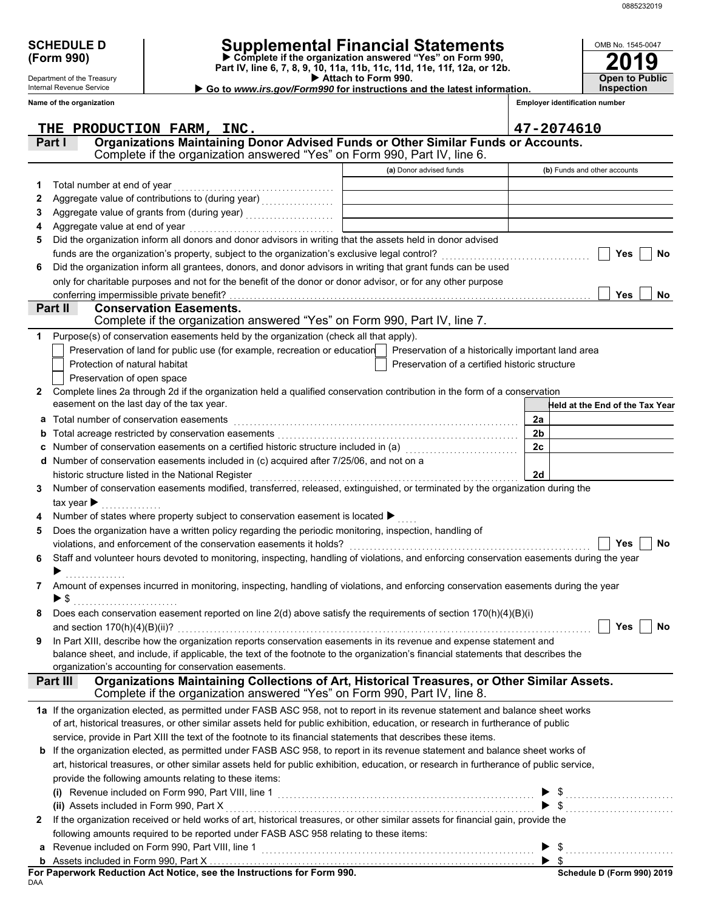**2019**

**Open to Public**

OMB No. 1545-0047

| <b>SCHEDULE D</b> |  |
|-------------------|--|
| (Form 990)        |  |

Department of the Treasury Internal Revenue Service

# **SCHEDULE D Supplemental Financial Statements**

 **Attach to Form 990. (Form 990) Part IV, line 6, 7, 8, 9, 10, 11a, 11b, 11c, 11d, 11e, 11f, 12a, or 12b. Complete if the organization answered "Yes" on Form 990,**

 **Go to** *www.irs.gov/Form990* **for instructions and the latest information.**

**Inspection**

|                | Name of the organization                                                                                                                                                 |                                                    | <b>Employer identification number</b>                      |
|----------------|--------------------------------------------------------------------------------------------------------------------------------------------------------------------------|----------------------------------------------------|------------------------------------------------------------|
|                | THE PRODUCTION FARM, INC.                                                                                                                                                |                                                    | 47-2074610                                                 |
|                | Organizations Maintaining Donor Advised Funds or Other Similar Funds or Accounts.<br>Part I<br>Complete if the organization answered "Yes" on Form 990, Part IV, line 6. |                                                    |                                                            |
|                |                                                                                                                                                                          | (a) Donor advised funds                            | (b) Funds and other accounts                               |
| 1.             | Total number at end of year                                                                                                                                              |                                                    |                                                            |
| 2              |                                                                                                                                                                          |                                                    |                                                            |
| 3              |                                                                                                                                                                          | <u> 1980 - Johann Barbara, martin a</u>            |                                                            |
| 4              | Aggregate value at end of year                                                                                                                                           |                                                    |                                                            |
| 5              | Did the organization inform all donors and donor advisors in writing that the assets held in donor advised                                                               |                                                    |                                                            |
|                | funds are the organization's property, subject to the organization's exclusive legal control?                                                                            |                                                    | Yes<br>No                                                  |
| 6              | Did the organization inform all grantees, donors, and donor advisors in writing that grant funds can be used                                                             |                                                    |                                                            |
|                | only for charitable purposes and not for the benefit of the donor or donor advisor, or for any other purpose                                                             |                                                    |                                                            |
|                | conferring impermissible private benefit?                                                                                                                                |                                                    | Yes<br>No                                                  |
|                | Part II<br><b>Conservation Easements.</b>                                                                                                                                |                                                    |                                                            |
|                | Complete if the organization answered "Yes" on Form 990, Part IV, line 7.                                                                                                |                                                    |                                                            |
| 1              | Purpose(s) of conservation easements held by the organization (check all that apply).                                                                                    |                                                    |                                                            |
|                | Preservation of land for public use (for example, recreation or education                                                                                                | Preservation of a historically important land area |                                                            |
|                | Protection of natural habitat                                                                                                                                            | Preservation of a certified historic structure     |                                                            |
|                | Preservation of open space                                                                                                                                               |                                                    |                                                            |
| 2              | Complete lines 2a through 2d if the organization held a qualified conservation contribution in the form of a conservation                                                |                                                    |                                                            |
|                | easement on the last day of the tax year.                                                                                                                                |                                                    | <b>Held at the End of the Tax Year</b>                     |
| а              | Total number of conservation easements                                                                                                                                   |                                                    | 2a                                                         |
| b              |                                                                                                                                                                          |                                                    | 2 <sub>b</sub>                                             |
|                | Number of conservation easements on a certified historic structure included in (a) [11] Number of conservation                                                           |                                                    | 2c                                                         |
|                | Number of conservation easements included in (c) acquired after 7/25/06, and not on a                                                                                    |                                                    |                                                            |
|                | historic structure listed in the National Register                                                                                                                       |                                                    | 2d                                                         |
| 3.             | Number of conservation easements modified, transferred, released, extinguished, or terminated by the organization during the                                             |                                                    |                                                            |
|                | tax year $\blacktriangleright$                                                                                                                                           |                                                    |                                                            |
| 4              | Number of states where property subject to conservation easement is located ▶                                                                                            |                                                    |                                                            |
| 5              | Does the organization have a written policy regarding the periodic monitoring, inspection, handling of                                                                   |                                                    |                                                            |
|                | violations, and enforcement of the conservation easements it holds?                                                                                                      |                                                    | Yes<br>No                                                  |
| 6              | Staff and volunteer hours devoted to monitoring, inspecting, handling of violations, and enforcing conservation easements during the year                                |                                                    |                                                            |
|                |                                                                                                                                                                          |                                                    |                                                            |
| 7              | Amount of expenses incurred in monitoring, inspecting, handling of violations, and enforcing conservation easements during the year                                      |                                                    |                                                            |
|                | $\blacktriangleright$ \$                                                                                                                                                 |                                                    |                                                            |
|                | Does each conservation easement reported on line $2(d)$ above satisfy the requirements of section $170(h)(4)(B)(i)$                                                      |                                                    |                                                            |
|                | and section $170(h)(4)(B)(ii)$ ?                                                                                                                                         |                                                    | Yes<br>No                                                  |
| 9              | In Part XIII, describe how the organization reports conservation easements in its revenue and expense statement and                                                      |                                                    |                                                            |
|                | balance sheet, and include, if applicable, the text of the footnote to the organization's financial statements that describes the                                        |                                                    |                                                            |
|                | organization's accounting for conservation easements.                                                                                                                    |                                                    |                                                            |
|                | Organizations Maintaining Collections of Art, Historical Treasures, or Other Similar Assets.<br>Part III                                                                 |                                                    |                                                            |
|                | Complete if the organization answered "Yes" on Form 990, Part IV, line 8.                                                                                                |                                                    |                                                            |
|                | 1a If the organization elected, as permitted under FASB ASC 958, not to report in its revenue statement and balance sheet works                                          |                                                    |                                                            |
|                | of art, historical treasures, or other similar assets held for public exhibition, education, or research in furtherance of public                                        |                                                    |                                                            |
|                | service, provide in Part XIII the text of the footnote to its financial statements that describes these items.                                                           |                                                    |                                                            |
|                | b If the organization elected, as permitted under FASB ASC 958, to report in its revenue statement and balance sheet works of                                            |                                                    |                                                            |
|                | art, historical treasures, or other similar assets held for public exhibition, education, or research in furtherance of public service,                                  |                                                    |                                                            |
|                | provide the following amounts relating to these items:                                                                                                                   |                                                    |                                                            |
|                |                                                                                                                                                                          |                                                    | $\$\ldots\ldots\ldots\ldots\ldots\ldots\ldots\ldots\ldots$ |
|                | (ii) Assets included in Form 990, Part X                                                                                                                                 |                                                    |                                                            |
| $\mathbf{2}^-$ | If the organization received or held works of art, historical treasures, or other similar assets for financial gain, provide the                                         |                                                    |                                                            |
|                | following amounts required to be reported under FASB ASC 958 relating to these items:                                                                                    |                                                    |                                                            |
|                | Revenue included on Form 990, Part VIII, line 1                                                                                                                          |                                                    |                                                            |
|                |                                                                                                                                                                          |                                                    |                                                            |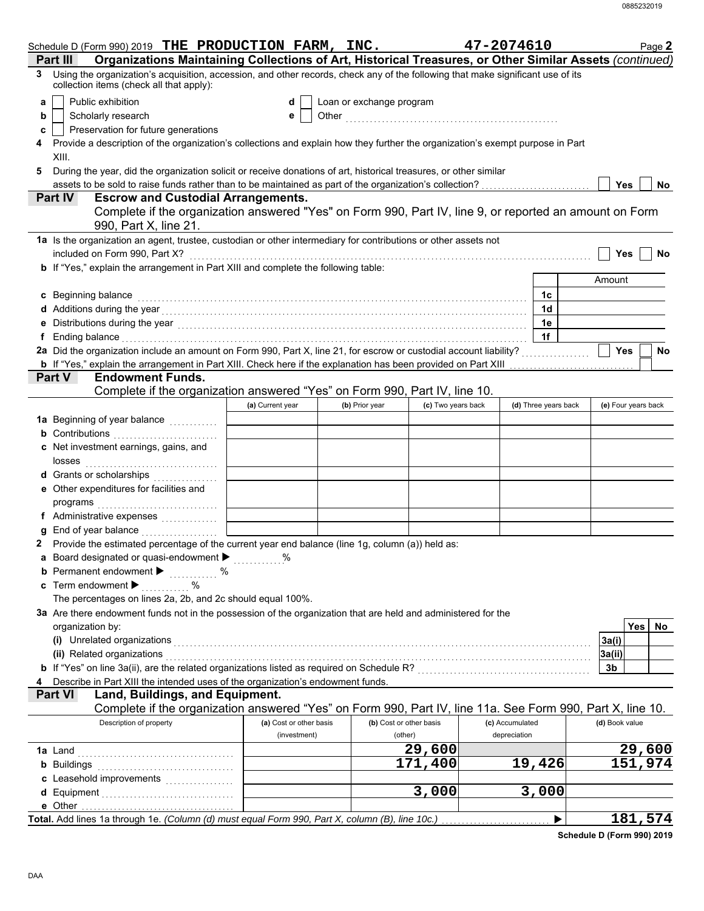|                                        | Schedule D (Form 990) 2019 THE PRODUCTION FARM, INC.                                                                                                                                                                             |                         |                          |                         | 47-2074610      |                      |                     | Page 2  |
|----------------------------------------|----------------------------------------------------------------------------------------------------------------------------------------------------------------------------------------------------------------------------------|-------------------------|--------------------------|-------------------------|-----------------|----------------------|---------------------|---------|
| Part III                               | Organizations Maintaining Collections of Art, Historical Treasures, or Other Similar Assets (continued)                                                                                                                          |                         |                          |                         |                 |                      |                     |         |
| 3                                      | Using the organization's acquisition, accession, and other records, check any of the following that make significant use of its<br>collection items (check all that apply):                                                      |                         |                          |                         |                 |                      |                     |         |
| Public exhibition<br>а                 |                                                                                                                                                                                                                                  | d                       | Loan or exchange program |                         |                 |                      |                     |         |
| Scholarly research<br>b                |                                                                                                                                                                                                                                  | е                       |                          |                         |                 |                      |                     |         |
| c                                      | Preservation for future generations                                                                                                                                                                                              |                         |                          |                         |                 |                      |                     |         |
| 4                                      | Provide a description of the organization's collections and explain how they further the organization's exempt purpose in Part                                                                                                   |                         |                          |                         |                 |                      |                     |         |
| XIII.                                  |                                                                                                                                                                                                                                  |                         |                          |                         |                 |                      |                     |         |
|                                        | During the year, did the organization solicit or receive donations of art, historical treasures, or other similar                                                                                                                |                         |                          |                         |                 |                      |                     |         |
|                                        | assets to be sold to raise funds rather than to be maintained as part of the organization's collection?                                                                                                                          |                         |                          |                         |                 |                      | <b>Yes</b>          | No      |
| Part IV                                | <b>Escrow and Custodial Arrangements.</b>                                                                                                                                                                                        |                         |                          |                         |                 |                      |                     |         |
|                                        | Complete if the organization answered "Yes" on Form 990, Part IV, line 9, or reported an amount on Form<br>990, Part X, line 21.                                                                                                 |                         |                          |                         |                 |                      |                     |         |
|                                        | 1a Is the organization an agent, trustee, custodian or other intermediary for contributions or other assets not                                                                                                                  |                         |                          |                         |                 |                      |                     |         |
| included on Form 990, Part X?          |                                                                                                                                                                                                                                  |                         |                          |                         |                 |                      | <b>Yes</b>          | No      |
|                                        | b If "Yes," explain the arrangement in Part XIII and complete the following table:                                                                                                                                               |                         |                          |                         |                 |                      |                     |         |
|                                        |                                                                                                                                                                                                                                  |                         |                          |                         |                 |                      | Amount              |         |
| c Beginning balance                    |                                                                                                                                                                                                                                  |                         |                          |                         |                 | 1c                   |                     |         |
|                                        |                                                                                                                                                                                                                                  |                         |                          |                         |                 | 1d                   |                     |         |
|                                        | e Distributions during the year<br>interaction continuous continuous continuous during the year (1990) and the year (1990) and the US and the US and the US and the US and the US and the US and the US and the US and the US an |                         |                          |                         |                 | 1e                   |                     |         |
|                                        | f Ending balance encourance and account of the contract of the contract of the contract of the contract of the contract of the contract of the contract of the contract of the contract of the contract of the contract of the   |                         |                          |                         |                 | 1f                   |                     |         |
|                                        | 2a Did the organization include an amount on Form 990, Part X, line 21, for escrow or custodial account liability?                                                                                                               |                         |                          |                         |                 |                      | <b>Yes</b>          | No      |
|                                        |                                                                                                                                                                                                                                  |                         |                          |                         |                 |                      |                     |         |
| Part V                                 | <b>Endowment Funds.</b>                                                                                                                                                                                                          |                         |                          |                         |                 |                      |                     |         |
|                                        | Complete if the organization answered "Yes" on Form 990, Part IV, line 10.                                                                                                                                                       |                         |                          |                         |                 |                      |                     |         |
|                                        |                                                                                                                                                                                                                                  | (a) Current year        | (b) Prior year           | (c) Two years back      |                 | (d) Three years back | (e) Four years back |         |
|                                        | 1a Beginning of year balance <i>minimize</i>                                                                                                                                                                                     |                         |                          |                         |                 |                      |                     |         |
|                                        | <b>b</b> Contributions <b>contributions</b>                                                                                                                                                                                      |                         |                          |                         |                 |                      |                     |         |
|                                        | c Net investment earnings, gains, and                                                                                                                                                                                            |                         |                          |                         |                 |                      |                     |         |
| losses                                 |                                                                                                                                                                                                                                  |                         |                          |                         |                 |                      |                     |         |
|                                        |                                                                                                                                                                                                                                  |                         |                          |                         |                 |                      |                     |         |
|                                        | e Other expenditures for facilities and                                                                                                                                                                                          |                         |                          |                         |                 |                      |                     |         |
| programs                               |                                                                                                                                                                                                                                  |                         |                          |                         |                 |                      |                     |         |
|                                        | f Administrative expenses                                                                                                                                                                                                        |                         |                          |                         |                 |                      |                     |         |
|                                        | g End of year balance <i>communication</i>                                                                                                                                                                                       |                         |                          |                         |                 |                      |                     |         |
|                                        | Provide the estimated percentage of the current year end balance (line 1g, column (a)) held as:                                                                                                                                  |                         |                          |                         |                 |                      |                     |         |
|                                        | a Board designated or quasi-endowment > www.com                                                                                                                                                                                  |                         |                          |                         |                 |                      |                     |         |
|                                        | <b>b</b> Permanent endowment > 2000                                                                                                                                                                                              |                         |                          |                         |                 |                      |                     |         |
| c Term endowment $\blacktriangleright$ | $\%$                                                                                                                                                                                                                             |                         |                          |                         |                 |                      |                     |         |
|                                        | The percentages on lines 2a, 2b, and 2c should equal 100%.<br>3a Are there endowment funds not in the possession of the organization that are held and administered for the                                                      |                         |                          |                         |                 |                      |                     |         |
|                                        |                                                                                                                                                                                                                                  |                         |                          |                         |                 |                      |                     | Yes No  |
| organization by:                       |                                                                                                                                                                                                                                  |                         |                          |                         |                 |                      | 3a(i)               |         |
| (ii) Related organizations             | (i) Unrelated organizations entertainment and all the contract of the contract of the contract of the contract of the contract of the contract of the contract of the contract of the contract of the contract of the contract   |                         |                          |                         |                 |                      | 3a(ii)              |         |
|                                        |                                                                                                                                                                                                                                  |                         |                          |                         |                 |                      | 3b                  |         |
| 4                                      | Describe in Part XIII the intended uses of the organization's endowment funds.                                                                                                                                                   |                         |                          |                         |                 |                      |                     |         |
| <b>Part VI</b>                         | Land, Buildings, and Equipment.                                                                                                                                                                                                  |                         |                          |                         |                 |                      |                     |         |
|                                        | Complete if the organization answered "Yes" on Form 990, Part IV, line 11a. See Form 990, Part X, line 10.                                                                                                                       |                         |                          |                         |                 |                      |                     |         |
|                                        | Description of property                                                                                                                                                                                                          | (a) Cost or other basis |                          | (b) Cost or other basis | (c) Accumulated |                      | (d) Book value      |         |
|                                        |                                                                                                                                                                                                                                  | (investment)            |                          | (other)                 | depreciation    |                      |                     |         |
| <b>1a</b> Land                         |                                                                                                                                                                                                                                  |                         |                          | 29,600                  |                 |                      |                     | 29,600  |
|                                        | <b>b</b> Buildings <b>Multiples b</b>                                                                                                                                                                                            |                         |                          | 171,400                 |                 | 19,426               |                     | 151,974 |
|                                        |                                                                                                                                                                                                                                  |                         |                          |                         |                 |                      |                     |         |
|                                        |                                                                                                                                                                                                                                  |                         |                          | 3,000                   |                 | 3,000                |                     |         |
|                                        |                                                                                                                                                                                                                                  |                         |                          |                         |                 |                      |                     |         |
|                                        | Total. Add lines 1a through 1e. (Column (d) must equal Form 990, Part X, column (B), line 10c.)                                                                                                                                  |                         |                          |                         |                 | ▶                    |                     | 181,574 |

**Schedule D (Form 990) 2019**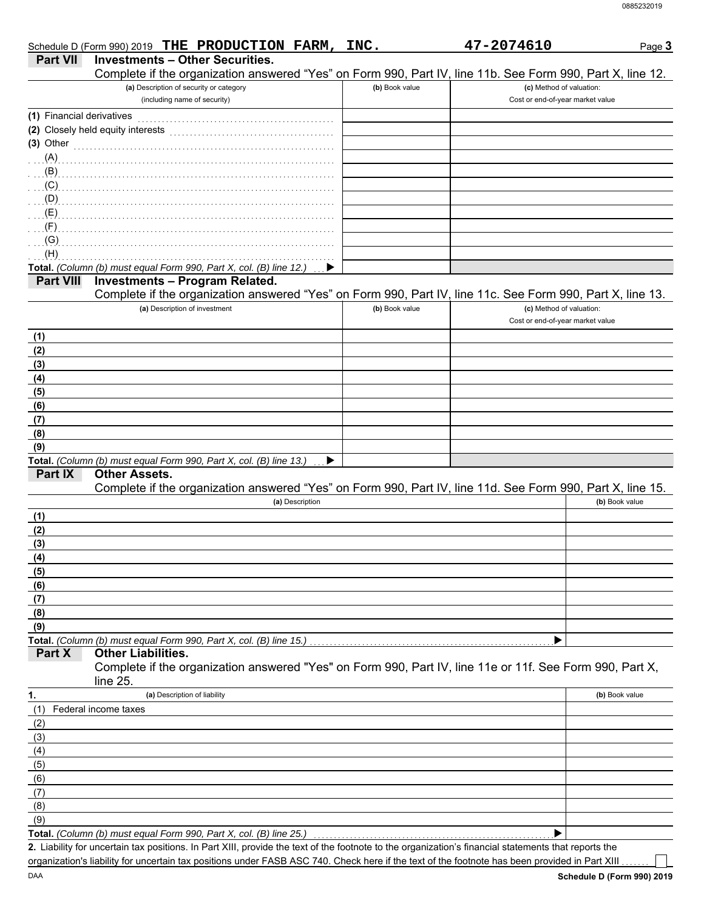|                           | Schedule D (Form 990) 2019 THE PRODUCTION FARM, INC.                                                                                                  |                | 47-2074610                                                   | Page 3         |
|---------------------------|-------------------------------------------------------------------------------------------------------------------------------------------------------|----------------|--------------------------------------------------------------|----------------|
| <b>Part VII</b>           | <b>Investments - Other Securities.</b>                                                                                                                |                |                                                              |                |
|                           | Complete if the organization answered "Yes" on Form 990, Part IV, line 11b. See Form 990, Part X, line 12.<br>(a) Description of security or category |                |                                                              |                |
|                           | (including name of security)                                                                                                                          | (b) Book value | (c) Method of valuation:<br>Cost or end-of-year market value |                |
|                           |                                                                                                                                                       |                |                                                              |                |
| (1) Financial derivatives |                                                                                                                                                       |                |                                                              |                |
|                           | (2) Closely held equity interests                                                                                                                     |                |                                                              |                |
| $(3)$ Other               |                                                                                                                                                       |                |                                                              |                |
| (A)                       |                                                                                                                                                       |                |                                                              |                |
| (B)                       |                                                                                                                                                       |                |                                                              |                |
| (C)                       |                                                                                                                                                       |                |                                                              |                |
| (D)                       |                                                                                                                                                       |                |                                                              |                |
| (E)                       |                                                                                                                                                       |                |                                                              |                |
| (F)                       |                                                                                                                                                       |                |                                                              |                |
| (G)                       |                                                                                                                                                       |                |                                                              |                |
| (H)                       |                                                                                                                                                       |                |                                                              |                |
|                           | Total. (Column (b) must equal Form 990, Part X, col. (B) line 12.)                                                                                    |                |                                                              |                |
| <b>Part VIII</b>          | <b>Investments - Program Related.</b>                                                                                                                 |                |                                                              |                |
|                           | Complete if the organization answered "Yes" on Form 990, Part IV, line 11c. See Form 990, Part X, line 13.                                            |                |                                                              |                |
|                           | (a) Description of investment                                                                                                                         | (b) Book value | (c) Method of valuation:                                     |                |
|                           |                                                                                                                                                       |                | Cost or end-of-year market value                             |                |
| (1)                       |                                                                                                                                                       |                |                                                              |                |
| (2)                       |                                                                                                                                                       |                |                                                              |                |
| (3)                       |                                                                                                                                                       |                |                                                              |                |
| (4)                       |                                                                                                                                                       |                |                                                              |                |
| (5)                       |                                                                                                                                                       |                |                                                              |                |
| (6)                       |                                                                                                                                                       |                |                                                              |                |
| (7)                       |                                                                                                                                                       |                |                                                              |                |
| (8)                       |                                                                                                                                                       |                |                                                              |                |
| (9)                       |                                                                                                                                                       |                |                                                              |                |
|                           | Total. (Column (b) must equal Form 990, Part X, col. (B) line 13.)<br>▶                                                                               |                |                                                              |                |
| Part IX                   | <b>Other Assets.</b>                                                                                                                                  |                |                                                              |                |
|                           | Complete if the organization answered "Yes" on Form 990, Part IV, line 11d. See Form 990, Part X, line 15.                                            |                |                                                              |                |
|                           | (a) Description                                                                                                                                       |                |                                                              | (b) Book value |
| (1)                       |                                                                                                                                                       |                |                                                              |                |
| (2)                       |                                                                                                                                                       |                |                                                              |                |
| (3)                       |                                                                                                                                                       |                |                                                              |                |
| (4)                       |                                                                                                                                                       |                |                                                              |                |
| (5)                       |                                                                                                                                                       |                |                                                              |                |
| (6)                       |                                                                                                                                                       |                |                                                              |                |
| (7)                       |                                                                                                                                                       |                |                                                              |                |
| (8)                       |                                                                                                                                                       |                |                                                              |                |
| (9)                       |                                                                                                                                                       |                |                                                              |                |
|                           | Total. (Column (b) must equal Form 990, Part X, col. (B) line 15.)                                                                                    |                |                                                              |                |
| Part X                    | <b>Other Liabilities.</b>                                                                                                                             |                |                                                              |                |
|                           | Complete if the organization answered "Yes" on Form 990, Part IV, line 11e or 11f. See Form 990, Part X,                                              |                |                                                              |                |
|                           | line 25.                                                                                                                                              |                |                                                              |                |
| 1.                        | (a) Description of liability                                                                                                                          |                |                                                              | (b) Book value |
| (1)                       | Federal income taxes                                                                                                                                  |                |                                                              |                |
| (2)                       |                                                                                                                                                       |                |                                                              |                |
| (3)                       |                                                                                                                                                       |                |                                                              |                |
| (4)                       |                                                                                                                                                       |                |                                                              |                |
| (5)                       |                                                                                                                                                       |                |                                                              |                |
| (6)                       |                                                                                                                                                       |                |                                                              |                |
| (7)                       |                                                                                                                                                       |                |                                                              |                |
| (8)                       |                                                                                                                                                       |                |                                                              |                |
| (9)                       |                                                                                                                                                       |                |                                                              |                |
|                           | Total. (Column (b) must equal Form 990, Part X, col. (B) line 25.)                                                                                    |                |                                                              |                |
|                           | 2. Liability for uncertain tax positions. In Part XIII, provide the text of the footnote to the organization's financial statements that reports the  |                |                                                              |                |
|                           | organization's liability for uncertain tax positions under FASB ASC 740. Check here if the text of the footnote has been provided in Part XIII.       |                |                                                              |                |

**Schedule D (Form 990) 2019**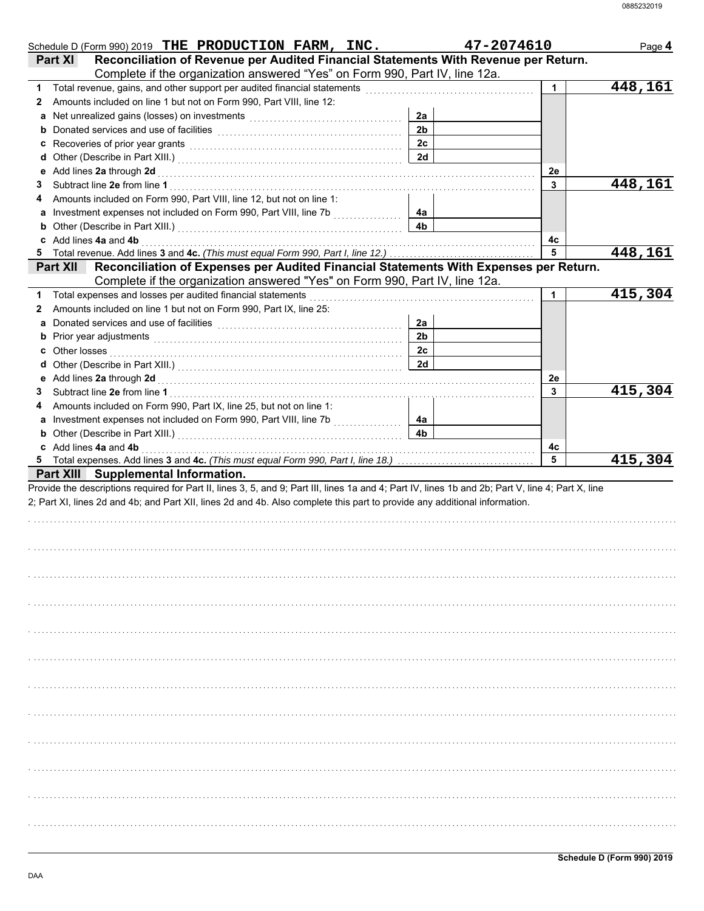|              | Schedule D (Form 990) 2019 THE PRODUCTION FARM, INC.                                                                                                                                                                                |                | 47-2074610 | Page 4  |
|--------------|-------------------------------------------------------------------------------------------------------------------------------------------------------------------------------------------------------------------------------------|----------------|------------|---------|
|              | Reconciliation of Revenue per Audited Financial Statements With Revenue per Return.<br><b>Part XI</b><br>Complete if the organization answered "Yes" on Form 990, Part IV, line 12a.                                                |                |            |         |
|              | 1 Total revenue, gains, and other support per audited financial statements                                                                                                                                                          |                | 1          | 448,161 |
| $\mathbf{2}$ | Amounts included on line 1 but not on Form 990, Part VIII, line 12:                                                                                                                                                                 |                |            |         |
|              | a Net unrealized gains (losses) on investments [111] Net uncontract the uncontract with the Net uncontroller                                                                                                                        | 2a             |            |         |
|              |                                                                                                                                                                                                                                     | 2 <sub>b</sub> |            |         |
|              |                                                                                                                                                                                                                                     | 2c             |            |         |
|              |                                                                                                                                                                                                                                     | 2d             |            |         |
|              |                                                                                                                                                                                                                                     |                | 2e         |         |
| 3            |                                                                                                                                                                                                                                     |                | 3          | 448,161 |
| 4            | Amounts included on Form 990, Part VIII, line 12, but not on line 1:                                                                                                                                                                |                |            |         |
|              |                                                                                                                                                                                                                                     | 4a             |            |         |
|              |                                                                                                                                                                                                                                     | 4b             |            |         |
|              | c Add lines 4a and 4b                                                                                                                                                                                                               |                | 4с         |         |
|              |                                                                                                                                                                                                                                     |                | 5          | 448,161 |
|              | Reconciliation of Expenses per Audited Financial Statements With Expenses per Return.<br><b>Part XII</b>                                                                                                                            |                |            |         |
|              | Complete if the organization answered "Yes" on Form 990, Part IV, line 12a.                                                                                                                                                         |                |            |         |
|              | 1 Total expenses and losses per audited financial statements                                                                                                                                                                        |                | 1          | 415,304 |
| 2            | Amounts included on line 1 but not on Form 990, Part IX, line 25:                                                                                                                                                                   |                |            |         |
|              | a Donated services and use of facilities                                                                                                                                                                                            | 2a             |            |         |
|              | b Prior year adjustments <b>contained</b> and the contained and the contained and contained and contained and contained and contained and contained and contained and contained and contained and contained and contained and conta | 2 <sub>b</sub> |            |         |
|              | c Other losses                                                                                                                                                                                                                      | 2c             |            |         |
|              |                                                                                                                                                                                                                                     | 2d             |            |         |
|              |                                                                                                                                                                                                                                     |                | 2e         |         |
| 3.           |                                                                                                                                                                                                                                     |                | 3          | 415,304 |
| 4            | Amounts included on Form 990, Part IX, line 25, but not on line 1:                                                                                                                                                                  |                |            |         |
|              |                                                                                                                                                                                                                                     | 4a             |            |         |
|              | <b>b</b> Other (Describe in Part XIII.) <b>CONVERTED ASSESS</b>                                                                                                                                                                     | 4 <sub>b</sub> |            |         |
|              | c Add lines 4a and 4b                                                                                                                                                                                                               |                | 4с<br>5    | 415,304 |
|              | Part XIII Supplemental Information.                                                                                                                                                                                                 |                |            |         |
|              | Provide the descriptions required for Part II, lines 3, 5, and 9; Part III, lines 1a and 4; Part IV, lines 1b and 2b; Part V, line 4; Part X, line                                                                                  |                |            |         |
|              | 2; Part XI, lines 2d and 4b; and Part XII, lines 2d and 4b. Also complete this part to provide any additional information.                                                                                                          |                |            |         |
|              |                                                                                                                                                                                                                                     |                |            |         |
|              |                                                                                                                                                                                                                                     |                |            |         |
|              |                                                                                                                                                                                                                                     |                |            |         |
|              |                                                                                                                                                                                                                                     |                |            |         |
|              |                                                                                                                                                                                                                                     |                |            |         |
|              |                                                                                                                                                                                                                                     |                |            |         |
|              |                                                                                                                                                                                                                                     |                |            |         |
|              |                                                                                                                                                                                                                                     |                |            |         |
|              |                                                                                                                                                                                                                                     |                |            |         |
|              |                                                                                                                                                                                                                                     |                |            |         |
|              |                                                                                                                                                                                                                                     |                |            |         |
|              |                                                                                                                                                                                                                                     |                |            |         |
|              |                                                                                                                                                                                                                                     |                |            |         |
|              |                                                                                                                                                                                                                                     |                |            |         |
|              |                                                                                                                                                                                                                                     |                |            |         |
|              |                                                                                                                                                                                                                                     |                |            |         |
|              |                                                                                                                                                                                                                                     |                |            |         |
|              |                                                                                                                                                                                                                                     |                |            |         |
|              |                                                                                                                                                                                                                                     |                |            |         |
|              |                                                                                                                                                                                                                                     |                |            |         |
|              |                                                                                                                                                                                                                                     |                |            |         |
|              |                                                                                                                                                                                                                                     |                |            |         |
|              |                                                                                                                                                                                                                                     |                |            |         |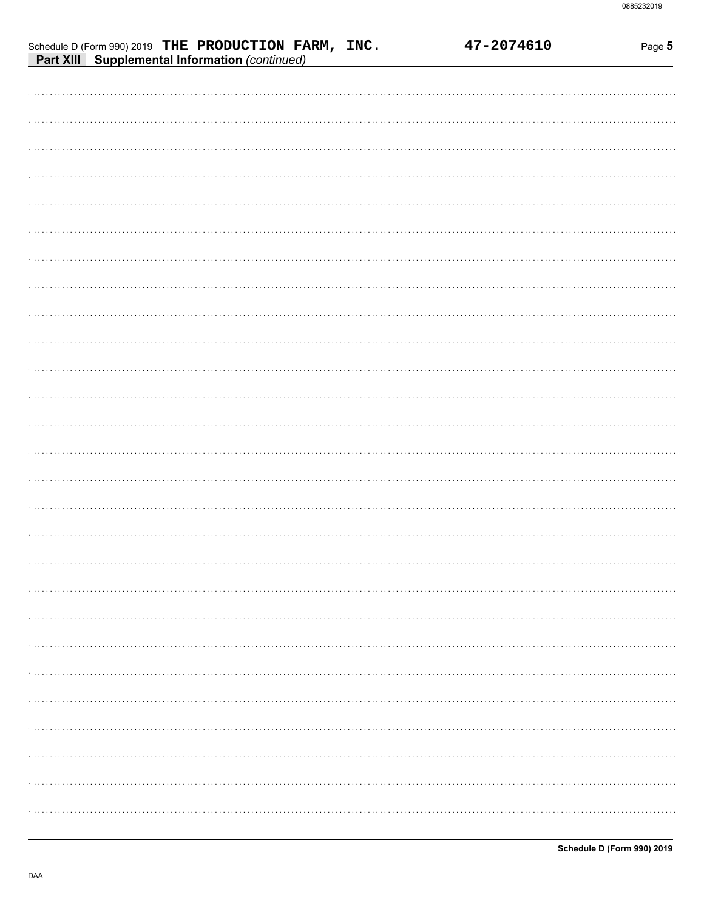|  | Schedule D (Form 990) 2019 THE PRODUCTION FARM, INC.<br>Part XIII Supplemental Information (continued) |  |  | 47-2074610 | Page 5 |
|--|--------------------------------------------------------------------------------------------------------|--|--|------------|--------|
|  |                                                                                                        |  |  |            |        |
|  |                                                                                                        |  |  |            |        |
|  |                                                                                                        |  |  |            |        |
|  |                                                                                                        |  |  |            |        |
|  |                                                                                                        |  |  |            |        |
|  |                                                                                                        |  |  |            |        |
|  |                                                                                                        |  |  |            |        |
|  |                                                                                                        |  |  |            |        |
|  |                                                                                                        |  |  |            |        |
|  |                                                                                                        |  |  |            |        |
|  |                                                                                                        |  |  |            |        |
|  |                                                                                                        |  |  |            |        |
|  |                                                                                                        |  |  |            |        |
|  |                                                                                                        |  |  |            |        |
|  |                                                                                                        |  |  |            |        |
|  |                                                                                                        |  |  |            |        |
|  |                                                                                                        |  |  |            |        |
|  |                                                                                                        |  |  |            |        |
|  |                                                                                                        |  |  |            |        |
|  |                                                                                                        |  |  |            |        |
|  |                                                                                                        |  |  |            |        |
|  |                                                                                                        |  |  |            |        |
|  |                                                                                                        |  |  |            |        |
|  |                                                                                                        |  |  |            |        |
|  |                                                                                                        |  |  |            |        |
|  |                                                                                                        |  |  |            |        |
|  |                                                                                                        |  |  |            |        |
|  |                                                                                                        |  |  |            |        |
|  |                                                                                                        |  |  |            |        |
|  |                                                                                                        |  |  |            |        |
|  |                                                                                                        |  |  |            |        |
|  |                                                                                                        |  |  |            |        |
|  |                                                                                                        |  |  |            |        |
|  |                                                                                                        |  |  |            |        |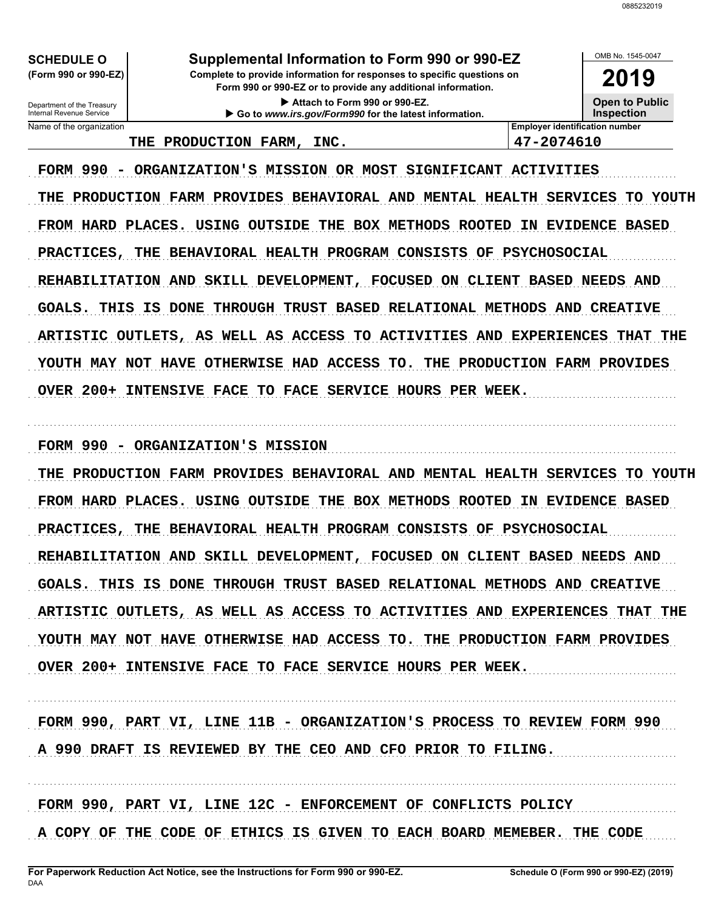OMB No. 1545-0047

2019

**Open to Public** 

**SCHEDULE O** (Form 990 or 990-EZ)

Department of the Treasury<br>Internal Revenue Service

Name of the organization

# Supplemental Information to Form 990 or 990-EZ

Complete to provide information for responses to specific questions on Form 990 or 990-EZ or to provide any additional information.

> Attach to Form 990 or 990-EZ. Go to www.irs.gov/Form990 for the latest information.

**Inspection Employer identification number** 47-2074610

### THE PRODUCTION FARM, INC.

FORM 990 - ORGANIZATION'S MISSION OR MOST SIGNIFICANT ACTIVITIES THE PRODUCTION FARM PROVIDES BEHAVIORAL AND MENTAL HEALTH SERVICES TO YOUTH FROM HARD PLACES. USING OUTSIDE THE BOX METHODS ROOTED IN EVIDENCE BASED PRACTICES, THE BEHAVIORAL HEALTH PROGRAM CONSISTS OF PSYCHOSOCIAL REHABILITATION AND SKILL DEVELOPMENT, FOCUSED ON CLIENT BASED NEEDS AND GOALS. THIS IS DONE THROUGH TRUST BASED RELATIONAL METHODS AND CREATIVE ARTISTIC OUTLETS, AS WELL AS ACCESS TO ACTIVITIES AND EXPERIENCES THAT THE YOUTH MAY NOT HAVE OTHERWISE HAD ACCESS TO. THE PRODUCTION FARM PROVIDES OVER 200+ INTENSIVE FACE TO FACE SERVICE HOURS PER WEEK.

FORM 990 - ORGANIZATION'S MISSION

THE PRODUCTION FARM PROVIDES BEHAVIORAL AND MENTAL HEALTH SERVICES TO YOUTH FROM HARD PLACES. USING OUTSIDE THE BOX METHODS ROOTED IN EVIDENCE BASED PRACTICES, THE BEHAVIORAL HEALTH PROGRAM CONSISTS OF PSYCHOSOCIAL REHABILITATION AND SKILL DEVELOPMENT, FOCUSED ON CLIENT BASED NEEDS AND GOALS. THIS IS DONE THROUGH TRUST BASED RELATIONAL METHODS AND CREATIVE ARTISTIC OUTLETS, AS WELL AS ACCESS TO ACTIVITIES AND EXPERIENCES THAT THE YOUTH MAY NOT HAVE OTHERWISE HAD ACCESS TO. THE PRODUCTION FARM PROVIDES OVER 200+ INTENSIVE FACE TO FACE SERVICE HOURS PER WEEK.

FORM 990, PART VI, LINE 11B - ORGANIZATION'S PROCESS TO REVIEW FORM 990 A 990 DRAFT IS REVIEWED BY THE CEO AND CFO PRIOR TO FILING.

FORM 990, PART VI, LINE 12C - ENFORCEMENT OF CONFLICTS POLICY

A COPY OF THE CODE OF ETHICS IS GIVEN TO EACH BOARD MEMEBER. THE CODE